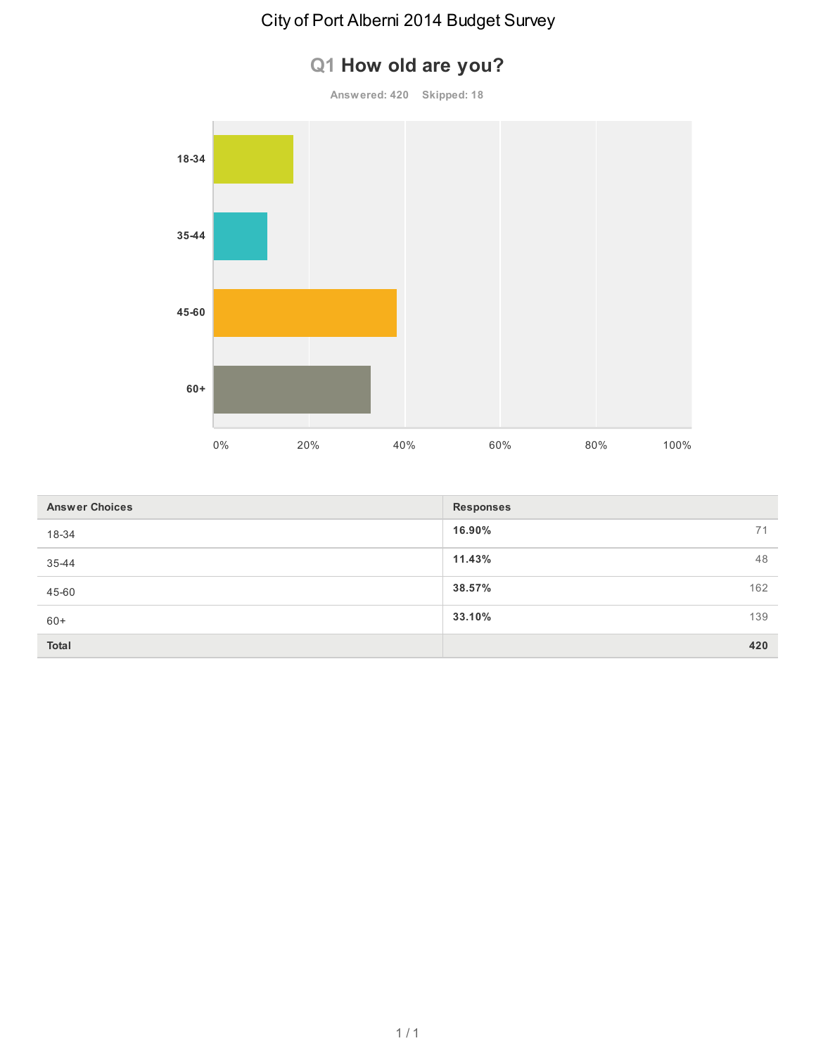### **Q1 How old are you?**

**Answered: 420 Skipped: 18**



| <b>Answer Choices</b> | <b>Responses</b> |     |
|-----------------------|------------------|-----|
| 18-34                 | 16.90%           | 71  |
| 35-44                 | 11.43%           | 48  |
| 45-60                 | 38.57%           | 162 |
| $60+$                 | 33.10%           | 139 |
| <b>Total</b>          |                  | 420 |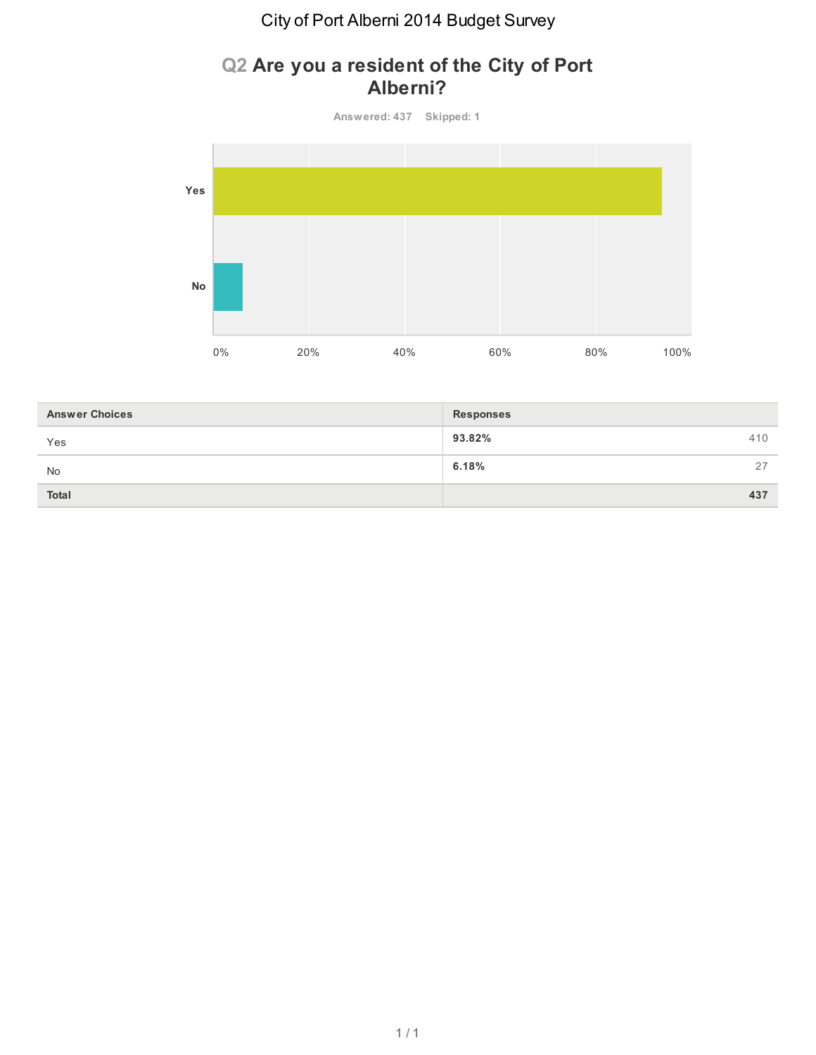#### **Q2 Are you a resident of the City of Port Alberni?**

**Answered: 437 Skipped: 1**



| <b>Answer Choices</b> | <b>Responses</b> |  |
|-----------------------|------------------|--|
| Yes                   | 93.82%<br>410    |  |
| No                    | 6.18%<br>27      |  |
| <b>Total</b>          | 437              |  |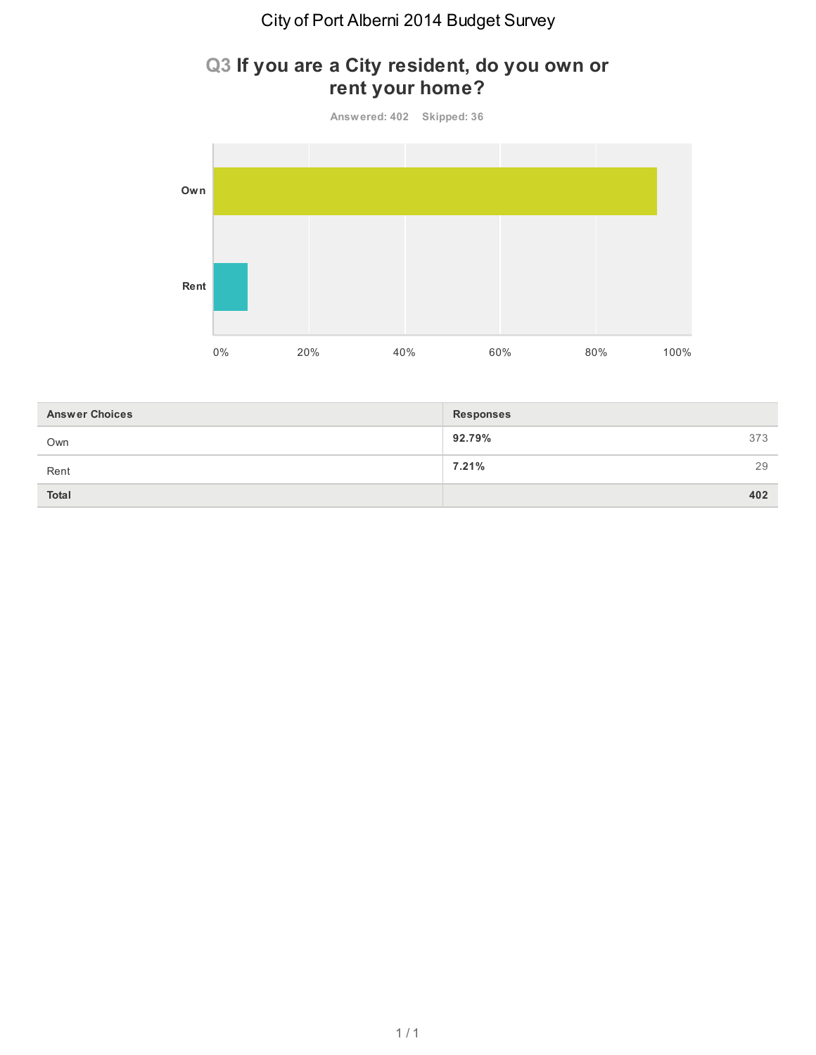### **Q3 If you are a City resident, do you own or rent your home?**



| <b>Answer Choices</b> | <b>Responses</b> |     |
|-----------------------|------------------|-----|
| Own                   | 92.79%           | 373 |
| Rent                  | 7.21%            | 29  |
| <b>Total</b>          |                  | 402 |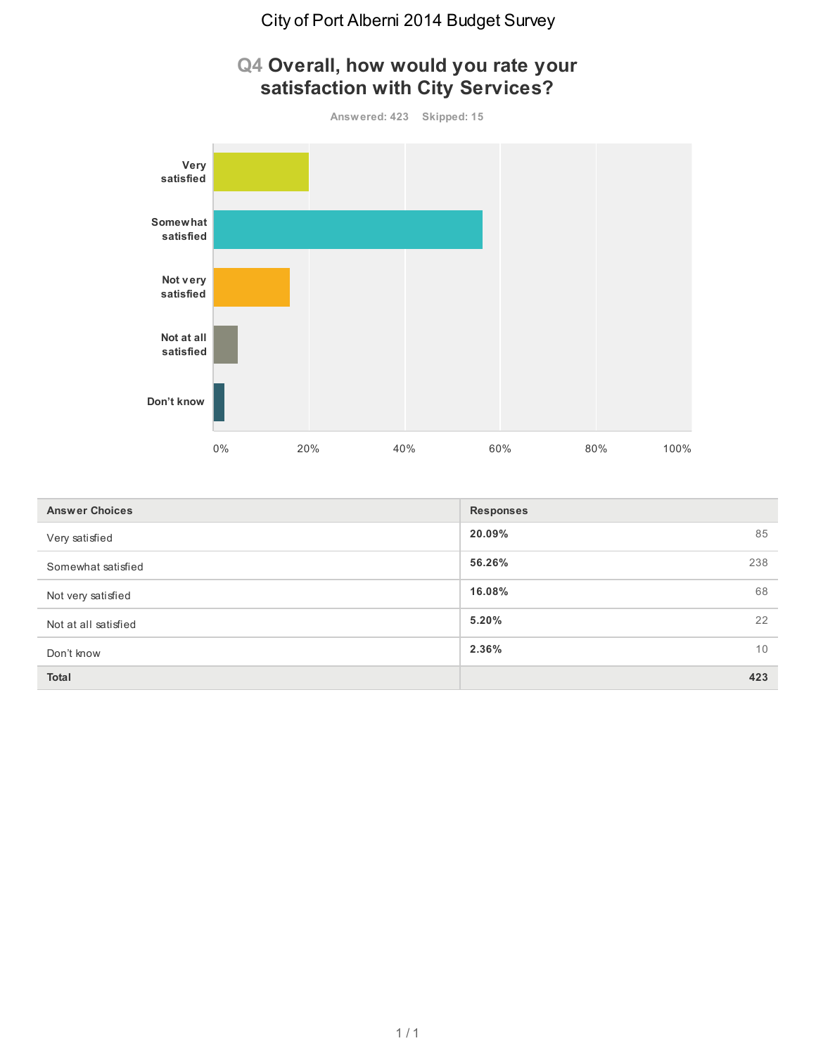

| <b>Answer Choices</b> | <b>Responses</b> |     |
|-----------------------|------------------|-----|
| Very satisfied        | 20.09%           | 85  |
| Somewhat satisfied    | 56.26%           | 238 |
| Not very satisfied    | 16.08%           | 68  |
| Not at all satisfied  | 5.20%            | 22  |
| Don't know            | 2.36%            | 10  |
| Total                 |                  | 423 |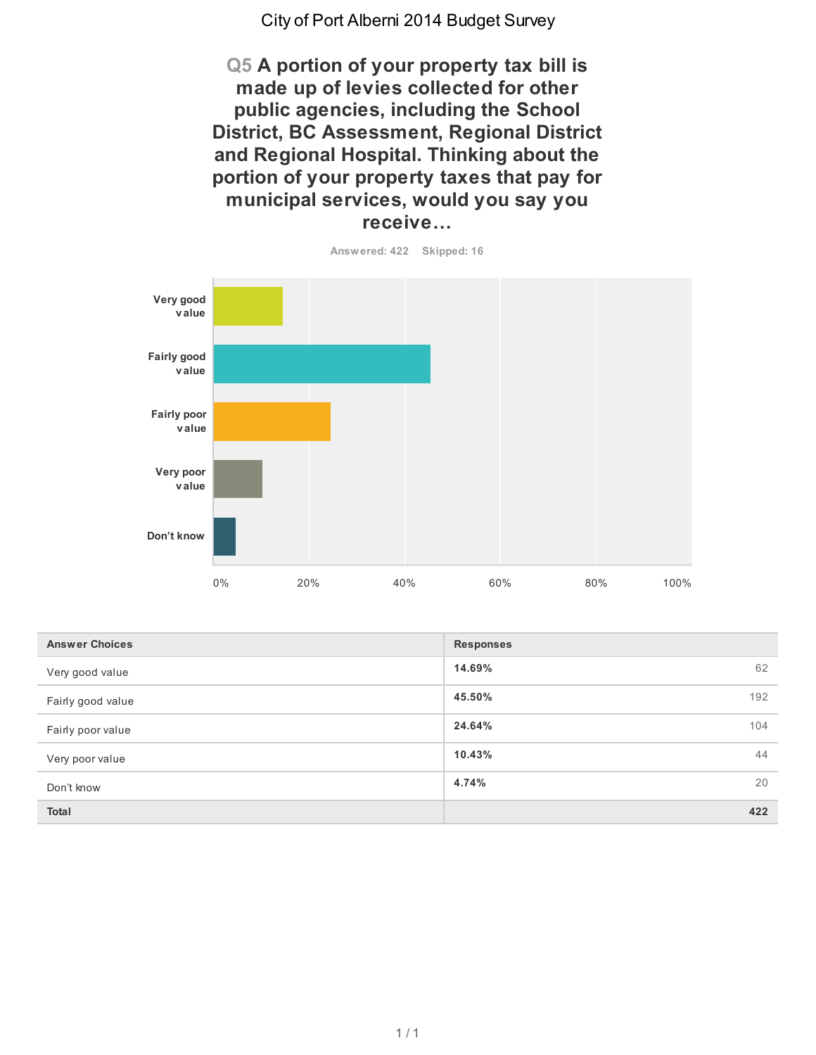**Q5 A portion of your property tax bill is made up of levies collected for other public agencies, including the School District, BC Assessment, Regional District and Regional Hospital. Thinking about the portion of your property taxes that pay for municipal services, would you say you receive…**



| <b>Answer Choices</b> | <b>Responses</b> |    |
|-----------------------|------------------|----|
| Very good value       | 14.69%           | 62 |
| Fairly good value     | 45.50%<br>192    |    |
| Fairly poor value     | 24.64%<br>104    |    |
| Very poor value       | 10.43%           | 44 |
| Don't know            | 4.74%            | 20 |
| <b>Total</b>          | 422              |    |

 $1/1$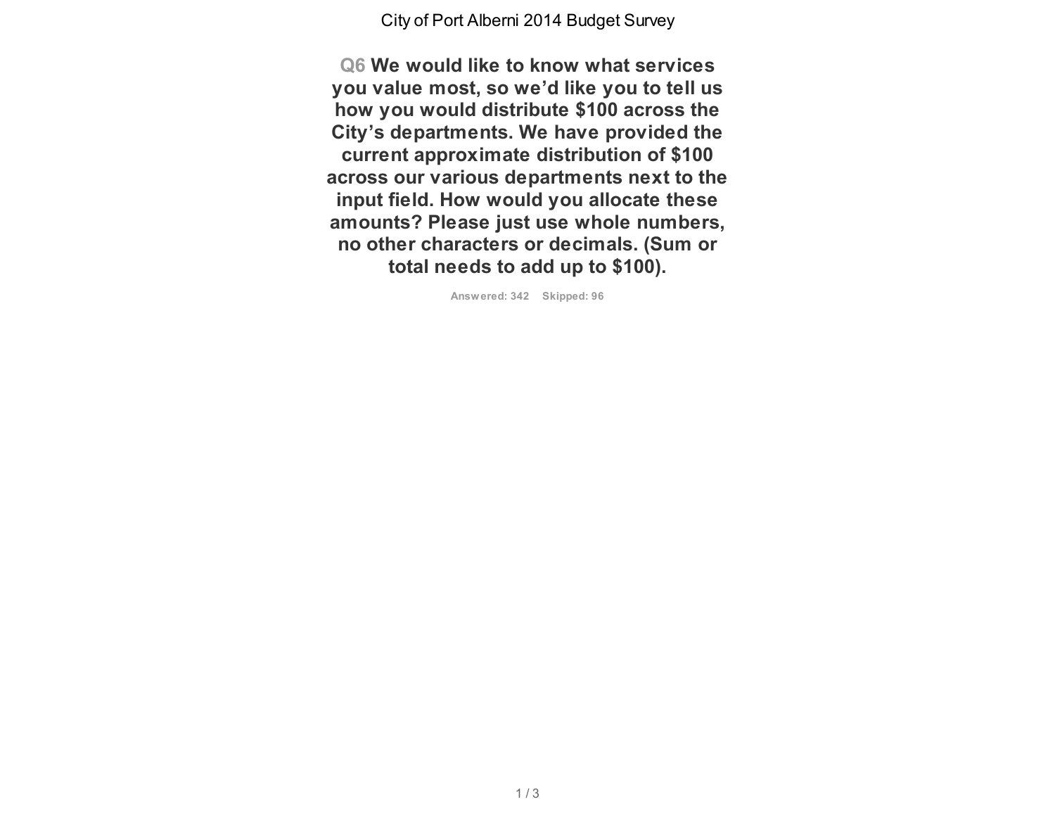**Q6 We would like to know what services you value most, so we'd like you to tell us how you would distribute \$100 across the City's departments. We have provided the current approximate distribution of \$100 across our various departments next to the input field. How would you allocate these amounts? Please just use whole numbers, no other characters or decimals. (Sum or total needs to add up to \$100).**

**Answered: 342 Skipped: 96**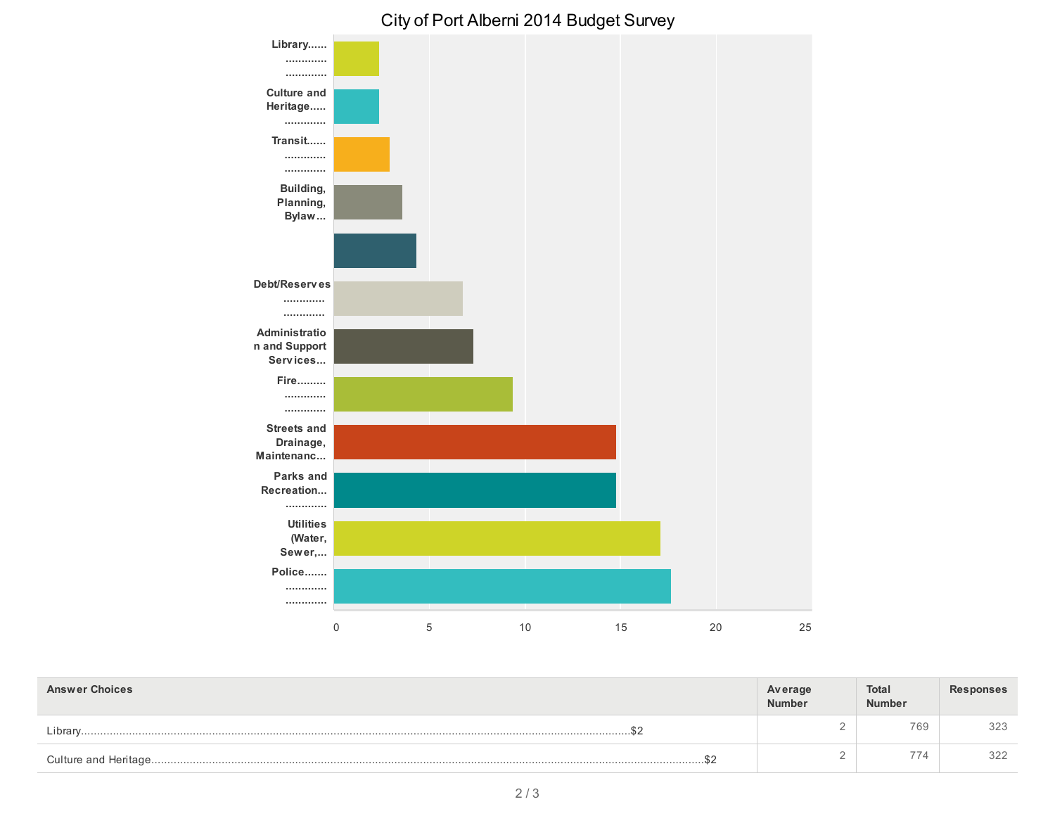

| <b>Answer Choices</b> | Average<br>Number | Total<br>Number | <b>Responses</b> |
|-----------------------|-------------------|-----------------|------------------|
| Librarv               |                   | 769             | 323              |
| $\sim$                |                   | 774             | 322              |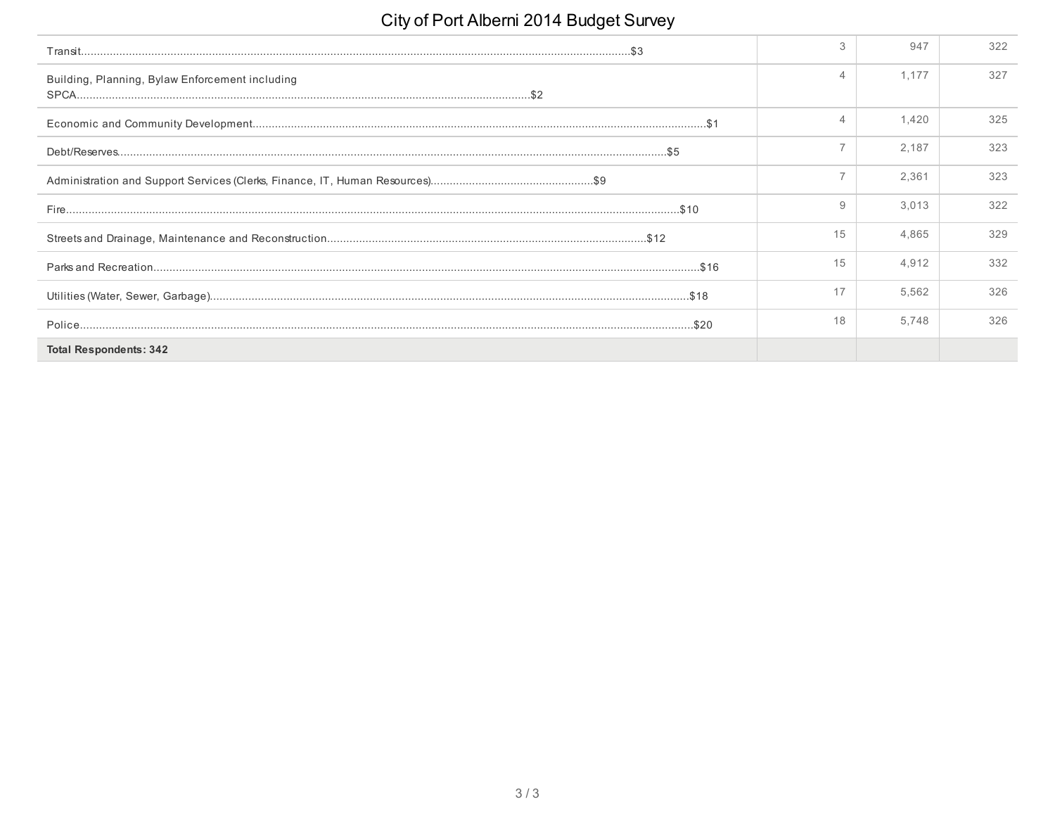|                                                 | 3  | 947   | 322 |
|-------------------------------------------------|----|-------|-----|
| Building, Planning, Bylaw Enforcement including |    | 1.177 | 327 |
|                                                 | 4  | 1.420 | 325 |
|                                                 |    | 2.187 | 323 |
|                                                 |    | 2,361 | 323 |
|                                                 | 9  | 3,013 | 322 |
|                                                 | 15 | 4.865 | 329 |
|                                                 | 15 | 4.912 | 332 |
|                                                 | 17 | 5,562 | 326 |
|                                                 | 18 | 5.748 | 326 |
| <b>Total Respondents: 342</b>                   |    |       |     |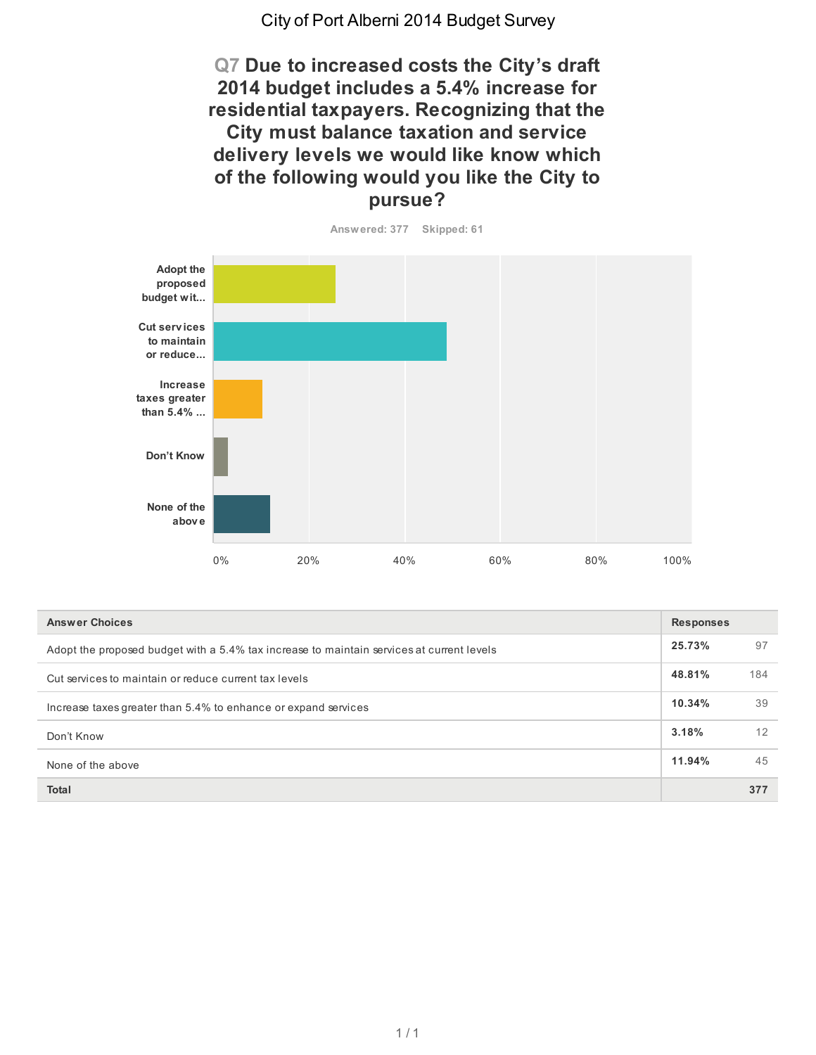**Q7 Due to increased costs the City's draft 2014 budget includes a 5.4% increase for residential taxpayers. Recognizing that the City must balance taxation and service delivery levels we would like know which of the following would you like the City to pursue?**



| <b>Answer Choices</b>                                                                     |        |     |
|-------------------------------------------------------------------------------------------|--------|-----|
| Adopt the proposed budget with a 5.4% tax increase to maintain services at current levels | 25.73% | 97  |
| Cut services to maintain or reduce current tax levels                                     | 48.81% | 184 |
| Increase taxes greater than 5.4% to enhance or expand services                            | 10.34% | 39  |
| Don't Know                                                                                | 3.18%  | 12  |
| None of the above                                                                         | 11.94% | 45  |
| <b>Total</b>                                                                              |        | 377 |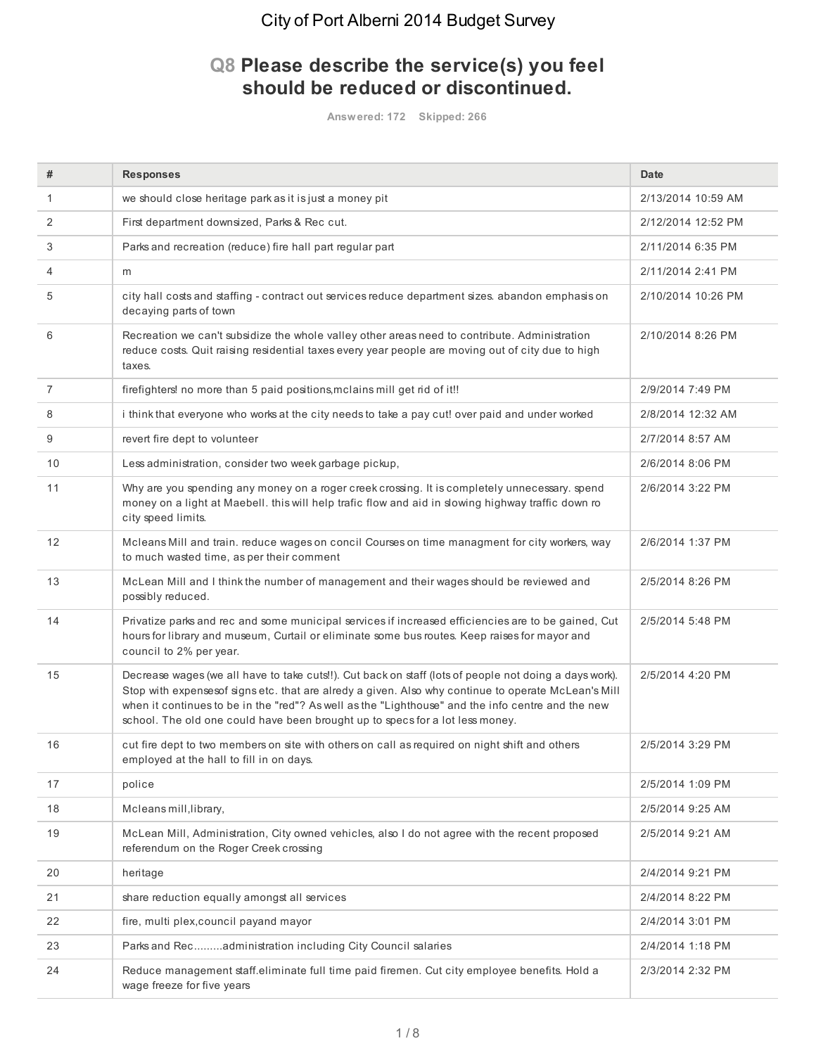#### **Q8 Please describe the service(s) you feel should be reduced or discontinued.**

**Answered: 172 Skipped: 266**

| #              | <b>Responses</b>                                                                                                                                                                                                                                                                                                                                                                                    | <b>Date</b>        |
|----------------|-----------------------------------------------------------------------------------------------------------------------------------------------------------------------------------------------------------------------------------------------------------------------------------------------------------------------------------------------------------------------------------------------------|--------------------|
| 1              | we should close heritage park as it is just a money pit                                                                                                                                                                                                                                                                                                                                             | 2/13/2014 10:59 AM |
| 2              | First department downsized, Parks & Rec cut.                                                                                                                                                                                                                                                                                                                                                        | 2/12/2014 12:52 PM |
| 3              | Parks and recreation (reduce) fire hall part regular part                                                                                                                                                                                                                                                                                                                                           | 2/11/2014 6:35 PM  |
| 4              | m                                                                                                                                                                                                                                                                                                                                                                                                   | 2/11/2014 2:41 PM  |
| 5              | city hall costs and staffing - contract out services reduce department sizes. abandon emphasis on<br>decaying parts of town                                                                                                                                                                                                                                                                         | 2/10/2014 10:26 PM |
| 6              | Recreation we can't subsidize the whole valley other areas need to contribute. Administration<br>reduce costs. Quit raising residential taxes every year people are moving out of city due to high<br>taxes.                                                                                                                                                                                        | 2/10/2014 8:26 PM  |
| $\overline{7}$ | firefighters! no more than 5 paid positions, mclains mill get rid of it!!                                                                                                                                                                                                                                                                                                                           | 2/9/2014 7:49 PM   |
| 8              | i think that everyone who works at the city needs to take a pay cut! over paid and under worked                                                                                                                                                                                                                                                                                                     | 2/8/2014 12:32 AM  |
| 9              | revert fire dept to volunteer                                                                                                                                                                                                                                                                                                                                                                       | 2/7/2014 8:57 AM   |
| 10             | Less administration, consider two week garbage pickup,                                                                                                                                                                                                                                                                                                                                              | 2/6/2014 8:06 PM   |
| 11             | Why are you spending any money on a roger creek crossing. It is completely unnecessary. spend<br>money on a light at Maebell. this will help trafic flow and aid in slowing highway traffic down ro<br>city speed limits.                                                                                                                                                                           | 2/6/2014 3:22 PM   |
| 12             | Mcleans Mill and train. reduce wages on concil Courses on time managment for city workers, way<br>to much wasted time, as per their comment                                                                                                                                                                                                                                                         | 2/6/2014 1:37 PM   |
| 13             | McLean Mill and I think the number of management and their wages should be reviewed and<br>possibly reduced.                                                                                                                                                                                                                                                                                        | 2/5/2014 8:26 PM   |
| 14             | Privatize parks and rec and some municipal services if increased efficiencies are to be gained, Cut<br>hours for library and museum, Curtail or eliminate some bus routes. Keep raises for mayor and<br>council to 2% per year.                                                                                                                                                                     | 2/5/2014 5:48 PM   |
| 15             | Decrease wages (we all have to take cuts!!). Cut back on staff (lots of people not doing a days work).<br>Stop with expensesof signs etc. that are alredy a given. Also why continue to operate McLean's Mill<br>when it continues to be in the "red"? As well as the "Lighthouse" and the info centre and the new<br>school. The old one could have been brought up to specs for a lot less money. | 2/5/2014 4:20 PM   |
| 16             | cut fire dept to two members on site with others on call as required on night shift and others<br>employed at the hall to fill in on days.                                                                                                                                                                                                                                                          | 2/5/2014 3:29 PM   |
| 17             | police                                                                                                                                                                                                                                                                                                                                                                                              | 2/5/2014 1:09 PM   |
| 18             | Mcleans mill, library,                                                                                                                                                                                                                                                                                                                                                                              | 2/5/2014 9:25 AM   |
| 19             | McLean Mill, Administration, City owned vehicles, also I do not agree with the recent proposed<br>referendum on the Roger Creek crossing                                                                                                                                                                                                                                                            | 2/5/2014 9:21 AM   |
| 20             | heritage                                                                                                                                                                                                                                                                                                                                                                                            | 2/4/2014 9:21 PM   |
| 21             | share reduction equally amongst all services                                                                                                                                                                                                                                                                                                                                                        | 2/4/2014 8:22 PM   |
| 22             | fire, multi plex, council payand mayor                                                                                                                                                                                                                                                                                                                                                              | 2/4/2014 3:01 PM   |
| 23             | Parks and Recadministration including City Council salaries                                                                                                                                                                                                                                                                                                                                         | 2/4/2014 1:18 PM   |
| 24             | Reduce management staff.eliminate full time paid firemen. Cut city employee benefits. Hold a<br>wage freeze for five years                                                                                                                                                                                                                                                                          | 2/3/2014 2:32 PM   |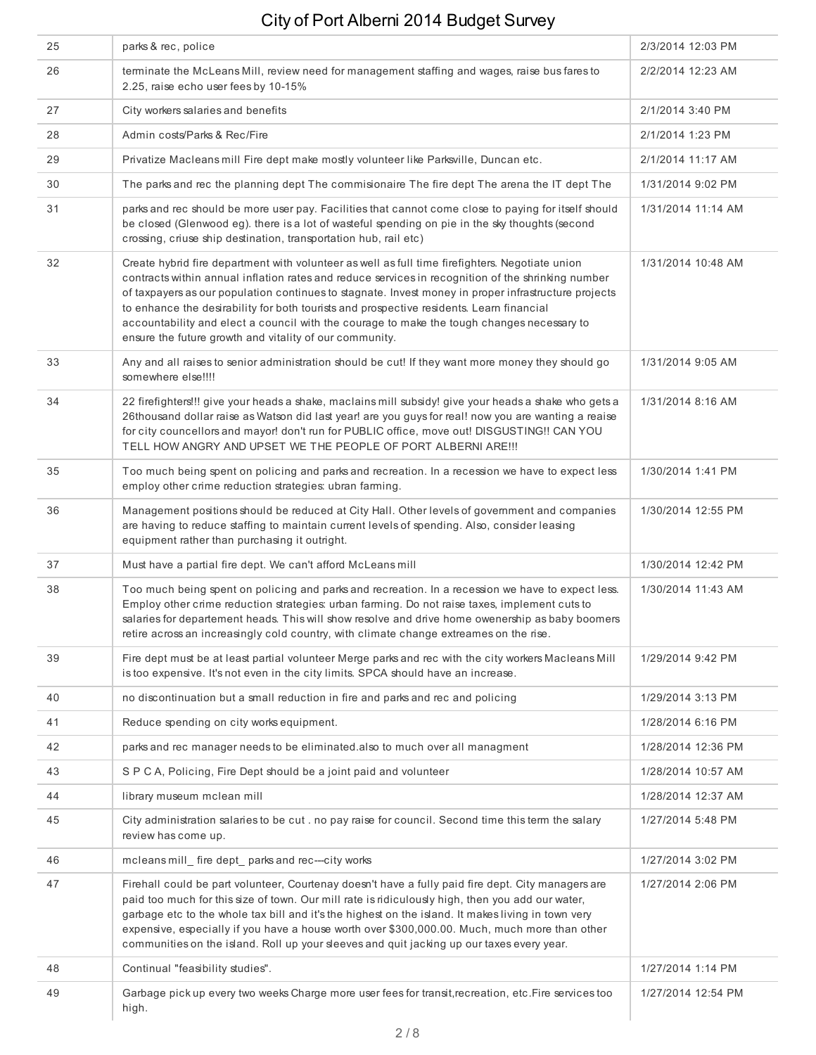| 25 | parks & rec, police                                                                                                                                                                                                                                                                                                                                                                                                                                                                                                                                                | 2/3/2014 12:03 PM  |
|----|--------------------------------------------------------------------------------------------------------------------------------------------------------------------------------------------------------------------------------------------------------------------------------------------------------------------------------------------------------------------------------------------------------------------------------------------------------------------------------------------------------------------------------------------------------------------|--------------------|
| 26 | terminate the McLeans Mill, review need for management staffing and wages, raise bus fares to<br>2.25, raise echo user fees by 10-15%                                                                                                                                                                                                                                                                                                                                                                                                                              | 2/2/2014 12:23 AM  |
| 27 | City workers salaries and benefits                                                                                                                                                                                                                                                                                                                                                                                                                                                                                                                                 | 2/1/2014 3:40 PM   |
| 28 | Admin costs/Parks & Rec/Fire                                                                                                                                                                                                                                                                                                                                                                                                                                                                                                                                       | 2/1/2014 1:23 PM   |
| 29 | Privatize Macleans mill Fire dept make mostly volunteer like Parksville, Duncan etc.                                                                                                                                                                                                                                                                                                                                                                                                                                                                               | 2/1/2014 11:17 AM  |
| 30 | The parks and rec the planning dept The commisionaire The fire dept The arena the IT dept The                                                                                                                                                                                                                                                                                                                                                                                                                                                                      | 1/31/2014 9:02 PM  |
| 31 | parks and rec should be more user pay. Facilities that cannot come close to paying for itself should<br>be closed (Glenwood eg). there is a lot of wasteful spending on pie in the sky thoughts (second<br>crossing, criuse ship destination, transportation hub, rail etc)                                                                                                                                                                                                                                                                                        | 1/31/2014 11:14 AM |
| 32 | Create hybrid fire department with volunteer as well as full time firefighters. Negotiate union<br>contracts within annual inflation rates and reduce services in recognition of the shrinking number<br>of taxpayers as our population continues to stagnate. Invest money in proper infrastructure projects<br>to enhance the desirability for both tourists and prospective residents. Learn financial<br>accountability and elect a council with the courage to make the tough changes necessary to<br>ensure the future growth and vitality of our community. | 1/31/2014 10:48 AM |
| 33 | Any and all raises to senior administration should be cut! If they want more money they should go<br>somewhere else!!!!                                                                                                                                                                                                                                                                                                                                                                                                                                            | 1/31/2014 9:05 AM  |
| 34 | 22 firefighters!!! give your heads a shake, maclains mill subsidy! give your heads a shake who gets a<br>26thousand dollar raise as Watson did last year! are you guys for real! now you are wanting a reaise<br>for city councellors and mayor! don't run for PUBLIC office, move out! DISGUSTING!! CAN YOU<br>TELL HOW ANGRY AND UPSET WE THE PEOPLE OF PORT ALBERNI ARE !!!                                                                                                                                                                                     | 1/31/2014 8:16 AM  |
| 35 | Too much being spent on policing and parks and recreation. In a recession we have to expect less<br>employ other crime reduction strategies: ubran farming.                                                                                                                                                                                                                                                                                                                                                                                                        | 1/30/2014 1:41 PM  |
| 36 | Management positions should be reduced at City Hall. Other levels of government and companies<br>are having to reduce staffing to maintain current levels of spending. Also, consider leasing<br>equipment rather than purchasing it outright.                                                                                                                                                                                                                                                                                                                     | 1/30/2014 12:55 PM |
| 37 | Must have a partial fire dept. We can't afford McLeans mill                                                                                                                                                                                                                                                                                                                                                                                                                                                                                                        | 1/30/2014 12:42 PM |
| 38 | Too much being spent on policing and parks and recreation. In a recession we have to expect less.<br>Employ other crime reduction strategies: urban farming. Do not raise taxes, implement cuts to<br>salaries for departement heads. This will show resolve and drive home owenership as baby boomers<br>retire across an increasingly cold country, with climate change extreames on the rise.                                                                                                                                                                   | 1/30/2014 11:43 AM |
| 39 | Fire dept must be at least partial volunteer Merge parks and rec with the city workers Macleans Mill<br>is too expensive. It's not even in the city limits. SPCA should have an increase.                                                                                                                                                                                                                                                                                                                                                                          | 1/29/2014 9:42 PM  |
| 40 | no discontinuation but a small reduction in fire and parks and rec and policing                                                                                                                                                                                                                                                                                                                                                                                                                                                                                    | 1/29/2014 3:13 PM  |
| 41 | Reduce spending on city works equipment.                                                                                                                                                                                                                                                                                                                                                                                                                                                                                                                           | 1/28/2014 6:16 PM  |
| 42 | parks and rec manager needs to be eliminated also to much over all managment                                                                                                                                                                                                                                                                                                                                                                                                                                                                                       | 1/28/2014 12:36 PM |
| 43 | SPCA, Policing, Fire Dept should be a joint paid and volunteer                                                                                                                                                                                                                                                                                                                                                                                                                                                                                                     | 1/28/2014 10:57 AM |
| 44 | library museum mclean mill                                                                                                                                                                                                                                                                                                                                                                                                                                                                                                                                         | 1/28/2014 12:37 AM |
| 45 | City administration salaries to be cut . no pay raise for council. Second time this term the salary<br>review has come up.                                                                                                                                                                                                                                                                                                                                                                                                                                         | 1/27/2014 5:48 PM  |
| 46 | mcleans mill fire dept parks and rec--city works                                                                                                                                                                                                                                                                                                                                                                                                                                                                                                                   | 1/27/2014 3:02 PM  |
| 47 | Firehall could be part volunteer, Courtenay doesn't have a fully paid fire dept. City managers are<br>paid too much for this size of town. Our mill rate is ridiculously high, then you add our water,<br>garbage etc to the whole tax bill and it's the highest on the island. It makes living in town very<br>expensive, especially if you have a house worth over \$300,000.00. Much, much more than other<br>communities on the island. Roll up your sleeves and quit jacking up our taxes every year.                                                         | 1/27/2014 2:06 PM  |
| 48 | Continual "feasibility studies".                                                                                                                                                                                                                                                                                                                                                                                                                                                                                                                                   | 1/27/2014 1:14 PM  |
| 49 | Garbage pick up every two weeks Charge more user fees for transit, recreation, etc. Fire services too<br>high.                                                                                                                                                                                                                                                                                                                                                                                                                                                     | 1/27/2014 12:54 PM |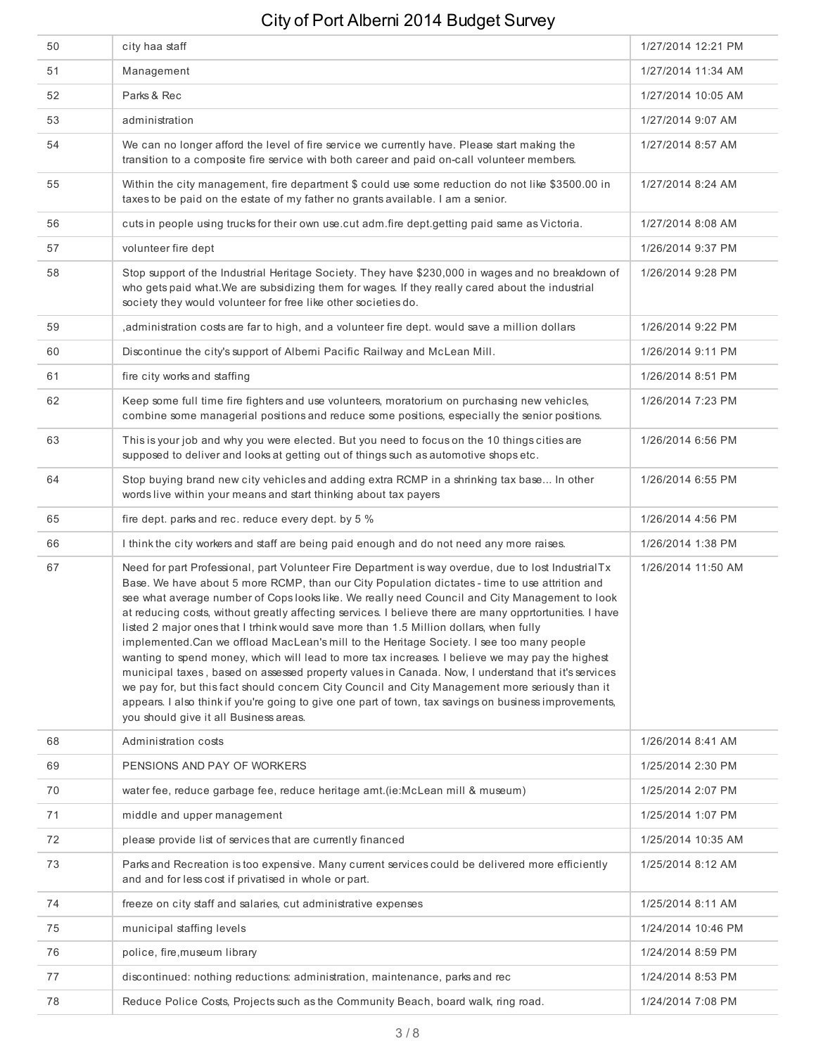| 50 | city haa staff                                                                                                                                                                                                                                                                                                                                                                                                                                                                                                                                                                                                                                                                                                                                                                                                                                                                                                                                                                                                                                                            | 1/27/2014 12:21 PM |
|----|---------------------------------------------------------------------------------------------------------------------------------------------------------------------------------------------------------------------------------------------------------------------------------------------------------------------------------------------------------------------------------------------------------------------------------------------------------------------------------------------------------------------------------------------------------------------------------------------------------------------------------------------------------------------------------------------------------------------------------------------------------------------------------------------------------------------------------------------------------------------------------------------------------------------------------------------------------------------------------------------------------------------------------------------------------------------------|--------------------|
| 51 | Management                                                                                                                                                                                                                                                                                                                                                                                                                                                                                                                                                                                                                                                                                                                                                                                                                                                                                                                                                                                                                                                                | 1/27/2014 11:34 AM |
| 52 | Parks & Rec                                                                                                                                                                                                                                                                                                                                                                                                                                                                                                                                                                                                                                                                                                                                                                                                                                                                                                                                                                                                                                                               | 1/27/2014 10:05 AM |
| 53 | administration                                                                                                                                                                                                                                                                                                                                                                                                                                                                                                                                                                                                                                                                                                                                                                                                                                                                                                                                                                                                                                                            | 1/27/2014 9:07 AM  |
| 54 | We can no longer afford the level of fire service we currently have. Please start making the<br>transition to a composite fire service with both career and paid on-call volunteer members.                                                                                                                                                                                                                                                                                                                                                                                                                                                                                                                                                                                                                                                                                                                                                                                                                                                                               | 1/27/2014 8:57 AM  |
| 55 | Within the city management, fire department \$ could use some reduction do not like \$3500.00 in<br>taxes to be paid on the estate of my father no grants available. I am a senior.                                                                                                                                                                                                                                                                                                                                                                                                                                                                                                                                                                                                                                                                                                                                                                                                                                                                                       | 1/27/2014 8:24 AM  |
| 56 | cuts in people using trucks for their own use cut adm fire dept getting paid same as Victoria.                                                                                                                                                                                                                                                                                                                                                                                                                                                                                                                                                                                                                                                                                                                                                                                                                                                                                                                                                                            | 1/27/2014 8:08 AM  |
| 57 | volunteer fire dept                                                                                                                                                                                                                                                                                                                                                                                                                                                                                                                                                                                                                                                                                                                                                                                                                                                                                                                                                                                                                                                       | 1/26/2014 9:37 PM  |
| 58 | Stop support of the Industrial Heritage Society. They have \$230,000 in wages and no breakdown of<br>who gets paid what. We are subsidizing them for wages. If they really cared about the industrial<br>society they would volunteer for free like other societies do.                                                                                                                                                                                                                                                                                                                                                                                                                                                                                                                                                                                                                                                                                                                                                                                                   | 1/26/2014 9:28 PM  |
| 59 | , administration costs are far to high, and a volunteer fire dept. would save a million dollars                                                                                                                                                                                                                                                                                                                                                                                                                                                                                                                                                                                                                                                                                                                                                                                                                                                                                                                                                                           | 1/26/2014 9:22 PM  |
| 60 | Discontinue the city's support of Alberni Pacific Railway and McLean Mill.                                                                                                                                                                                                                                                                                                                                                                                                                                                                                                                                                                                                                                                                                                                                                                                                                                                                                                                                                                                                | 1/26/2014 9:11 PM  |
| 61 | fire city works and staffing                                                                                                                                                                                                                                                                                                                                                                                                                                                                                                                                                                                                                                                                                                                                                                                                                                                                                                                                                                                                                                              | 1/26/2014 8:51 PM  |
| 62 | Keep some full time fire fighters and use volunteers, moratorium on purchasing new vehicles,<br>combine some managerial positions and reduce some positions, especially the senior positions.                                                                                                                                                                                                                                                                                                                                                                                                                                                                                                                                                                                                                                                                                                                                                                                                                                                                             | 1/26/2014 7:23 PM  |
| 63 | This is your job and why you were elected. But you need to focus on the 10 things cities are<br>supposed to deliver and looks at getting out of things such as automotive shops etc.                                                                                                                                                                                                                                                                                                                                                                                                                                                                                                                                                                                                                                                                                                                                                                                                                                                                                      | 1/26/2014 6:56 PM  |
| 64 | Stop buying brand new city vehicles and adding extra RCMP in a shrinking tax base In other<br>words live within your means and start thinking about tax payers                                                                                                                                                                                                                                                                                                                                                                                                                                                                                                                                                                                                                                                                                                                                                                                                                                                                                                            | 1/26/2014 6:55 PM  |
| 65 | fire dept. parks and rec. reduce every dept. by 5 %                                                                                                                                                                                                                                                                                                                                                                                                                                                                                                                                                                                                                                                                                                                                                                                                                                                                                                                                                                                                                       | 1/26/2014 4:56 PM  |
| 66 | I think the city workers and staff are being paid enough and do not need any more raises.                                                                                                                                                                                                                                                                                                                                                                                                                                                                                                                                                                                                                                                                                                                                                                                                                                                                                                                                                                                 | 1/26/2014 1:38 PM  |
| 67 | Need for part Professional, part Volunteer Fire Department is way overdue, due to lost IndustrialTx<br>Base. We have about 5 more RCMP, than our City Population dictates - time to use attrition and<br>see what average number of Cops looks like. We really need Council and City Management to look<br>at reducing costs, without greatly affecting services. I believe there are many opprtortunities. I have<br>listed 2 major ones that I trhink would save more than 1.5 Million dollars, when fully<br>implemented. Can we offload MacLean's mill to the Heritage Society. I see too many people<br>wanting to spend money, which will lead to more tax increases. I believe we may pay the highest<br>municipal taxes, based on assessed property values in Canada. Now, I understand that it's services<br>we pay for, but this fact should concern City Council and City Management more seriously than it<br>appears. I also think if you're going to give one part of town, tax savings on business improvements,<br>you should give it all Business areas. | 1/26/2014 11:50 AM |
| 68 | Administration costs                                                                                                                                                                                                                                                                                                                                                                                                                                                                                                                                                                                                                                                                                                                                                                                                                                                                                                                                                                                                                                                      | 1/26/2014 8:41 AM  |
| 69 | PENSIONS AND PAY OF WORKERS                                                                                                                                                                                                                                                                                                                                                                                                                                                                                                                                                                                                                                                                                                                                                                                                                                                                                                                                                                                                                                               | 1/25/2014 2:30 PM  |
| 70 | water fee, reduce garbage fee, reduce heritage amt. (ie: McLean mill & museum)                                                                                                                                                                                                                                                                                                                                                                                                                                                                                                                                                                                                                                                                                                                                                                                                                                                                                                                                                                                            | 1/25/2014 2:07 PM  |
| 71 | middle and upper management                                                                                                                                                                                                                                                                                                                                                                                                                                                                                                                                                                                                                                                                                                                                                                                                                                                                                                                                                                                                                                               | 1/25/2014 1:07 PM  |
| 72 | please provide list of services that are currently financed                                                                                                                                                                                                                                                                                                                                                                                                                                                                                                                                                                                                                                                                                                                                                                                                                                                                                                                                                                                                               | 1/25/2014 10:35 AM |
| 73 | Parks and Recreation is too expensive. Many current services could be delivered more efficiently<br>and and for less cost if privatised in whole or part.                                                                                                                                                                                                                                                                                                                                                                                                                                                                                                                                                                                                                                                                                                                                                                                                                                                                                                                 | 1/25/2014 8:12 AM  |
| 74 | freeze on city staff and salaries, cut administrative expenses                                                                                                                                                                                                                                                                                                                                                                                                                                                                                                                                                                                                                                                                                                                                                                                                                                                                                                                                                                                                            | 1/25/2014 8:11 AM  |
| 75 | municipal staffing levels                                                                                                                                                                                                                                                                                                                                                                                                                                                                                                                                                                                                                                                                                                                                                                                                                                                                                                                                                                                                                                                 | 1/24/2014 10:46 PM |
| 76 | police, fire, museum library                                                                                                                                                                                                                                                                                                                                                                                                                                                                                                                                                                                                                                                                                                                                                                                                                                                                                                                                                                                                                                              | 1/24/2014 8:59 PM  |
| 77 | discontinued: nothing reductions: administration, maintenance, parks and rec                                                                                                                                                                                                                                                                                                                                                                                                                                                                                                                                                                                                                                                                                                                                                                                                                                                                                                                                                                                              | 1/24/2014 8:53 PM  |
| 78 | Reduce Police Costs, Projects such as the Community Beach, board walk, ring road.                                                                                                                                                                                                                                                                                                                                                                                                                                                                                                                                                                                                                                                                                                                                                                                                                                                                                                                                                                                         | 1/24/2014 7:08 PM  |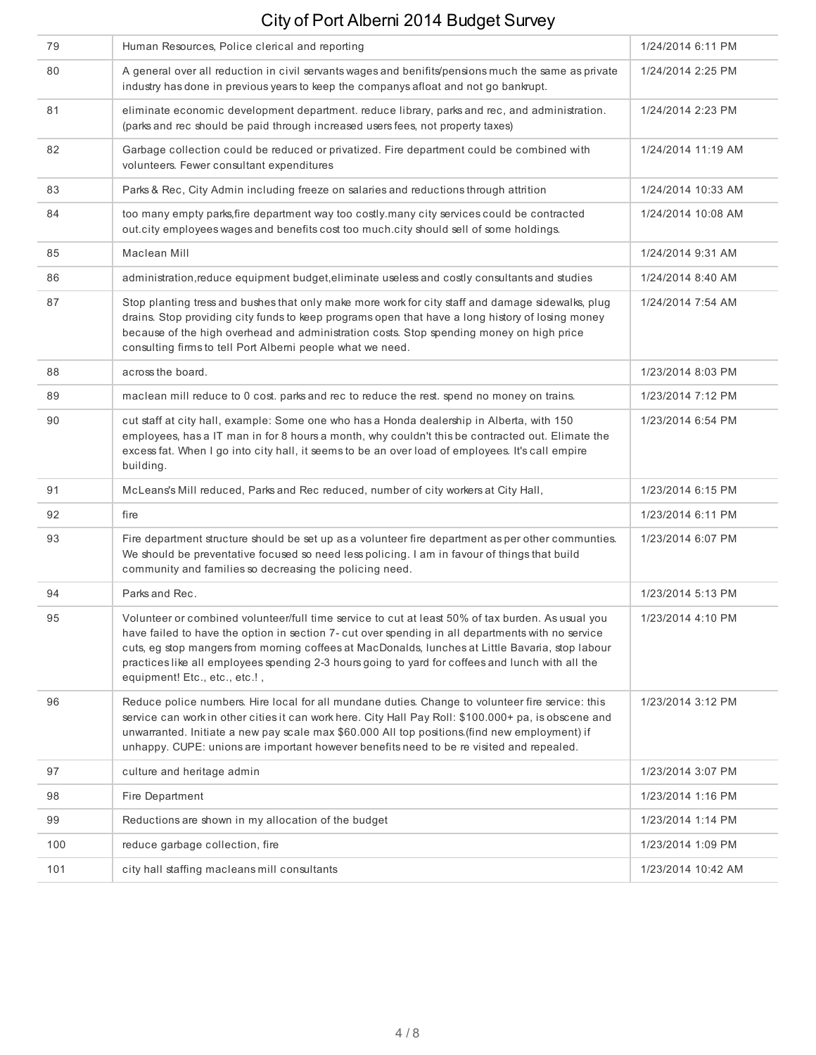| 79  | Human Resources, Police clerical and reporting                                                                                                                                                                                                                                                                                                                                                                                                  | 1/24/2014 6:11 PM  |
|-----|-------------------------------------------------------------------------------------------------------------------------------------------------------------------------------------------------------------------------------------------------------------------------------------------------------------------------------------------------------------------------------------------------------------------------------------------------|--------------------|
| 80  | A general over all reduction in civil servants wages and benifits/pensions much the same as private<br>industry has done in previous years to keep the companys afloat and not go bankrupt.                                                                                                                                                                                                                                                     | 1/24/2014 2:25 PM  |
| 81  | eliminate economic development department. reduce library, parks and rec, and administration.<br>(parks and rec should be paid through increased users fees, not property taxes)                                                                                                                                                                                                                                                                | 1/24/2014 2:23 PM  |
| 82  | Garbage collection could be reduced or privatized. Fire department could be combined with<br>volunteers. Fewer consultant expenditures                                                                                                                                                                                                                                                                                                          | 1/24/2014 11:19 AM |
| 83  | Parks & Rec, City Admin including freeze on salaries and reductions through attrition                                                                                                                                                                                                                                                                                                                                                           | 1/24/2014 10:33 AM |
| 84  | too many empty parks, fire department way too costly.many city services could be contracted<br>out.city employees wages and benefits cost too much.city should sell of some holdings.                                                                                                                                                                                                                                                           | 1/24/2014 10:08 AM |
| 85  | Maclean Mill                                                                                                                                                                                                                                                                                                                                                                                                                                    | 1/24/2014 9:31 AM  |
| 86  | administration, reduce equipment budget, eliminate useless and costly consultants and studies                                                                                                                                                                                                                                                                                                                                                   | 1/24/2014 8:40 AM  |
| 87  | Stop planting tress and bushes that only make more work for city staff and damage sidewalks, plug<br>drains. Stop providing city funds to keep programs open that have a long history of losing money<br>because of the high overhead and administration costs. Stop spending money on high price<br>consulting firms to tell Port Alberni people what we need.                                                                                 | 1/24/2014 7:54 AM  |
| 88  | across the board.                                                                                                                                                                                                                                                                                                                                                                                                                               | 1/23/2014 8:03 PM  |
| 89  | maclean mill reduce to 0 cost. parks and rec to reduce the rest. spend no money on trains.                                                                                                                                                                                                                                                                                                                                                      | 1/23/2014 7:12 PM  |
| 90  | cut staff at city hall, example: Some one who has a Honda dealership in Alberta, with 150<br>employees, has a IT man in for 8 hours a month, why couldn't this be contracted out. Elimate the<br>excess fat. When I go into city hall, it seems to be an over load of employees. It's call empire<br>building.                                                                                                                                  | 1/23/2014 6:54 PM  |
| 91  | McLeans's Mill reduced, Parks and Rec reduced, number of city workers at City Hall,                                                                                                                                                                                                                                                                                                                                                             | 1/23/2014 6:15 PM  |
| 92  | fire                                                                                                                                                                                                                                                                                                                                                                                                                                            | 1/23/2014 6:11 PM  |
| 93  | Fire department structure should be set up as a volunteer fire department as per other communties.<br>We should be preventative focused so need less policing. I am in favour of things that build<br>community and families so decreasing the policing need.                                                                                                                                                                                   | 1/23/2014 6:07 PM  |
| 94  | Parks and Rec.                                                                                                                                                                                                                                                                                                                                                                                                                                  | 1/23/2014 5:13 PM  |
| 95  | Volunteer or combined volunteer/full time service to cut at least 50% of tax burden. As usual you<br>have failed to have the option in section 7- cut over spending in all departments with no service<br>cuts, eg stop mangers from morning coffees at MacDonalds, lunches at Little Bavaria, stop labour<br>practices like all employees spending 2-3 hours going to yard for coffees and lunch with all the<br>equipment! Etc., etc., etc.!, | 1/23/2014 4:10 PM  |
| 96  | Reduce police numbers. Hire local for all mundane duties. Change to volunteer fire service: this<br>service can work in other cities it can work here. City Hall Pay Roll: \$100.000+ pa, is obscene and<br>unwarranted. Initiate a new pay scale max \$60.000 All top positions (find new employment) if<br>unhappy. CUPE: unions are important however benefits need to be re visited and repealed.                                           | 1/23/2014 3:12 PM  |
| 97  | culture and heritage admin                                                                                                                                                                                                                                                                                                                                                                                                                      | 1/23/2014 3:07 PM  |
| 98  | Fire Department                                                                                                                                                                                                                                                                                                                                                                                                                                 | 1/23/2014 1:16 PM  |
| 99  | Reductions are shown in my allocation of the budget                                                                                                                                                                                                                                                                                                                                                                                             | 1/23/2014 1:14 PM  |
| 100 | reduce garbage collection, fire                                                                                                                                                                                                                                                                                                                                                                                                                 | 1/23/2014 1:09 PM  |
| 101 | city hall staffing macleans mill consultants                                                                                                                                                                                                                                                                                                                                                                                                    | 1/23/2014 10:42 AM |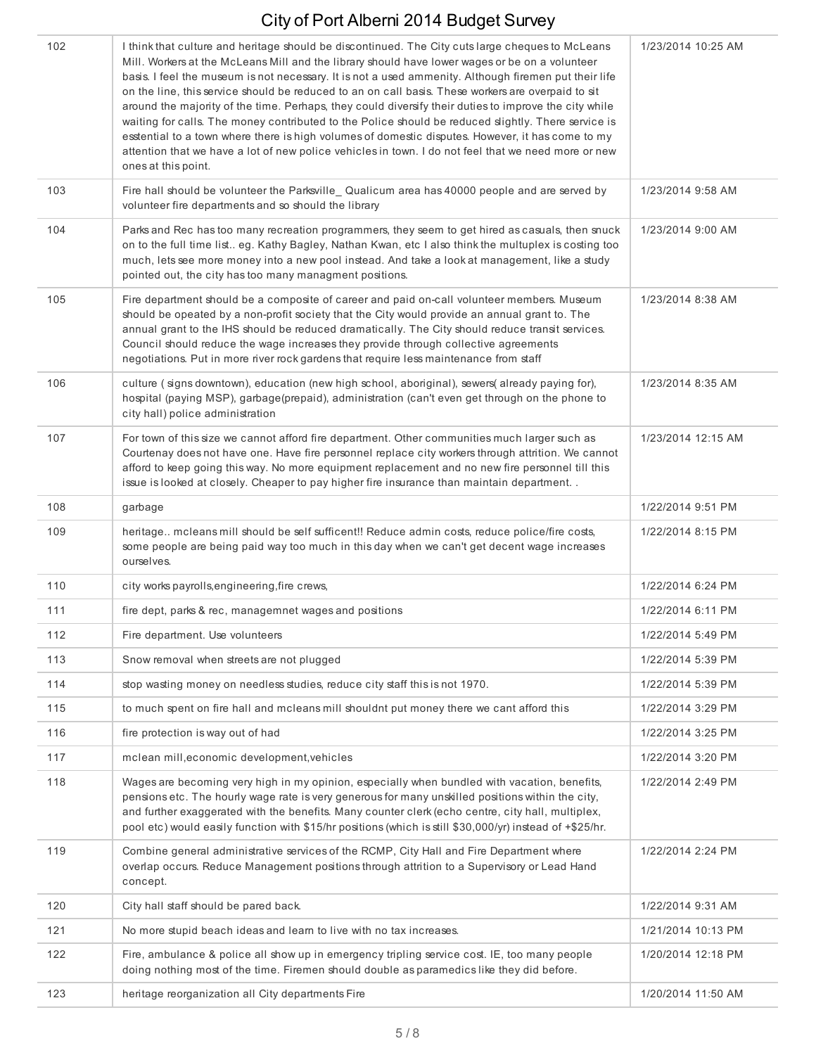| 102 | I think that culture and heritage should be discontinued. The City cuts large cheques to McLeans<br>Mill. Workers at the McLeans Mill and the library should have lower wages or be on a volunteer<br>basis. I feel the museum is not necessary. It is not a used ammenity. Although firemen put their life<br>on the line, this service should be reduced to an on call basis. These workers are overpaid to sit<br>around the majority of the time. Perhaps, they could diversify their duties to improve the city while<br>waiting for calls. The money contributed to the Police should be reduced slightly. There service is<br>esstential to a town where there is high volumes of domestic disputes. However, it has come to my<br>attention that we have a lot of new police vehicles in town. I do not feel that we need more or new<br>ones at this point. | 1/23/2014 10:25 AM |
|-----|----------------------------------------------------------------------------------------------------------------------------------------------------------------------------------------------------------------------------------------------------------------------------------------------------------------------------------------------------------------------------------------------------------------------------------------------------------------------------------------------------------------------------------------------------------------------------------------------------------------------------------------------------------------------------------------------------------------------------------------------------------------------------------------------------------------------------------------------------------------------|--------------------|
| 103 | Fire hall should be volunteer the Parksville_Qualicum area has 40000 people and are served by<br>volunteer fire departments and so should the library                                                                                                                                                                                                                                                                                                                                                                                                                                                                                                                                                                                                                                                                                                                | 1/23/2014 9:58 AM  |
| 104 | Parks and Rec has too many recreation programmers, they seem to get hired as casuals, then snuck<br>on to the full time list eg. Kathy Bagley, Nathan Kwan, etc I also think the multuplex is costing too<br>much, lets see more money into a new pool instead. And take a look at management, like a study<br>pointed out, the city has too many managment positions.                                                                                                                                                                                                                                                                                                                                                                                                                                                                                               | 1/23/2014 9:00 AM  |
| 105 | Fire department should be a composite of career and paid on-call volunteer members. Museum<br>should be opeated by a non-profit society that the City would provide an annual grant to. The<br>annual grant to the IHS should be reduced dramatically. The City should reduce transit services.<br>Council should reduce the wage increases they provide through collective agreements<br>negotiations. Put in more river rock gardens that require less maintenance from staff                                                                                                                                                                                                                                                                                                                                                                                      | 1/23/2014 8:38 AM  |
| 106 | culture (signs downtown), education (new high school, aboriginal), sewers(already paying for),<br>hospital (paying MSP), garbage(prepaid), administration (can't even get through on the phone to<br>city hall) police administration                                                                                                                                                                                                                                                                                                                                                                                                                                                                                                                                                                                                                                | 1/23/2014 8:35 AM  |
| 107 | For town of this size we cannot afford fire department. Other communities much larger such as<br>Courtenay does not have one. Have fire personnel replace city workers through attrition. We cannot<br>afford to keep going this way. No more equipment replacement and no new fire personnel till this<br>issue is looked at closely. Cheaper to pay higher fire insurance than maintain department                                                                                                                                                                                                                                                                                                                                                                                                                                                                 | 1/23/2014 12:15 AM |
| 108 | garbage                                                                                                                                                                                                                                                                                                                                                                                                                                                                                                                                                                                                                                                                                                                                                                                                                                                              | 1/22/2014 9:51 PM  |
| 109 | heritage mcleans mill should be self sufficent!! Reduce admin costs, reduce police/fire costs,<br>some people are being paid way too much in this day when we can't get decent wage increases<br>ourselves.                                                                                                                                                                                                                                                                                                                                                                                                                                                                                                                                                                                                                                                          | 1/22/2014 8:15 PM  |
| 110 | city works payrolls, engineering, fire crews,                                                                                                                                                                                                                                                                                                                                                                                                                                                                                                                                                                                                                                                                                                                                                                                                                        | 1/22/2014 6:24 PM  |
| 111 | fire dept, parks & rec, managemnet wages and positions                                                                                                                                                                                                                                                                                                                                                                                                                                                                                                                                                                                                                                                                                                                                                                                                               | 1/22/2014 6:11 PM  |
| 112 | Fire department. Use volunteers                                                                                                                                                                                                                                                                                                                                                                                                                                                                                                                                                                                                                                                                                                                                                                                                                                      | 1/22/2014 5:49 PM  |
| 113 | Snow removal when streets are not plugged                                                                                                                                                                                                                                                                                                                                                                                                                                                                                                                                                                                                                                                                                                                                                                                                                            | 1/22/2014 5:39 PM  |
| 114 | stop wasting money on needless studies, reduce city staff this is not 1970.                                                                                                                                                                                                                                                                                                                                                                                                                                                                                                                                                                                                                                                                                                                                                                                          | 1/22/2014 5:39 PM  |
| 115 | to much spent on fire hall and mcleans mill shouldnt put money there we cant afford this                                                                                                                                                                                                                                                                                                                                                                                                                                                                                                                                                                                                                                                                                                                                                                             | 1/22/2014 3:29 PM  |
| 116 | fire protection is way out of had                                                                                                                                                                                                                                                                                                                                                                                                                                                                                                                                                                                                                                                                                                                                                                                                                                    | 1/22/2014 3:25 PM  |
| 117 | mclean mill, economic development, vehicles                                                                                                                                                                                                                                                                                                                                                                                                                                                                                                                                                                                                                                                                                                                                                                                                                          | 1/22/2014 3:20 PM  |
| 118 | Wages are becoming very high in my opinion, especially when bundled with vacation, benefits,<br>pensions etc. The hourly wage rate is very generous for many unskilled positions within the city,<br>and further exaggerated with the benefits. Many counter clerk (echo centre, city hall, multiplex,<br>pool etc) would easily function with \$15/hr positions (which is still \$30,000/yr) instead of +\$25/hr.                                                                                                                                                                                                                                                                                                                                                                                                                                                   | 1/22/2014 2:49 PM  |
| 119 | Combine general administrative services of the RCMP, City Hall and Fire Department where<br>overlap occurs. Reduce Management positions through attrition to a Supervisory or Lead Hand<br>concept.                                                                                                                                                                                                                                                                                                                                                                                                                                                                                                                                                                                                                                                                  | 1/22/2014 2:24 PM  |
| 120 | City hall staff should be pared back.                                                                                                                                                                                                                                                                                                                                                                                                                                                                                                                                                                                                                                                                                                                                                                                                                                | 1/22/2014 9:31 AM  |
| 121 | No more stupid beach ideas and learn to live with no tax increases.                                                                                                                                                                                                                                                                                                                                                                                                                                                                                                                                                                                                                                                                                                                                                                                                  | 1/21/2014 10:13 PM |
| 122 | Fire, ambulance & police all show up in emergency tripling service cost. IE, too many people<br>doing nothing most of the time. Firemen should double as paramedics like they did before.                                                                                                                                                                                                                                                                                                                                                                                                                                                                                                                                                                                                                                                                            | 1/20/2014 12:18 PM |
| 123 | heritage reorganization all City departments Fire                                                                                                                                                                                                                                                                                                                                                                                                                                                                                                                                                                                                                                                                                                                                                                                                                    | 1/20/2014 11:50 AM |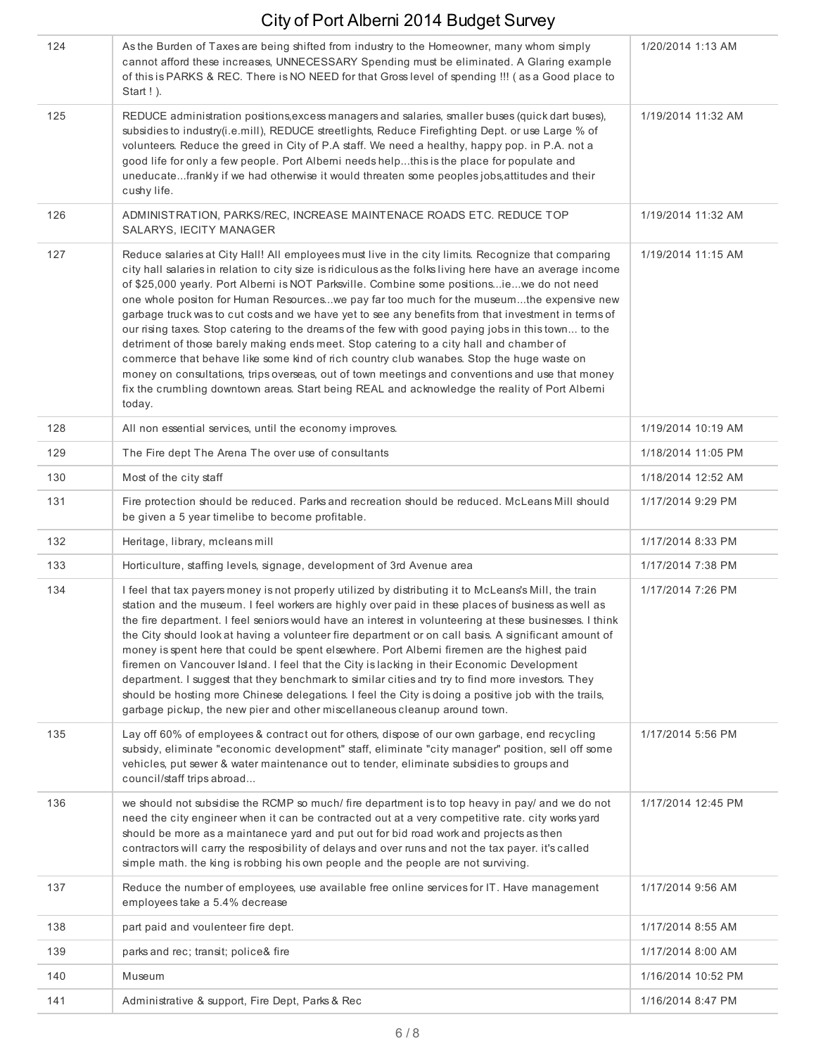| 124 | As the Burden of Taxes are being shifted from industry to the Homeowner, many whom simply<br>cannot afford these increases, UNNECESSARY Spending must be eliminated. A Glaring example<br>of this is PARKS & REC. There is NO NEED for that Gross level of spending !!! (as a Good place to<br>Start ! ).                                                                                                                                                                                                                                                                                                                                                                                                                                                                                                                                                                                                                                                                                                                    | 1/20/2014 1:13 AM  |
|-----|------------------------------------------------------------------------------------------------------------------------------------------------------------------------------------------------------------------------------------------------------------------------------------------------------------------------------------------------------------------------------------------------------------------------------------------------------------------------------------------------------------------------------------------------------------------------------------------------------------------------------------------------------------------------------------------------------------------------------------------------------------------------------------------------------------------------------------------------------------------------------------------------------------------------------------------------------------------------------------------------------------------------------|--------------------|
| 125 | REDUCE administration positions, excess managers and salaries, smaller buses (quick dart buses),<br>subsidies to industry(i.e.mill), REDUCE streetlights, Reduce Firefighting Dept. or use Large % of<br>volunteers. Reduce the greed in City of P.A staff. We need a healthy, happy pop. in P.A. not a<br>good life for only a few people. Port Alberni needs helpthis is the place for populate and<br>uneducatefrankly if we had otherwise it would threaten some peoples jobs, attitudes and their<br>cushy life.                                                                                                                                                                                                                                                                                                                                                                                                                                                                                                        | 1/19/2014 11:32 AM |
| 126 | ADMINISTRATION, PARKS/REC, INCREASE MAINTENACE ROADS ETC. REDUCE TOP<br>SALARYS, IECITY MANAGER                                                                                                                                                                                                                                                                                                                                                                                                                                                                                                                                                                                                                                                                                                                                                                                                                                                                                                                              | 1/19/2014 11:32 AM |
| 127 | Reduce salaries at City Hall! All employees must live in the city limits. Recognize that comparing<br>city hall salaries in relation to city size is ridiculous as the folks living here have an average income<br>of \$25,000 yearly. Port Alberni is NOT Parksville. Combine some positionsiewe do not need<br>one whole positon for Human Resourceswe pay far too much for the museumthe expensive new<br>garbage truck was to cut costs and we have yet to see any benefits from that investment in terms of<br>our rising taxes. Stop catering to the dreams of the few with good paying jobs in this town to the<br>detriment of those barely making ends meet. Stop catering to a city hall and chamber of<br>commerce that behave like some kind of rich country club wanabes. Stop the huge waste on<br>money on consultations, trips overseas, out of town meetings and conventions and use that money<br>fix the crumbling downtown areas. Start being REAL and acknowledge the reality of Port Alberni<br>today. | 1/19/2014 11:15 AM |
| 128 | All non essential services, until the economy improves.                                                                                                                                                                                                                                                                                                                                                                                                                                                                                                                                                                                                                                                                                                                                                                                                                                                                                                                                                                      | 1/19/2014 10:19 AM |
| 129 | The Fire dept The Arena The over use of consultants                                                                                                                                                                                                                                                                                                                                                                                                                                                                                                                                                                                                                                                                                                                                                                                                                                                                                                                                                                          | 1/18/2014 11:05 PM |
| 130 | Most of the city staff                                                                                                                                                                                                                                                                                                                                                                                                                                                                                                                                                                                                                                                                                                                                                                                                                                                                                                                                                                                                       | 1/18/2014 12:52 AM |
| 131 | Fire protection should be reduced. Parks and recreation should be reduced. McLeans Mill should<br>be given a 5 year timelibe to become profitable.                                                                                                                                                                                                                                                                                                                                                                                                                                                                                                                                                                                                                                                                                                                                                                                                                                                                           | 1/17/2014 9:29 PM  |
| 132 | Heritage, library, mcleans mill                                                                                                                                                                                                                                                                                                                                                                                                                                                                                                                                                                                                                                                                                                                                                                                                                                                                                                                                                                                              | 1/17/2014 8:33 PM  |
| 133 | Horticulture, staffing levels, signage, development of 3rd Avenue area                                                                                                                                                                                                                                                                                                                                                                                                                                                                                                                                                                                                                                                                                                                                                                                                                                                                                                                                                       | 1/17/2014 7:38 PM  |
| 134 | I feel that tax payers money is not properly utilized by distributing it to McLeans's Mill, the train<br>station and the museum. I feel workers are highly over paid in these places of business as well as<br>the fire department. I feel seniors would have an interest in volunteering at these businesses. I think<br>the City should look at having a volunteer fire department or on call basis. A significant amount of<br>money is spent here that could be spent elsewhere. Port Alberni firemen are the highest paid<br>firemen on Vancouver Island. I feel that the City is lacking in their Economic Development<br>department. I suggest that they benchmark to similar cities and try to find more investors. They<br>should be hosting more Chinese delegations. I feel the City is doing a positive job with the trails,<br>garbage pickup, the new pier and other miscellaneous cleanup around town.                                                                                                        | 1/17/2014 7:26 PM  |
| 135 | Lay off 60% of employees & contract out for others, dispose of our own garbage, end recycling<br>subsidy, eliminate "economic development" staff, eliminate "city manager" position, sell off some<br>vehicles, put sewer & water maintenance out to tender, eliminate subsidies to groups and<br>council/staff trips abroad                                                                                                                                                                                                                                                                                                                                                                                                                                                                                                                                                                                                                                                                                                 | 1/17/2014 5:56 PM  |
| 136 | we should not subsidise the RCMP so much/ fire department is to top heavy in pay/ and we do not<br>need the city engineer when it can be contracted out at a very competitive rate. city works yard<br>should be more as a maintanece yard and put out for bid road work and projects as then<br>contractors will carry the resposibility of delays and over runs and not the tax payer. it's called<br>simple math. the king is robbing his own people and the people are not surviving.                                                                                                                                                                                                                                                                                                                                                                                                                                                                                                                                    | 1/17/2014 12:45 PM |
| 137 | Reduce the number of employees, use available free online services for IT. Have management<br>employees take a 5.4% decrease                                                                                                                                                                                                                                                                                                                                                                                                                                                                                                                                                                                                                                                                                                                                                                                                                                                                                                 | 1/17/2014 9:56 AM  |
| 138 | part paid and voulenteer fire dept.                                                                                                                                                                                                                                                                                                                                                                                                                                                                                                                                                                                                                                                                                                                                                                                                                                                                                                                                                                                          | 1/17/2014 8:55 AM  |
| 139 | parks and rec; transit; police& fire                                                                                                                                                                                                                                                                                                                                                                                                                                                                                                                                                                                                                                                                                                                                                                                                                                                                                                                                                                                         | 1/17/2014 8:00 AM  |
| 140 | Museum                                                                                                                                                                                                                                                                                                                                                                                                                                                                                                                                                                                                                                                                                                                                                                                                                                                                                                                                                                                                                       | 1/16/2014 10:52 PM |
| 141 | Administrative & support, Fire Dept, Parks & Rec                                                                                                                                                                                                                                                                                                                                                                                                                                                                                                                                                                                                                                                                                                                                                                                                                                                                                                                                                                             | 1/16/2014 8:47 PM  |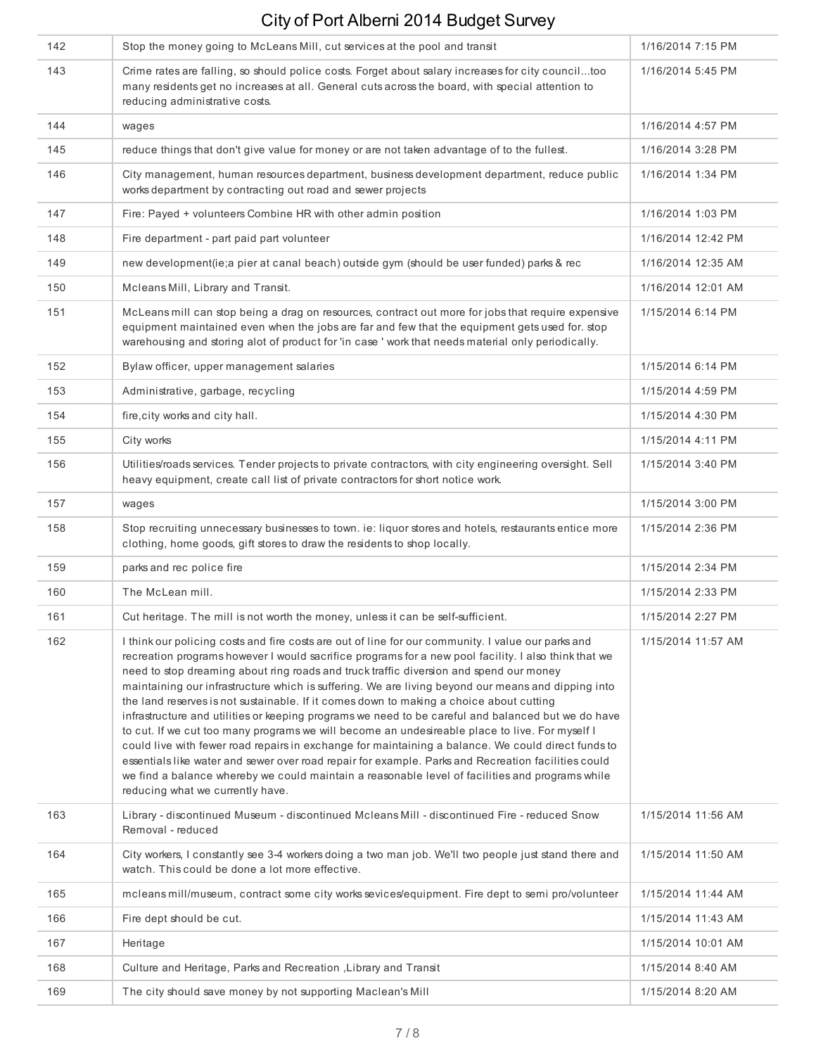| 142 | Stop the money going to McLeans Mill, cut services at the pool and transit                                                                                                                                                                                                                                                                                                                                                                                                                                                                                                                                                                                                                                                                                                                                                                                                                                                                                                                                                                                        | 1/16/2014 7:15 PM  |
|-----|-------------------------------------------------------------------------------------------------------------------------------------------------------------------------------------------------------------------------------------------------------------------------------------------------------------------------------------------------------------------------------------------------------------------------------------------------------------------------------------------------------------------------------------------------------------------------------------------------------------------------------------------------------------------------------------------------------------------------------------------------------------------------------------------------------------------------------------------------------------------------------------------------------------------------------------------------------------------------------------------------------------------------------------------------------------------|--------------------|
| 143 | Crime rates are falling, so should police costs. Forget about salary increases for city counciltoo<br>many residents get no increases at all. General cuts across the board, with special attention to<br>reducing administrative costs.                                                                                                                                                                                                                                                                                                                                                                                                                                                                                                                                                                                                                                                                                                                                                                                                                          | 1/16/2014 5:45 PM  |
| 144 | wages                                                                                                                                                                                                                                                                                                                                                                                                                                                                                                                                                                                                                                                                                                                                                                                                                                                                                                                                                                                                                                                             | 1/16/2014 4:57 PM  |
| 145 | reduce things that don't give value for money or are not taken advantage of to the fullest.                                                                                                                                                                                                                                                                                                                                                                                                                                                                                                                                                                                                                                                                                                                                                                                                                                                                                                                                                                       | 1/16/2014 3:28 PM  |
| 146 | City management, human resources department, business development department, reduce public<br>works department by contracting out road and sewer projects                                                                                                                                                                                                                                                                                                                                                                                                                                                                                                                                                                                                                                                                                                                                                                                                                                                                                                        | 1/16/2014 1:34 PM  |
| 147 | Fire: Payed + volunteers Combine HR with other admin position                                                                                                                                                                                                                                                                                                                                                                                                                                                                                                                                                                                                                                                                                                                                                                                                                                                                                                                                                                                                     | 1/16/2014 1:03 PM  |
| 148 | Fire department - part paid part volunteer                                                                                                                                                                                                                                                                                                                                                                                                                                                                                                                                                                                                                                                                                                                                                                                                                                                                                                                                                                                                                        | 1/16/2014 12:42 PM |
| 149 | new development(ie;a pier at canal beach) outside gym (should be user funded) parks & rec                                                                                                                                                                                                                                                                                                                                                                                                                                                                                                                                                                                                                                                                                                                                                                                                                                                                                                                                                                         | 1/16/2014 12:35 AM |
| 150 | Mcleans Mill, Library and Transit.                                                                                                                                                                                                                                                                                                                                                                                                                                                                                                                                                                                                                                                                                                                                                                                                                                                                                                                                                                                                                                | 1/16/2014 12:01 AM |
| 151 | McLeans mill can stop being a drag on resources, contract out more for jobs that require expensive<br>equipment maintained even when the jobs are far and few that the equipment gets used for. stop<br>warehousing and storing alot of product for 'in case ' work that needs material only periodically.                                                                                                                                                                                                                                                                                                                                                                                                                                                                                                                                                                                                                                                                                                                                                        | 1/15/2014 6:14 PM  |
| 152 | Bylaw officer, upper management salaries                                                                                                                                                                                                                                                                                                                                                                                                                                                                                                                                                                                                                                                                                                                                                                                                                                                                                                                                                                                                                          | 1/15/2014 6:14 PM  |
| 153 | Administrative, garbage, recycling                                                                                                                                                                                                                                                                                                                                                                                                                                                                                                                                                                                                                                                                                                                                                                                                                                                                                                                                                                                                                                | 1/15/2014 4:59 PM  |
| 154 | fire, city works and city hall.                                                                                                                                                                                                                                                                                                                                                                                                                                                                                                                                                                                                                                                                                                                                                                                                                                                                                                                                                                                                                                   | 1/15/2014 4:30 PM  |
| 155 | City works                                                                                                                                                                                                                                                                                                                                                                                                                                                                                                                                                                                                                                                                                                                                                                                                                                                                                                                                                                                                                                                        | 1/15/2014 4:11 PM  |
| 156 | Utilities/roads services. Tender projects to private contractors, with city engineering oversight. Sell<br>heavy equipment, create call list of private contractors for short notice work.                                                                                                                                                                                                                                                                                                                                                                                                                                                                                                                                                                                                                                                                                                                                                                                                                                                                        | 1/15/2014 3:40 PM  |
| 157 | wages                                                                                                                                                                                                                                                                                                                                                                                                                                                                                                                                                                                                                                                                                                                                                                                                                                                                                                                                                                                                                                                             | 1/15/2014 3:00 PM  |
| 158 | Stop recruiting unnecessary businesses to town. ie: liquor stores and hotels, restaurants entice more<br>clothing, home goods, gift stores to draw the residents to shop locally.                                                                                                                                                                                                                                                                                                                                                                                                                                                                                                                                                                                                                                                                                                                                                                                                                                                                                 | 1/15/2014 2:36 PM  |
| 159 | parks and rec police fire                                                                                                                                                                                                                                                                                                                                                                                                                                                                                                                                                                                                                                                                                                                                                                                                                                                                                                                                                                                                                                         | 1/15/2014 2:34 PM  |
| 160 | The McLean mill.                                                                                                                                                                                                                                                                                                                                                                                                                                                                                                                                                                                                                                                                                                                                                                                                                                                                                                                                                                                                                                                  | 1/15/2014 2:33 PM  |
| 161 | Cut heritage. The mill is not worth the money, unless it can be self-sufficient.                                                                                                                                                                                                                                                                                                                                                                                                                                                                                                                                                                                                                                                                                                                                                                                                                                                                                                                                                                                  | 1/15/2014 2:27 PM  |
| 162 | I think our policing costs and fire costs are out of line for our community. I value our parks and<br>recreation programs however I would sacrifice programs for a new pool facility. I also think that we<br>need to stop dreaming about ring roads and truck traffic diversion and spend our money<br>maintaining our infrastructure which is suffering. We are living beyond our means and dipping into<br>the land reserves is not sustainable. If it comes down to making a choice about cutting<br>infrastructure and utilities or keeping programs we need to be careful and balanced but we do have<br>to cut. If we cut too many programs we will become an undesireable place to live. For myself I<br>could live with fewer road repairs in exchange for maintaining a balance. We could direct funds to<br>essentials like water and sewer over road repair for example. Parks and Recreation facilities could<br>we find a balance whereby we could maintain a reasonable level of facilities and programs while<br>reducing what we currently have. | 1/15/2014 11:57 AM |
| 163 | Library - discontinued Museum - discontinued Mcleans Mill - discontinued Fire - reduced Snow<br>Removal - reduced                                                                                                                                                                                                                                                                                                                                                                                                                                                                                                                                                                                                                                                                                                                                                                                                                                                                                                                                                 | 1/15/2014 11:56 AM |
| 164 | City workers, I constantly see 3-4 workers doing a two man job. We'll two people just stand there and<br>watch. This could be done a lot more effective.                                                                                                                                                                                                                                                                                                                                                                                                                                                                                                                                                                                                                                                                                                                                                                                                                                                                                                          | 1/15/2014 11:50 AM |
| 165 | mcleans mill/museum, contract some city works sevices/equipment. Fire dept to semi pro/volunteer                                                                                                                                                                                                                                                                                                                                                                                                                                                                                                                                                                                                                                                                                                                                                                                                                                                                                                                                                                  | 1/15/2014 11:44 AM |
| 166 | Fire dept should be cut.                                                                                                                                                                                                                                                                                                                                                                                                                                                                                                                                                                                                                                                                                                                                                                                                                                                                                                                                                                                                                                          | 1/15/2014 11:43 AM |
| 167 | Heritage                                                                                                                                                                                                                                                                                                                                                                                                                                                                                                                                                                                                                                                                                                                                                                                                                                                                                                                                                                                                                                                          | 1/15/2014 10:01 AM |
| 168 | Culture and Heritage, Parks and Recreation, Library and Transit                                                                                                                                                                                                                                                                                                                                                                                                                                                                                                                                                                                                                                                                                                                                                                                                                                                                                                                                                                                                   | 1/15/2014 8:40 AM  |
| 169 | The city should save money by not supporting Maclean's Mill                                                                                                                                                                                                                                                                                                                                                                                                                                                                                                                                                                                                                                                                                                                                                                                                                                                                                                                                                                                                       | 1/15/2014 8:20 AM  |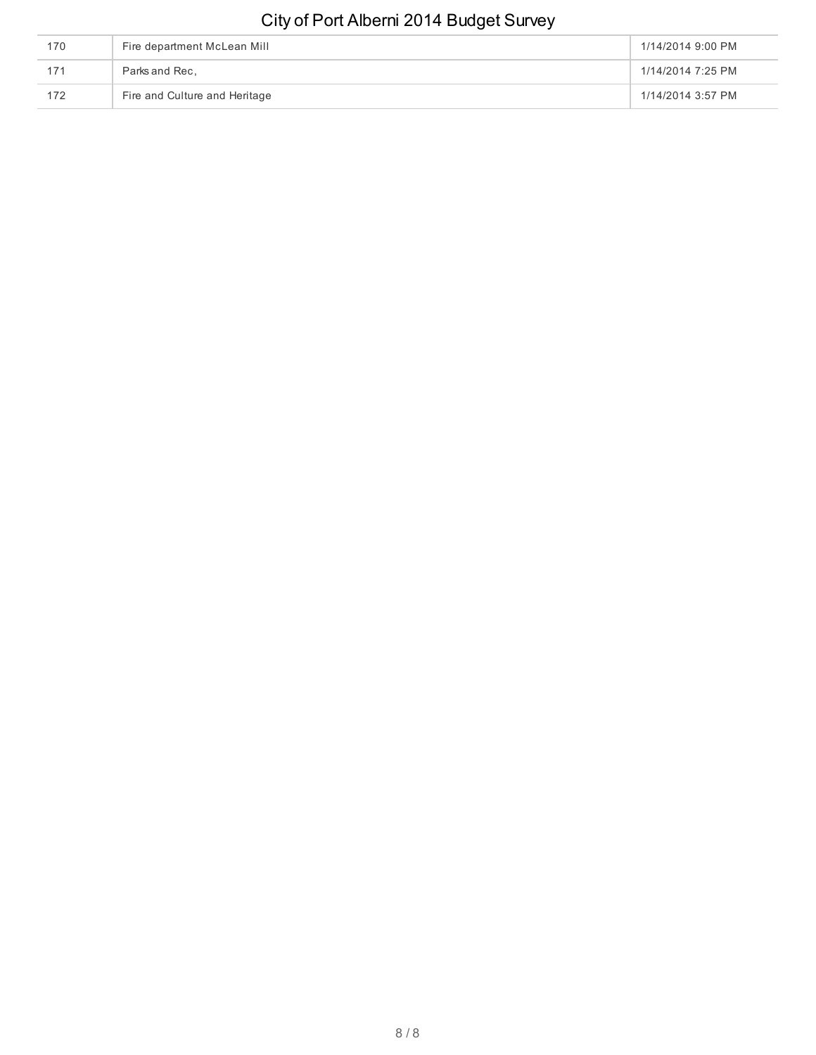| 170 | Fire department McLean Mill   | 1/14/2014 9:00 PM |
|-----|-------------------------------|-------------------|
| 171 | Parks and Rec.                | 1/14/2014 7:25 PM |
| 172 | Fire and Culture and Heritage | 1/14/2014 3:57 PM |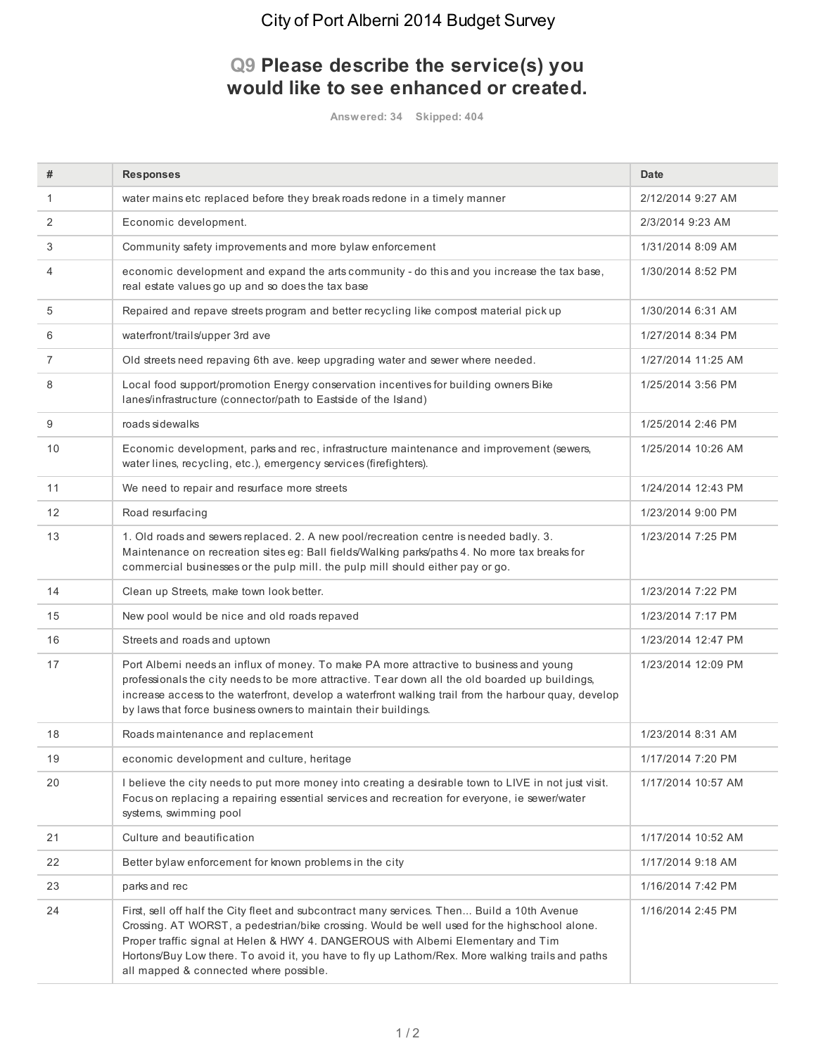#### **Q9 Please describe the service(s) you would like to see enhanced or created.**

**Answered: 34 Skipped: 404**

| #  | <b>Responses</b>                                                                                                                                                                                                                                                                                                                                                                                                               | <b>Date</b>        |
|----|--------------------------------------------------------------------------------------------------------------------------------------------------------------------------------------------------------------------------------------------------------------------------------------------------------------------------------------------------------------------------------------------------------------------------------|--------------------|
| 1  | water mains etc replaced before they break roads redone in a timely manner                                                                                                                                                                                                                                                                                                                                                     | 2/12/2014 9:27 AM  |
| 2  | Economic development.                                                                                                                                                                                                                                                                                                                                                                                                          | 2/3/2014 9:23 AM   |
| 3  | Community safety improvements and more bylaw enforcement                                                                                                                                                                                                                                                                                                                                                                       | 1/31/2014 8:09 AM  |
| 4  | economic development and expand the arts community - do this and you increase the tax base,<br>real estate values go up and so does the tax base                                                                                                                                                                                                                                                                               | 1/30/2014 8:52 PM  |
| 5  | Repaired and repave streets program and better recycling like compost material pick up                                                                                                                                                                                                                                                                                                                                         | 1/30/2014 6:31 AM  |
| 6  | waterfront/trails/upper 3rd ave                                                                                                                                                                                                                                                                                                                                                                                                | 1/27/2014 8:34 PM  |
| 7  | Old streets need repaving 6th ave. keep upgrading water and sewer where needed.                                                                                                                                                                                                                                                                                                                                                | 1/27/2014 11:25 AM |
| 8  | Local food support/promotion Energy conservation incentives for building owners Bike<br>lanes/infrastructure (connector/path to Eastside of the Island)                                                                                                                                                                                                                                                                        | 1/25/2014 3:56 PM  |
| 9  | roads sidewalks                                                                                                                                                                                                                                                                                                                                                                                                                | 1/25/2014 2:46 PM  |
| 10 | Economic development, parks and rec, infrastructure maintenance and improvement (sewers,<br>water lines, recycling, etc.), emergency services (firefighters).                                                                                                                                                                                                                                                                  | 1/25/2014 10:26 AM |
| 11 | We need to repair and resurface more streets                                                                                                                                                                                                                                                                                                                                                                                   | 1/24/2014 12:43 PM |
| 12 | Road resurfacing                                                                                                                                                                                                                                                                                                                                                                                                               | 1/23/2014 9:00 PM  |
| 13 | 1. Old roads and sewers replaced. 2. A new pool/recreation centre is needed badly. 3.<br>Maintenance on recreation sites eg: Ball fields/Walking parks/paths 4. No more tax breaks for<br>commercial businesses or the pulp mill. the pulp mill should either pay or go.                                                                                                                                                       | 1/23/2014 7:25 PM  |
| 14 | Clean up Streets, make town look better.                                                                                                                                                                                                                                                                                                                                                                                       | 1/23/2014 7:22 PM  |
| 15 | New pool would be nice and old roads repaved                                                                                                                                                                                                                                                                                                                                                                                   | 1/23/2014 7:17 PM  |
| 16 | Streets and roads and uptown                                                                                                                                                                                                                                                                                                                                                                                                   | 1/23/2014 12:47 PM |
| 17 | Port Alberni needs an influx of money. To make PA more attractive to business and young<br>professionals the city needs to be more attractive. Tear down all the old boarded up buildings,<br>increase access to the waterfront, develop a waterfront walking trail from the harbour quay, develop<br>by laws that force business owners to maintain their buildings.                                                          | 1/23/2014 12:09 PM |
| 18 | Roads maintenance and replacement                                                                                                                                                                                                                                                                                                                                                                                              | 1/23/2014 8:31 AM  |
| 19 | economic development and culture, heritage                                                                                                                                                                                                                                                                                                                                                                                     | 1/17/2014 7:20 PM  |
| 20 | I believe the city needs to put more money into creating a desirable town to LIVE in not just visit.<br>Focus on replacing a repairing essential services and recreation for everyone, ie sewer/water<br>systems, swimming pool                                                                                                                                                                                                | 1/17/2014 10:57 AM |
| 21 | Culture and beautification                                                                                                                                                                                                                                                                                                                                                                                                     | 1/17/2014 10:52 AM |
| 22 | Better bylaw enforcement for known problems in the city                                                                                                                                                                                                                                                                                                                                                                        | 1/17/2014 9:18 AM  |
| 23 | parks and rec                                                                                                                                                                                                                                                                                                                                                                                                                  | 1/16/2014 7:42 PM  |
| 24 | First, sell off half the City fleet and subcontract many services. Then Build a 10th Avenue<br>Crossing. AT WORST, a pedestrian/bike crossing. Would be well used for the highschool alone.<br>Proper traffic signal at Helen & HWY 4. DANGEROUS with Alberni Elementary and Tim<br>Hortons/Buy Low there. To avoid it, you have to fly up Lathom/Rex. More walking trails and paths<br>all mapped & connected where possible. | 1/16/2014 2:45 PM  |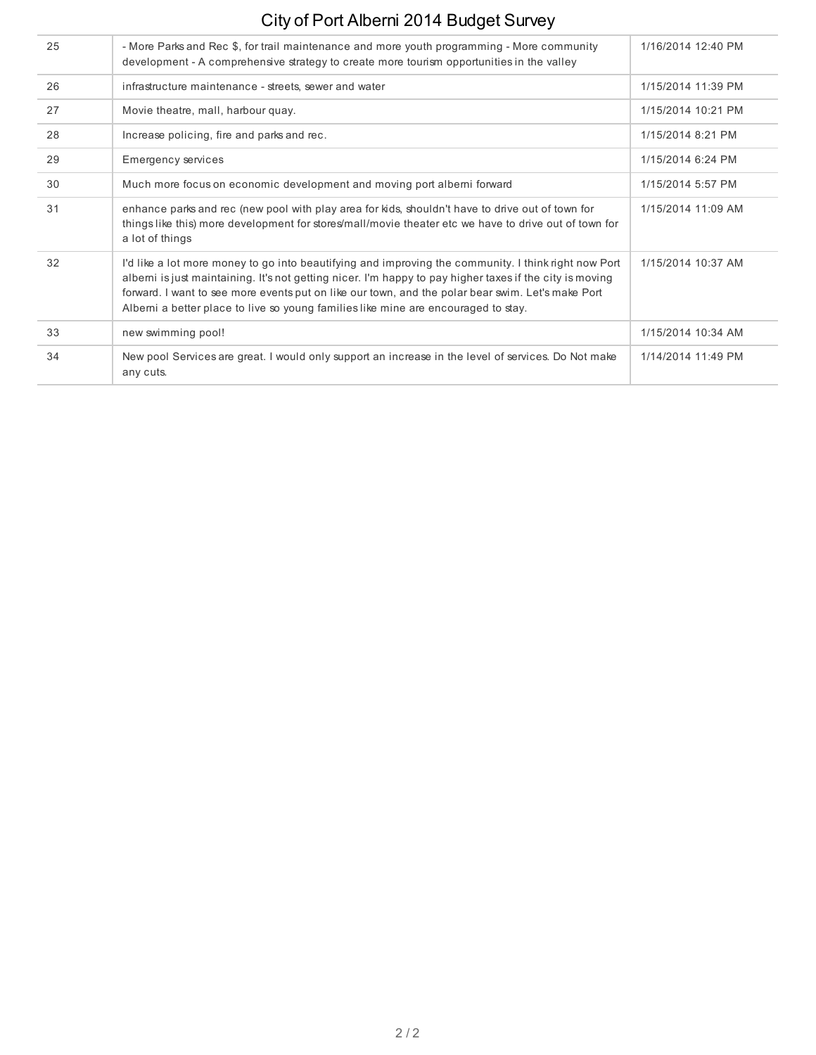| 25 | - More Parks and Rec \$, for trail maintenance and more youth programming - More community<br>development - A comprehensive strategy to create more tourism opportunities in the valley                                                                                                                                                                                                                    | 1/16/2014 12:40 PM |
|----|------------------------------------------------------------------------------------------------------------------------------------------------------------------------------------------------------------------------------------------------------------------------------------------------------------------------------------------------------------------------------------------------------------|--------------------|
| 26 | infrastructure maintenance - streets, sewer and water                                                                                                                                                                                                                                                                                                                                                      | 1/15/2014 11:39 PM |
| 27 | Movie theatre, mall, harbour quay.                                                                                                                                                                                                                                                                                                                                                                         | 1/15/2014 10:21 PM |
| 28 | Increase policing, fire and parks and rec.                                                                                                                                                                                                                                                                                                                                                                 | 1/15/2014 8:21 PM  |
| 29 | Emergency services                                                                                                                                                                                                                                                                                                                                                                                         | 1/15/2014 6:24 PM  |
| 30 | Much more focus on economic development and moving port alberni forward                                                                                                                                                                                                                                                                                                                                    | 1/15/2014 5:57 PM  |
| 31 | enhance parks and rec (new pool with play area for kids, shouldn't have to drive out of town for<br>things like this) more development for stores/mall/movie theater etc we have to drive out of town for<br>a lot of things                                                                                                                                                                               | 1/15/2014 11:09 AM |
| 32 | I'd like a lot more money to go into beautifying and improving the community. I think right now Port<br>albemi is just maintaining. It's not getting nicer. I'm happy to pay higher taxes if the city is moving<br>forward. I want to see more events put on like our town, and the polar bear swim. Let's make Port<br>Alberni a better place to live so young families like mine are encouraged to stay. | 1/15/2014 10:37 AM |
| 33 | new swimming pool!                                                                                                                                                                                                                                                                                                                                                                                         | 1/15/2014 10:34 AM |
| 34 | New pool Services are great. I would only support an increase in the level of services. Do Not make<br>any cuts.                                                                                                                                                                                                                                                                                           | 1/14/2014 11:49 PM |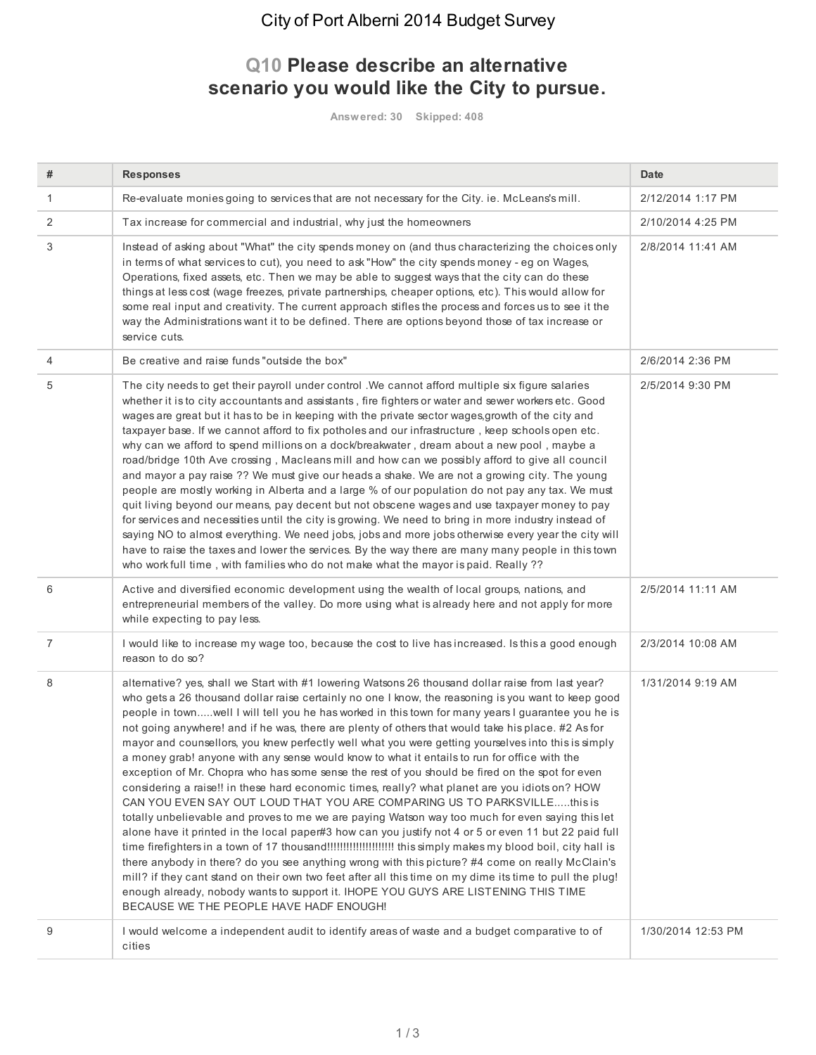### **Q10 Please describe an alternative scenario you would like the City to pursue.**

**Answered: 30 Skipped: 408**

| #              | <b>Responses</b>                                                                                                                                                                                                                                                                                                                                                                                                                                                                                                                                                                                                                                                                                                                                                                                                                                                                                                                                                                                                                                                                                                                                                                                                                                                                                                                                                                                                                                                                                                                                                                                | <b>Date</b>        |
|----------------|-------------------------------------------------------------------------------------------------------------------------------------------------------------------------------------------------------------------------------------------------------------------------------------------------------------------------------------------------------------------------------------------------------------------------------------------------------------------------------------------------------------------------------------------------------------------------------------------------------------------------------------------------------------------------------------------------------------------------------------------------------------------------------------------------------------------------------------------------------------------------------------------------------------------------------------------------------------------------------------------------------------------------------------------------------------------------------------------------------------------------------------------------------------------------------------------------------------------------------------------------------------------------------------------------------------------------------------------------------------------------------------------------------------------------------------------------------------------------------------------------------------------------------------------------------------------------------------------------|--------------------|
| 1              | Re-evaluate monies going to services that are not necessary for the City. ie. McLeans's mill.                                                                                                                                                                                                                                                                                                                                                                                                                                                                                                                                                                                                                                                                                                                                                                                                                                                                                                                                                                                                                                                                                                                                                                                                                                                                                                                                                                                                                                                                                                   | 2/12/2014 1:17 PM  |
| 2              | Tax increase for commercial and industrial, why just the homeowners                                                                                                                                                                                                                                                                                                                                                                                                                                                                                                                                                                                                                                                                                                                                                                                                                                                                                                                                                                                                                                                                                                                                                                                                                                                                                                                                                                                                                                                                                                                             | 2/10/2014 4:25 PM  |
| 3              | Instead of asking about "What" the city spends money on (and thus characterizing the choices only<br>in terms of what services to cut), you need to ask "How" the city spends money - eg on Wages,<br>Operations, fixed assets, etc. Then we may be able to suggest ways that the city can do these<br>things at less cost (wage freezes, private partnerships, cheaper options, etc). This would allow for<br>some real input and creativity. The current approach stifles the process and forces us to see it the<br>way the Administrations want it to be defined. There are options beyond those of tax increase or<br>service cuts.                                                                                                                                                                                                                                                                                                                                                                                                                                                                                                                                                                                                                                                                                                                                                                                                                                                                                                                                                        | 2/8/2014 11:41 AM  |
| 4              | Be creative and raise funds "outside the box"                                                                                                                                                                                                                                                                                                                                                                                                                                                                                                                                                                                                                                                                                                                                                                                                                                                                                                                                                                                                                                                                                                                                                                                                                                                                                                                                                                                                                                                                                                                                                   | 2/6/2014 2:36 PM   |
| 5              | The city needs to get their payroll under control . We cannot afford multiple six figure salaries<br>whether it is to city accountants and assistants, fire fighters or water and sewer workers etc. Good<br>wages are great but it has to be in keeping with the private sector wages, growth of the city and<br>taxpayer base. If we cannot afford to fix potholes and our infrastructure, keep schools open etc.<br>why can we afford to spend millions on a dock/breakwater, dream about a new pool, maybe a<br>road/bridge 10th Ave crossing, Macleans mill and how can we possibly afford to give all council<br>and mayor a pay raise ?? We must give our heads a shake. We are not a growing city. The young<br>people are mostly working in Alberta and a large % of our population do not pay any tax. We must<br>quit living beyond our means, pay decent but not obscene wages and use taxpayer money to pay<br>for services and necessities until the city is growing. We need to bring in more industry instead of<br>saying NO to almost everything. We need jobs, jobs and more jobs otherwise every year the city will<br>have to raise the taxes and lower the services. By the way there are many many people in this town<br>who work full time, with families who do not make what the mayor is paid. Really ??                                                                                                                                                                                                                                                            | 2/5/2014 9:30 PM   |
| 6              | Active and diversified economic development using the wealth of local groups, nations, and<br>entrepreneurial members of the valley. Do more using what is already here and not apply for more<br>while expecting to pay less.                                                                                                                                                                                                                                                                                                                                                                                                                                                                                                                                                                                                                                                                                                                                                                                                                                                                                                                                                                                                                                                                                                                                                                                                                                                                                                                                                                  | 2/5/2014 11:11 AM  |
| $\overline{7}$ | I would like to increase my wage too, because the cost to live has increased. Is this a good enough<br>reason to do so?                                                                                                                                                                                                                                                                                                                                                                                                                                                                                                                                                                                                                                                                                                                                                                                                                                                                                                                                                                                                                                                                                                                                                                                                                                                                                                                                                                                                                                                                         | 2/3/2014 10:08 AM  |
| 8              | alternative? yes, shall we Start with #1 lowering Watsons 26 thousand dollar raise from last year?<br>who gets a 26 thousand dollar raise certainly no one I know, the reasoning is you want to keep good<br>people in townwell I will tell you he has worked in this town for many years I guarantee you he is<br>not going anywhere! and if he was, there are plenty of others that would take his place. #2 As for<br>mayor and counsellors, you knew perfectly well what you were getting yourselves into this is simply<br>a money grab! anyone with any sense would know to what it entails to run for office with the<br>exception of Mr. Chopra who has some sense the rest of you should be fired on the spot for even<br>considering a raise!! in these hard economic times, really? what planet are you idiots on? HOW<br>CAN YOU EVEN SAY OUT LOUD THAT YOU ARE COMPARING US TO PARKSVILLEthis is<br>totally unbelievable and proves to me we are paying Watson way too much for even saying this let<br>alone have it printed in the local paper#3 how can you justify not 4 or 5 or even 11 but 22 paid full<br>time firefighters in a town of 17 thousand!!!!!!!!!!!!!!!!!!!!!!!! this simply makes my blood boil, city hall is<br>there anybody in there? do you see anything wrong with this picture? #4 come on really McClain's<br>mill? if they cant stand on their own two feet after all this time on my dime its time to pull the plug!<br>enough already, nobody wants to support it. IHOPE YOU GUYS ARE LISTENING THIS TIME<br>BECAUSE WE THE PEOPLE HAVE HADF ENOUGH! | 1/31/2014 9:19 AM  |
| 9              | I would welcome a independent audit to identify areas of waste and a budget comparative to of<br>cities                                                                                                                                                                                                                                                                                                                                                                                                                                                                                                                                                                                                                                                                                                                                                                                                                                                                                                                                                                                                                                                                                                                                                                                                                                                                                                                                                                                                                                                                                         | 1/30/2014 12:53 PM |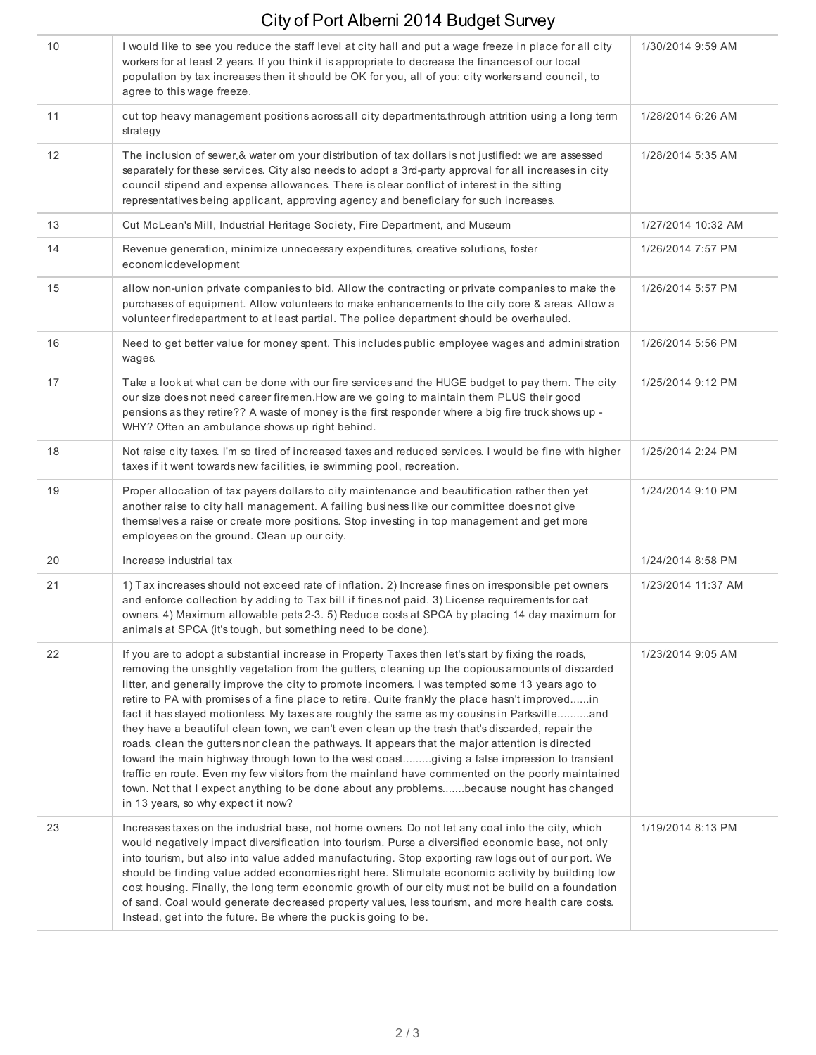| 10 | I would like to see you reduce the staff level at city hall and put a wage freeze in place for all city<br>workers for at least 2 years. If you think it is appropriate to decrease the finances of our local<br>population by tax increases then it should be OK for you, all of you: city workers and council, to<br>agree to this wage freeze.                                                                                                                                                                                                                                                                                                                                                                                                                                                                                                                                                                                                                                                                                                       | 1/30/2014 9:59 AM  |
|----|---------------------------------------------------------------------------------------------------------------------------------------------------------------------------------------------------------------------------------------------------------------------------------------------------------------------------------------------------------------------------------------------------------------------------------------------------------------------------------------------------------------------------------------------------------------------------------------------------------------------------------------------------------------------------------------------------------------------------------------------------------------------------------------------------------------------------------------------------------------------------------------------------------------------------------------------------------------------------------------------------------------------------------------------------------|--------------------|
| 11 | cut top heavy management positions across all city departments through attrition using a long term<br>strategy                                                                                                                                                                                                                                                                                                                                                                                                                                                                                                                                                                                                                                                                                                                                                                                                                                                                                                                                          | 1/28/2014 6:26 AM  |
| 12 | The inclusion of sewer, & water om your distribution of tax dollars is not justified: we are assessed<br>separately for these services. City also needs to adopt a 3rd-party approval for all increases in city<br>council stipend and expense allowances. There is clear conflict of interest in the sitting<br>representatives being applicant, approving agency and beneficiary for such increases.                                                                                                                                                                                                                                                                                                                                                                                                                                                                                                                                                                                                                                                  | 1/28/2014 5:35 AM  |
| 13 | Cut McLean's Mill, Industrial Heritage Society, Fire Department, and Museum                                                                                                                                                                                                                                                                                                                                                                                                                                                                                                                                                                                                                                                                                                                                                                                                                                                                                                                                                                             | 1/27/2014 10:32 AM |
| 14 | Revenue generation, minimize unnecessary expenditures, creative solutions, foster<br>economicdevelopment                                                                                                                                                                                                                                                                                                                                                                                                                                                                                                                                                                                                                                                                                                                                                                                                                                                                                                                                                | 1/26/2014 7:57 PM  |
| 15 | allow non-union private companies to bid. Allow the contracting or private companies to make the<br>purchases of equipment. Allow volunteers to make enhancements to the city core & areas. Allow a<br>volunteer firedepartment to at least partial. The police department should be overhauled.                                                                                                                                                                                                                                                                                                                                                                                                                                                                                                                                                                                                                                                                                                                                                        | 1/26/2014 5:57 PM  |
| 16 | Need to get better value for money spent. This includes public employee wages and administration<br>wages.                                                                                                                                                                                                                                                                                                                                                                                                                                                                                                                                                                                                                                                                                                                                                                                                                                                                                                                                              | 1/26/2014 5:56 PM  |
| 17 | Take a look at what can be done with our fire services and the HUGE budget to pay them. The city<br>our size does not need career firemen. How are we going to maintain them PLUS their good<br>pensions as they retire?? A waste of money is the first responder where a big fire truck shows up -<br>WHY? Often an ambulance shows up right behind.                                                                                                                                                                                                                                                                                                                                                                                                                                                                                                                                                                                                                                                                                                   | 1/25/2014 9:12 PM  |
| 18 | Not raise city taxes. I'm so tired of increased taxes and reduced services. I would be fine with higher<br>taxes if it went towards new facilities, ie swimming pool, recreation.                                                                                                                                                                                                                                                                                                                                                                                                                                                                                                                                                                                                                                                                                                                                                                                                                                                                       | 1/25/2014 2:24 PM  |
| 19 | Proper allocation of tax payers dollars to city maintenance and beautification rather then yet<br>another raise to city hall management. A failing business like our committee does not give<br>themselves a raise or create more positions. Stop investing in top management and get more<br>employees on the ground. Clean up our city.                                                                                                                                                                                                                                                                                                                                                                                                                                                                                                                                                                                                                                                                                                               | 1/24/2014 9:10 PM  |
| 20 | Increase industrial tax                                                                                                                                                                                                                                                                                                                                                                                                                                                                                                                                                                                                                                                                                                                                                                                                                                                                                                                                                                                                                                 | 1/24/2014 8:58 PM  |
| 21 | 1) Tax increases should not exceed rate of inflation. 2) Increase fines on irresponsible pet owners<br>and enforce collection by adding to Tax bill if fines not paid. 3) License requirements for cat<br>owners. 4) Maximum allowable pets 2-3. 5) Reduce costs at SPCA by placing 14 day maximum for<br>animals at SPCA (it's tough, but something need to be done).                                                                                                                                                                                                                                                                                                                                                                                                                                                                                                                                                                                                                                                                                  | 1/23/2014 11:37 AM |
| 22 | If you are to adopt a substantial increase in Property Taxes then let's start by fixing the roads,<br>removing the unsightly vegetation from the gutters, cleaning up the copious amounts of discarded<br>litter, and generally improve the city to promote incomers. I was tempted some 13 years ago to<br>retire to PA with promises of a fine place to retire. Quite frankly the place hasn't improvedin<br>fact it has stayed motionless. My taxes are roughly the same as my cousins in Parksvilleand<br>they have a beautiful clean town, we can't even clean up the trash that's discarded, repair the<br>roads, clean the gutters nor clean the pathways. It appears that the major attention is directed<br>toward the main highway through town to the west coastgiving a false impression to transient<br>traffic en route. Even my few visitors from the mainland have commented on the poorly maintained<br>town. Not that I expect anything to be done about any problemsbecause nought has changed<br>in 13 years, so why expect it now? | 1/23/2014 9:05 AM  |
| 23 | Increases taxes on the industrial base, not home owners. Do not let any coal into the city, which<br>would negatively impact diversification into tourism. Purse a diversified economic base, not only<br>into tourism, but also into value added manufacturing. Stop exporting raw logs out of our port. We<br>should be finding value added economies right here. Stimulate economic activity by building low<br>cost housing. Finally, the long term economic growth of our city must not be build on a foundation<br>of sand. Coal would generate decreased property values, less tourism, and more health care costs.<br>Instead, get into the future. Be where the puck is going to be.                                                                                                                                                                                                                                                                                                                                                           | 1/19/2014 8:13 PM  |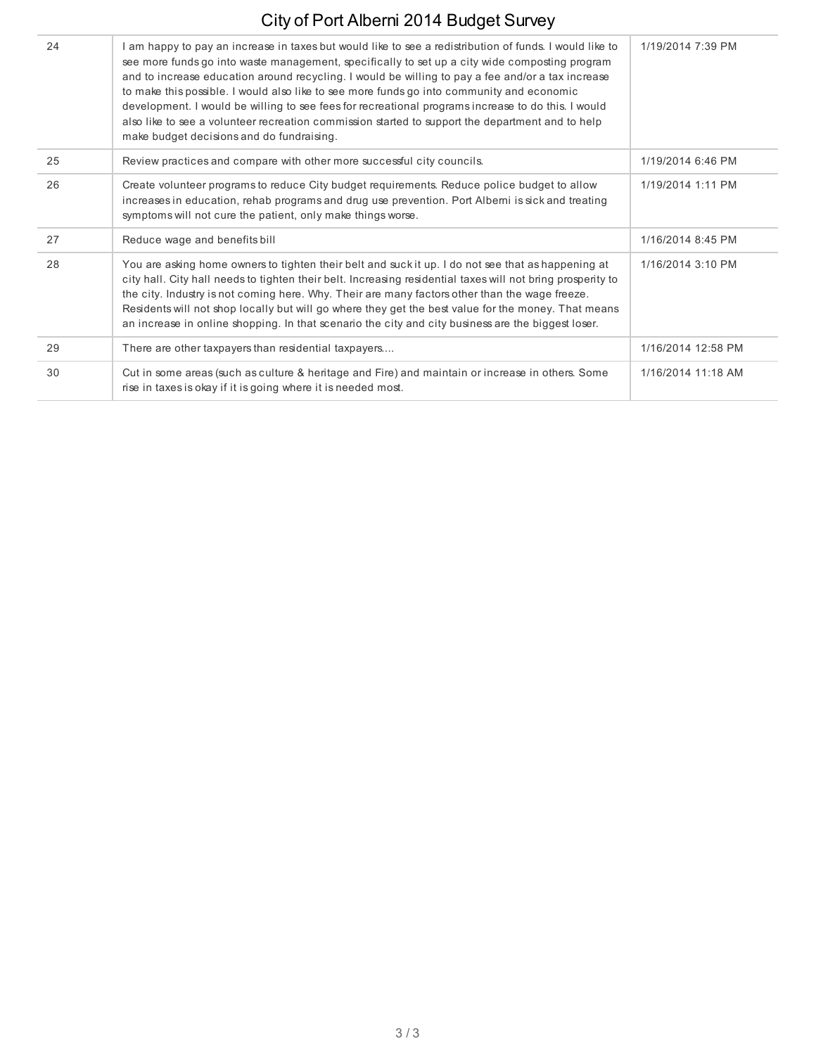| 24 | am happy to pay an increase in taxes but would like to see a redistribution of funds. I would like to<br>see more funds go into waste management, specifically to set up a city wide composting program<br>and to increase education around recycling. I would be willing to pay a fee and/or a tax increase<br>to make this possible. I would also like to see more funds go into community and economic<br>development. I would be willing to see fees for recreational programs increase to do this. I would<br>also like to see a volunteer recreation commission started to support the department and to help<br>make budget decisions and do fundraising. | 1/19/2014 7:39 PM  |
|----|------------------------------------------------------------------------------------------------------------------------------------------------------------------------------------------------------------------------------------------------------------------------------------------------------------------------------------------------------------------------------------------------------------------------------------------------------------------------------------------------------------------------------------------------------------------------------------------------------------------------------------------------------------------|--------------------|
| 25 | Review practices and compare with other more successful city councils.                                                                                                                                                                                                                                                                                                                                                                                                                                                                                                                                                                                           | 1/19/2014 6:46 PM  |
| 26 | Create volunteer programs to reduce City budget requirements. Reduce police budget to allow<br>increases in education, rehab programs and drug use prevention. Port Alberni is sick and treating<br>symptoms will not cure the patient, only make things worse.                                                                                                                                                                                                                                                                                                                                                                                                  | 1/19/2014 1:11 PM  |
| 27 | Reduce wage and benefits bill                                                                                                                                                                                                                                                                                                                                                                                                                                                                                                                                                                                                                                    | 1/16/2014 8:45 PM  |
| 28 | You are asking home owners to tighten their belt and suck it up. I do not see that as happening at<br>city hall. City hall needs to tighten their belt. Increasing residential taxes will not bring prosperity to<br>the city. Industry is not coming here. Why. Their are many factors other than the wage freeze.<br>Residents will not shop locally but will go where they get the best value for the money. That means<br>an increase in online shopping. In that scenario the city and city business are the biggest loser.                                                                                                                                 | 1/16/2014 3:10 PM  |
| 29 | There are other taxpayers than residential taxpayers                                                                                                                                                                                                                                                                                                                                                                                                                                                                                                                                                                                                             | 1/16/2014 12:58 PM |
| 30 | Cut in some areas (such as culture & heritage and Fire) and maintain or increase in others. Some<br>rise in taxes is okay if it is going where it is needed most.                                                                                                                                                                                                                                                                                                                                                                                                                                                                                                | 1/16/2014 11:18 AM |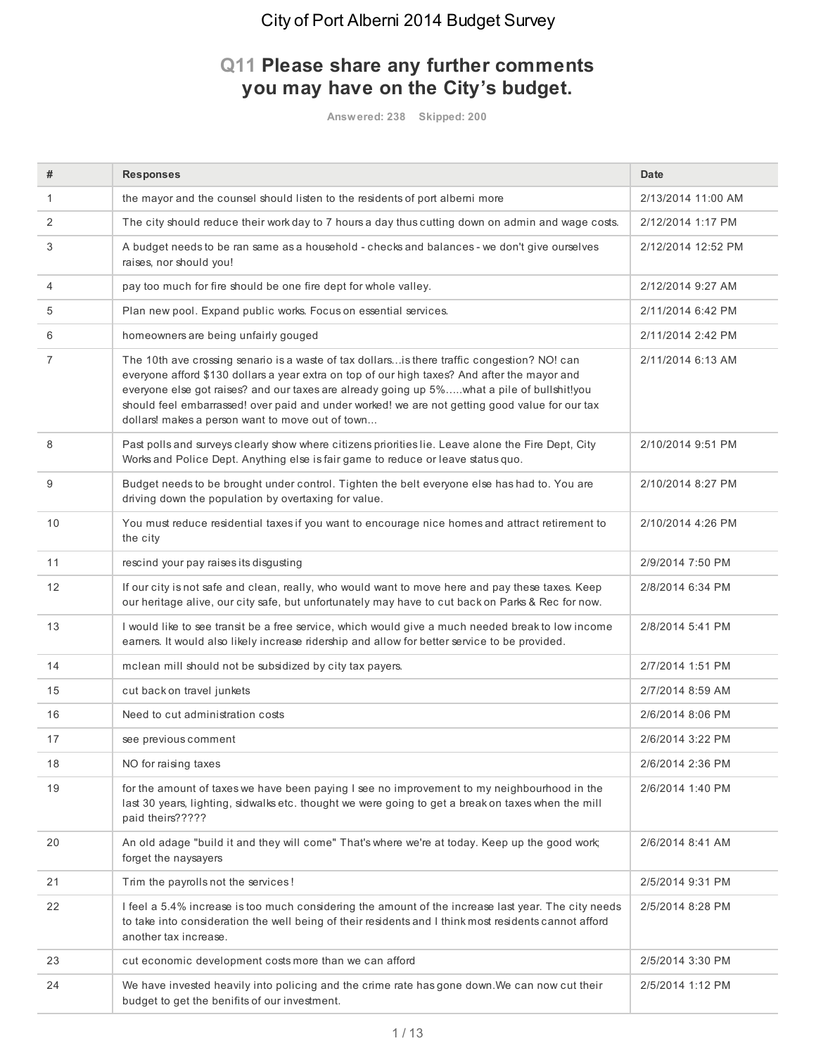### **Q11 Please share any further comments you may have on the City's budget.**

**Answered: 238 Skipped: 200**

| #                 | <b>Responses</b>                                                                                                                                                                                                                                                                                                                                                                                                                                | <b>Date</b>        |
|-------------------|-------------------------------------------------------------------------------------------------------------------------------------------------------------------------------------------------------------------------------------------------------------------------------------------------------------------------------------------------------------------------------------------------------------------------------------------------|--------------------|
| 1                 | the mayor and the counsel should listen to the residents of port alberni more                                                                                                                                                                                                                                                                                                                                                                   | 2/13/2014 11:00 AM |
| 2                 | The city should reduce their work day to 7 hours a day thus cutting down on admin and wage costs.                                                                                                                                                                                                                                                                                                                                               | 2/12/2014 1:17 PM  |
| 3                 | A budget needs to be ran same as a household - checks and balances - we don't give ourselves<br>raises, nor should you!                                                                                                                                                                                                                                                                                                                         | 2/12/2014 12:52 PM |
| 4                 | pay too much for fire should be one fire dept for whole valley.                                                                                                                                                                                                                                                                                                                                                                                 | 2/12/2014 9:27 AM  |
| 5                 | Plan new pool. Expand public works. Focus on essential services.                                                                                                                                                                                                                                                                                                                                                                                | 2/11/2014 6:42 PM  |
| 6                 | homeowners are being unfairly gouged                                                                                                                                                                                                                                                                                                                                                                                                            | 2/11/2014 2:42 PM  |
| 7                 | The 10th ave crossing senario is a waste of tax dollarsis there traffic congestion? NO! can<br>everyone afford \$130 dollars a year extra on top of our high taxes? And after the mayor and<br>everyone else got raises? and our taxes are already going up 5%what a pile of bullshit!you<br>should feel embarrassed! over paid and under worked! we are not getting good value for our tax<br>dollars! makes a person want to move out of town | 2/11/2014 6:13 AM  |
| 8                 | Past polls and surveys clearly show where citizens priorities lie. Leave alone the Fire Dept, City<br>Works and Police Dept. Anything else is fair game to reduce or leave status quo.                                                                                                                                                                                                                                                          | 2/10/2014 9:51 PM  |
| 9                 | Budget needs to be brought under control. Tighten the belt everyone else has had to. You are<br>driving down the population by overtaxing for value.                                                                                                                                                                                                                                                                                            | 2/10/2014 8:27 PM  |
| 10                | You must reduce residential taxes if you want to encourage nice homes and attract retirement to<br>the city                                                                                                                                                                                                                                                                                                                                     | 2/10/2014 4:26 PM  |
| 11                | rescind your pay raises its disgusting                                                                                                                                                                                                                                                                                                                                                                                                          | 2/9/2014 7:50 PM   |
| $12 \overline{ }$ | If our city is not safe and clean, really, who would want to move here and pay these taxes. Keep<br>our heritage alive, our city safe, but unfortunately may have to cut back on Parks & Rec for now.                                                                                                                                                                                                                                           | 2/8/2014 6:34 PM   |
| 13                | I would like to see transit be a free service, which would give a much needed break to low income<br>earners. It would also likely increase ridership and allow for better service to be provided.                                                                                                                                                                                                                                              | 2/8/2014 5:41 PM   |
| 14                | mclean mill should not be subsidized by city tax payers.                                                                                                                                                                                                                                                                                                                                                                                        | 2/7/2014 1:51 PM   |
| 15                | cut back on travel junkets                                                                                                                                                                                                                                                                                                                                                                                                                      | 2/7/2014 8:59 AM   |
| 16                | Need to cut administration costs                                                                                                                                                                                                                                                                                                                                                                                                                | 2/6/2014 8:06 PM   |
| 17                | see previous comment                                                                                                                                                                                                                                                                                                                                                                                                                            | 2/6/2014 3:22 PM   |
| 18                | NO for raising taxes                                                                                                                                                                                                                                                                                                                                                                                                                            | 2/6/2014 2:36 PM   |
| 19                | for the amount of taxes we have been paying I see no improvement to my neighbourhood in the<br>last 30 years, lighting, sidwalks etc. thought we were going to get a break on taxes when the mill<br>paid theirs?????                                                                                                                                                                                                                           | 2/6/2014 1:40 PM   |
| 20                | An old adage "build it and they will come" That's where we're at today. Keep up the good work;<br>forget the naysayers                                                                                                                                                                                                                                                                                                                          | 2/6/2014 8:41 AM   |
| 21                | Trim the payrolls not the services!                                                                                                                                                                                                                                                                                                                                                                                                             | 2/5/2014 9:31 PM   |
| 22                | I feel a 5.4% increase is too much considering the amount of the increase last year. The city needs<br>to take into consideration the well being of their residents and I think most residents cannot afford<br>another tax increase.                                                                                                                                                                                                           | 2/5/2014 8:28 PM   |
| 23                | cut economic development costs more than we can afford                                                                                                                                                                                                                                                                                                                                                                                          | 2/5/2014 3:30 PM   |
| 24                | We have invested heavily into policing and the crime rate has gone down. We can now cut their<br>budget to get the benifits of our investment.                                                                                                                                                                                                                                                                                                  | 2/5/2014 1:12 PM   |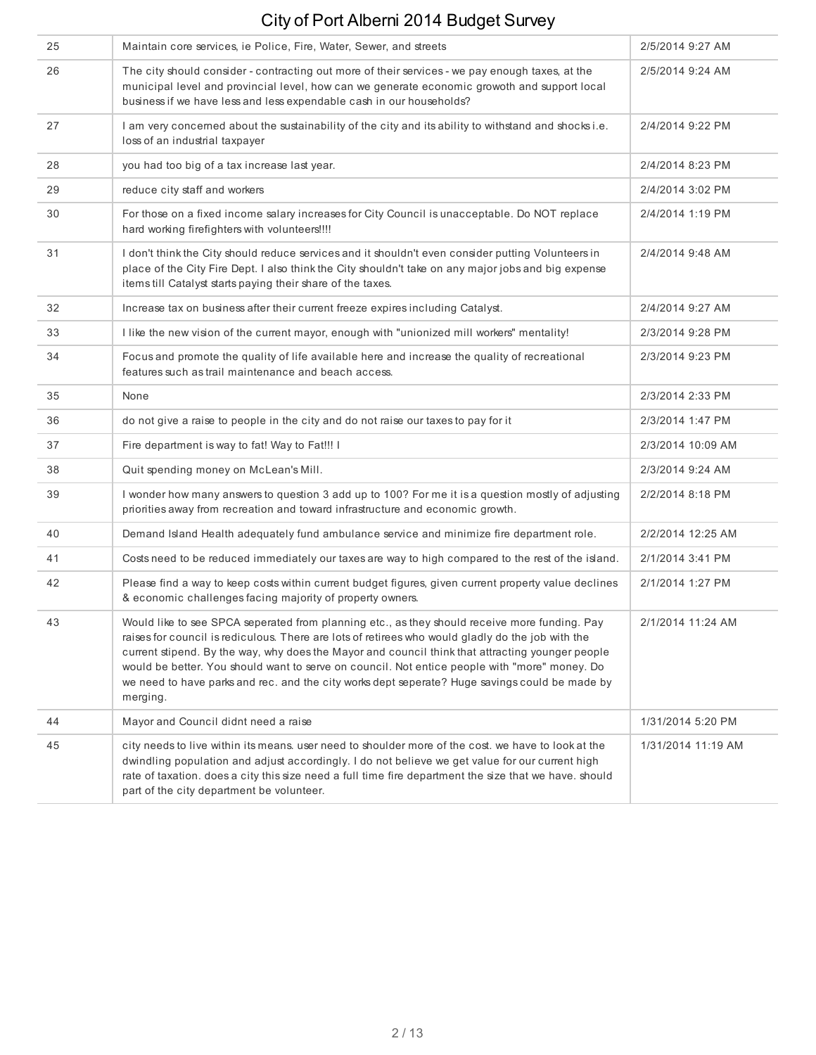| 25 | Maintain core services, ie Police, Fire, Water, Sewer, and streets                                                                                                                                                                                                                                                                                                                                                                                                                                                    | 2/5/2014 9:27 AM   |
|----|-----------------------------------------------------------------------------------------------------------------------------------------------------------------------------------------------------------------------------------------------------------------------------------------------------------------------------------------------------------------------------------------------------------------------------------------------------------------------------------------------------------------------|--------------------|
| 26 | The city should consider - contracting out more of their services - we pay enough taxes, at the<br>municipal level and provincial level, how can we generate economic growoth and support local<br>business if we have less and less expendable cash in our households?                                                                                                                                                                                                                                               | 2/5/2014 9:24 AM   |
| 27 | I am very concerned about the sustainability of the city and its ability to withstand and shocks i.e.<br>loss of an industrial taxpayer                                                                                                                                                                                                                                                                                                                                                                               | 2/4/2014 9:22 PM   |
| 28 | you had too big of a tax increase last year.                                                                                                                                                                                                                                                                                                                                                                                                                                                                          | 2/4/2014 8:23 PM   |
| 29 | reduce city staff and workers                                                                                                                                                                                                                                                                                                                                                                                                                                                                                         | 2/4/2014 3:02 PM   |
| 30 | For those on a fixed income salary increases for City Council is unacceptable. Do NOT replace<br>hard working firefighters with volunteers!!!!                                                                                                                                                                                                                                                                                                                                                                        | 2/4/2014 1:19 PM   |
| 31 | I don't think the City should reduce services and it shouldn't even consider putting Volunteers in<br>place of the City Fire Dept. I also think the City shouldn't take on any major jobs and big expense<br>items till Catalyst starts paying their share of the taxes.                                                                                                                                                                                                                                              | 2/4/2014 9:48 AM   |
| 32 | Increase tax on business after their current freeze expires including Catalyst.                                                                                                                                                                                                                                                                                                                                                                                                                                       | 2/4/2014 9:27 AM   |
| 33 | I like the new vision of the current mayor, enough with "unionized mill workers" mentality!                                                                                                                                                                                                                                                                                                                                                                                                                           | 2/3/2014 9:28 PM   |
| 34 | Focus and promote the quality of life available here and increase the quality of recreational<br>features such as trail maintenance and beach access.                                                                                                                                                                                                                                                                                                                                                                 | 2/3/2014 9:23 PM   |
| 35 | None                                                                                                                                                                                                                                                                                                                                                                                                                                                                                                                  | 2/3/2014 2:33 PM   |
| 36 | do not give a raise to people in the city and do not raise our taxes to pay for it                                                                                                                                                                                                                                                                                                                                                                                                                                    | 2/3/2014 1:47 PM   |
| 37 | Fire department is way to fat! Way to Fat!!! I                                                                                                                                                                                                                                                                                                                                                                                                                                                                        | 2/3/2014 10:09 AM  |
| 38 | Quit spending money on McLean's Mill.                                                                                                                                                                                                                                                                                                                                                                                                                                                                                 | 2/3/2014 9:24 AM   |
| 39 | I wonder how many answers to question 3 add up to 100? For me it is a question mostly of adjusting<br>priorities away from recreation and toward infrastructure and economic growth.                                                                                                                                                                                                                                                                                                                                  | 2/2/2014 8:18 PM   |
| 40 | Demand Island Health adequately fund ambulance service and minimize fire department role.                                                                                                                                                                                                                                                                                                                                                                                                                             | 2/2/2014 12:25 AM  |
| 41 | Costs need to be reduced immediately our taxes are way to high compared to the rest of the island.                                                                                                                                                                                                                                                                                                                                                                                                                    | 2/1/2014 3:41 PM   |
| 42 | Please find a way to keep costs within current budget figures, given current property value declines<br>& economic challenges facing majority of property owners.                                                                                                                                                                                                                                                                                                                                                     | 2/1/2014 1:27 PM   |
| 43 | Would like to see SPCA seperated from planning etc., as they should receive more funding. Pay<br>raises for council is rediculous. There are lots of retirees who would gladly do the job with the<br>current stipend. By the way, why does the Mayor and council think that attracting younger people<br>would be better. You should want to serve on council. Not entice people with "more" money. Do<br>we need to have parks and rec. and the city works dept seperate? Huge savings could be made by<br>merging. | 2/1/2014 11:24 AM  |
| 44 | Mayor and Council didnt need a raise                                                                                                                                                                                                                                                                                                                                                                                                                                                                                  | 1/31/2014 5:20 PM  |
| 45 | city needs to live within its means, user need to shoulder more of the cost, we have to look at the<br>dwindling population and adjust accordingly. I do not believe we get value for our current high<br>rate of taxation. does a city this size need a full time fire department the size that we have. should<br>part of the city department be volunteer.                                                                                                                                                         | 1/31/2014 11:19 AM |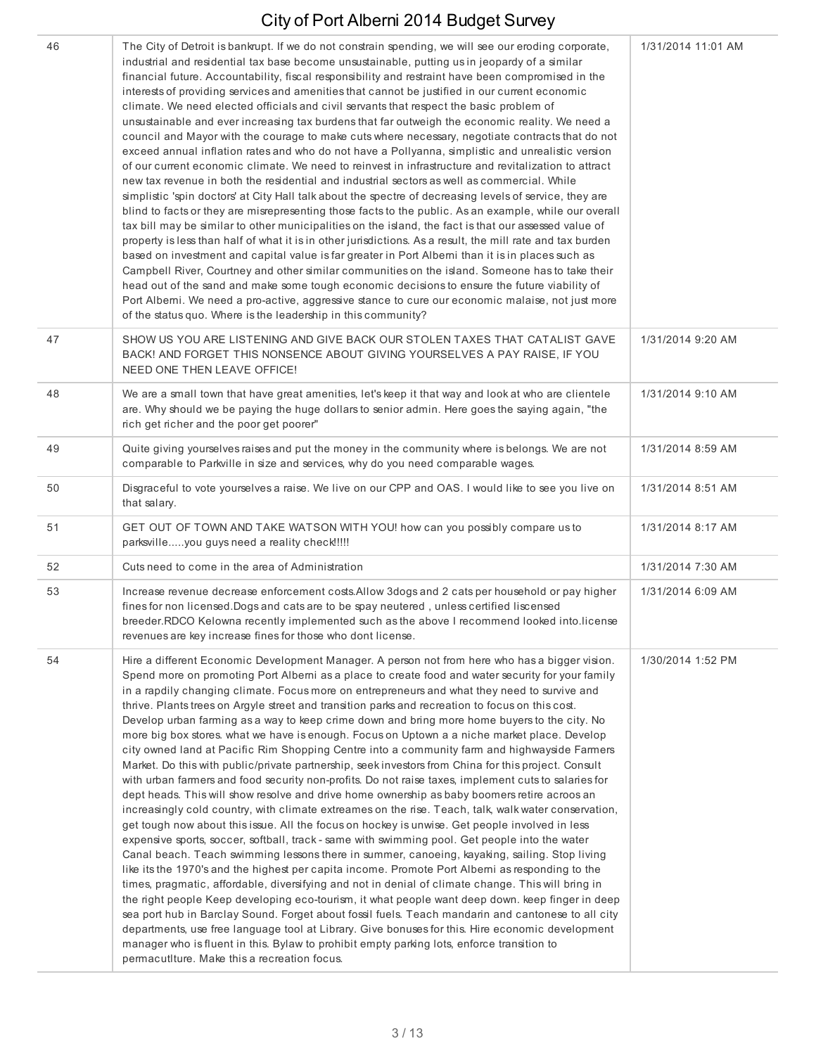| 46 | The City of Detroit is bankrupt. If we do not constrain spending, we will see our eroding corporate,<br>industrial and residential tax base become unsustainable, putting us in jeopardy of a similar<br>financial future. Accountability, fiscal responsibility and restraint have been compromised in the<br>interests of providing services and amenities that cannot be justified in our current economic<br>climate. We need elected officials and civil servants that respect the basic problem of<br>unsustainable and ever increasing tax burdens that far outweigh the economic reality. We need a<br>council and Mayor with the courage to make cuts where necessary, negotiate contracts that do not<br>exceed annual inflation rates and who do not have a Pollyanna, simplistic and unrealistic version<br>of our current economic climate. We need to reinvest in infrastructure and revitalization to attract<br>new tax revenue in both the residential and industrial sectors as well as commercial. While<br>simplistic 'spin doctors' at City Hall talk about the spectre of decreasing levels of service, they are<br>blind to facts or they are misrepresenting those facts to the public. As an example, while our overall<br>tax bill may be similar to other municipalities on the island, the fact is that our assessed value of<br>property is less than half of what it is in other jurisdictions. As a result, the mill rate and tax burden<br>based on investment and capital value is far greater in Port Alberni than it is in places such as<br>Campbell River, Courtney and other similar communities on the island. Someone has to take their<br>head out of the sand and make some tough economic decisions to ensure the future viability of<br>Port Alberni. We need a pro-active, aggressive stance to cure our economic malaise, not just more<br>of the status quo. Where is the leadership in this community?                                                                                                                                                    | 1/31/2014 11:01 AM |
|----|-----------------------------------------------------------------------------------------------------------------------------------------------------------------------------------------------------------------------------------------------------------------------------------------------------------------------------------------------------------------------------------------------------------------------------------------------------------------------------------------------------------------------------------------------------------------------------------------------------------------------------------------------------------------------------------------------------------------------------------------------------------------------------------------------------------------------------------------------------------------------------------------------------------------------------------------------------------------------------------------------------------------------------------------------------------------------------------------------------------------------------------------------------------------------------------------------------------------------------------------------------------------------------------------------------------------------------------------------------------------------------------------------------------------------------------------------------------------------------------------------------------------------------------------------------------------------------------------------------------------------------------------------------------------------------------------------------------------------------------------------------------------------------------------------------------------------------------------------------------------------------------------------------------------------------------------------------------------------------------------------------------------------------------------------------------------------------------------------------------|--------------------|
| 47 | SHOW US YOU ARE LISTENING AND GIVE BACK OUR STOLEN TAXES THAT CATALIST GAVE<br>BACK! AND FORGET THIS NONSENCE ABOUT GIVING YOURSELVES A PAY RAISE, IF YOU<br>NEED ONE THEN LEAVE OFFICE!                                                                                                                                                                                                                                                                                                                                                                                                                                                                                                                                                                                                                                                                                                                                                                                                                                                                                                                                                                                                                                                                                                                                                                                                                                                                                                                                                                                                                                                                                                                                                                                                                                                                                                                                                                                                                                                                                                                  | 1/31/2014 9:20 AM  |
| 48 | We are a small town that have great amenities, let's keep it that way and look at who are clientele<br>are. Why should we be paying the huge dollars to senior admin. Here goes the saying again, "the<br>rich get richer and the poor get poorer"                                                                                                                                                                                                                                                                                                                                                                                                                                                                                                                                                                                                                                                                                                                                                                                                                                                                                                                                                                                                                                                                                                                                                                                                                                                                                                                                                                                                                                                                                                                                                                                                                                                                                                                                                                                                                                                        | 1/31/2014 9:10 AM  |
| 49 | Quite giving yourselves raises and put the money in the community where is belongs. We are not<br>comparable to Parkville in size and services, why do you need comparable wages.                                                                                                                                                                                                                                                                                                                                                                                                                                                                                                                                                                                                                                                                                                                                                                                                                                                                                                                                                                                                                                                                                                                                                                                                                                                                                                                                                                                                                                                                                                                                                                                                                                                                                                                                                                                                                                                                                                                         | 1/31/2014 8:59 AM  |
| 50 | Disgraceful to vote yourselves a raise. We live on our CPP and OAS. I would like to see you live on<br>that salary.                                                                                                                                                                                                                                                                                                                                                                                                                                                                                                                                                                                                                                                                                                                                                                                                                                                                                                                                                                                                                                                                                                                                                                                                                                                                                                                                                                                                                                                                                                                                                                                                                                                                                                                                                                                                                                                                                                                                                                                       | 1/31/2014 8:51 AM  |
| 51 | GET OUT OF TOWN AND TAKE WATSON WITH YOU! how can you possibly compare us to<br>parksvilleyou guys need a reality check!!!!!                                                                                                                                                                                                                                                                                                                                                                                                                                                                                                                                                                                                                                                                                                                                                                                                                                                                                                                                                                                                                                                                                                                                                                                                                                                                                                                                                                                                                                                                                                                                                                                                                                                                                                                                                                                                                                                                                                                                                                              | 1/31/2014 8:17 AM  |
| 52 | Cuts need to come in the area of Administration                                                                                                                                                                                                                                                                                                                                                                                                                                                                                                                                                                                                                                                                                                                                                                                                                                                                                                                                                                                                                                                                                                                                                                                                                                                                                                                                                                                                                                                                                                                                                                                                                                                                                                                                                                                                                                                                                                                                                                                                                                                           | 1/31/2014 7:30 AM  |
| 53 | Increase revenue decrease enforcement costs. Allow 3dogs and 2 cats per household or pay higher<br>fines for non licensed. Dogs and cats are to be spay neutered, unless certified liscensed<br>breeder.RDCO Kelowna recently implemented such as the above I recommend looked into.license<br>revenues are key increase fines for those who dont license.                                                                                                                                                                                                                                                                                                                                                                                                                                                                                                                                                                                                                                                                                                                                                                                                                                                                                                                                                                                                                                                                                                                                                                                                                                                                                                                                                                                                                                                                                                                                                                                                                                                                                                                                                | 1/31/2014 6:09 AM  |
| 54 | Hire a different Economic Development Manager. A person not from here who has a bigger vision.<br>Spend more on promoting Port Albemi as a place to create food and water security for your family<br>in a rapdily changing climate. Focus more on entrepreneurs and what they need to survive and<br>thrive. Plants trees on Argyle street and transition parks and recreation to focus on this cost.<br>Develop urban farming as a way to keep crime down and bring more home buyers to the city. No<br>more big box stores, what we have is enough. Focus on Uptown a a niche market place. Develop<br>city owned land at Pacific Rim Shopping Centre into a community farm and highwayside Farmers<br>Market. Do this with public/private partnership, seek investors from China for this project. Consult<br>with urban farmers and food security non-profits. Do not raise taxes, implement cuts to salaries for<br>dept heads. This will show resolve and drive home ownership as baby boomers retire acroos an<br>increasingly cold country, with climate extreames on the rise. Teach, talk, walk water conservation,<br>get tough now about this issue. All the focus on hockey is unwise. Get people involved in less<br>expensive sports, soccer, softball, track - same with swimming pool. Get people into the water<br>Canal beach. Teach swimming lessons there in summer, canoeing, kayaking, sailing. Stop living<br>like its the 1970's and the highest per capita income. Promote Port Alberni as responding to the<br>times, pragmatic, affordable, diversifying and not in denial of climate change. This will bring in<br>the right people Keep developing eco-tourism, it what people want deep down. keep finger in deep<br>sea port hub in Barclay Sound. Forget about fossil fuels. Teach mandarin and cantonese to all city<br>departments, use free language tool at Library. Give bonuses for this. Hire economic development<br>manager who is fluent in this. Bylaw to prohibit empty parking lots, enforce transition to<br>permacutIture. Make this a recreation focus. | 1/30/2014 1:52 PM  |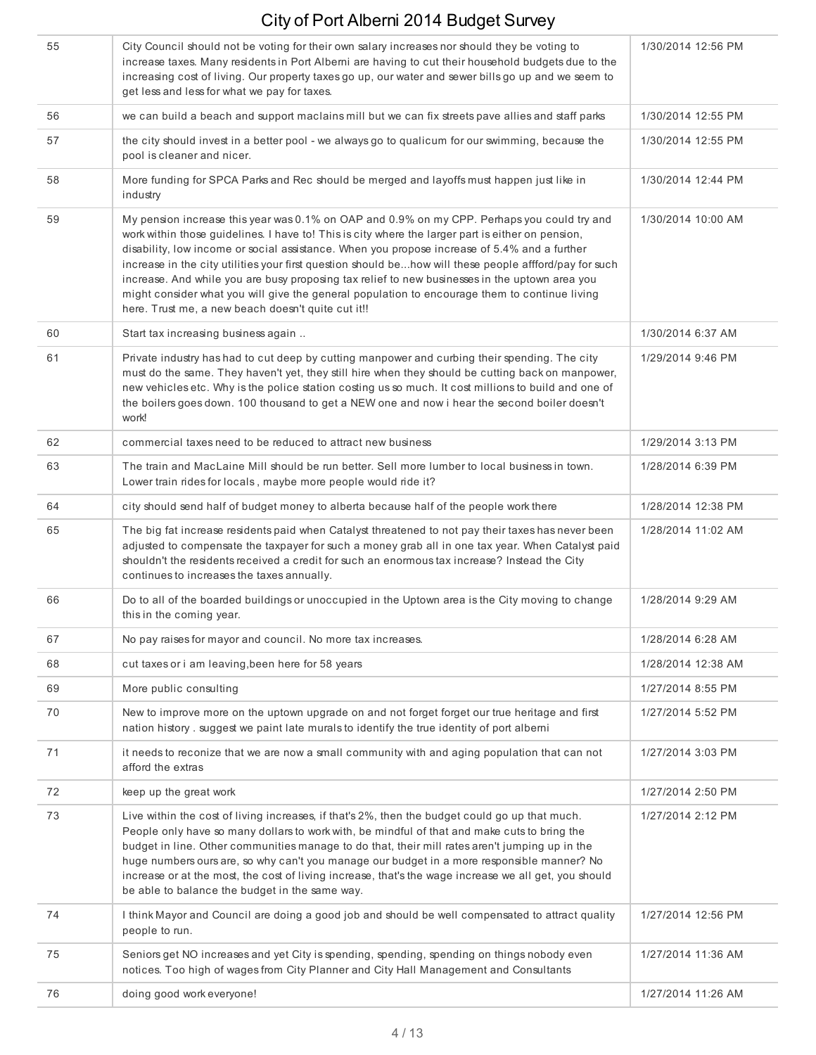| 55 | City Council should not be voting for their own salary increases nor should they be voting to<br>increase taxes. Many residents in Port Alberni are having to cut their household budgets due to the<br>increasing cost of living. Our property taxes go up, our water and sewer bills go up and we seem to<br>get less and less for what we pay for taxes.                                                                                                                                                                                                                                                                                                         | 1/30/2014 12:56 PM |
|----|---------------------------------------------------------------------------------------------------------------------------------------------------------------------------------------------------------------------------------------------------------------------------------------------------------------------------------------------------------------------------------------------------------------------------------------------------------------------------------------------------------------------------------------------------------------------------------------------------------------------------------------------------------------------|--------------------|
| 56 | we can build a beach and support maclains mill but we can fix streets pave allies and staff parks                                                                                                                                                                                                                                                                                                                                                                                                                                                                                                                                                                   | 1/30/2014 12:55 PM |
| 57 | the city should invest in a better pool - we always go to qualicum for our swimming, because the<br>pool is cleaner and nicer.                                                                                                                                                                                                                                                                                                                                                                                                                                                                                                                                      | 1/30/2014 12:55 PM |
| 58 | More funding for SPCA Parks and Rec should be merged and layoffs must happen just like in<br>industry                                                                                                                                                                                                                                                                                                                                                                                                                                                                                                                                                               | 1/30/2014 12:44 PM |
| 59 | My pension increase this year was 0.1% on OAP and 0.9% on my CPP. Perhaps you could try and<br>work within those guidelines. I have to! This is city where the larger part is either on pension,<br>disability, low income or social assistance. When you propose increase of 5.4% and a further<br>increase in the city utilities your first question should behow will these people affford/pay for such<br>increase. And while you are busy proposing tax relief to new businesses in the uptown area you<br>might consider what you will give the general population to encourage them to continue living<br>here. Trust me, a new beach doesn't quite cut it!! | 1/30/2014 10:00 AM |
| 60 | Start tax increasing business again                                                                                                                                                                                                                                                                                                                                                                                                                                                                                                                                                                                                                                 | 1/30/2014 6:37 AM  |
| 61 | Private industry has had to cut deep by cutting manpower and curbing their spending. The city<br>must do the same. They haven't yet, they still hire when they should be cutting back on manpower,<br>new vehicles etc. Why is the police station costing us so much. It cost millions to build and one of<br>the boilers goes down. 100 thousand to get a NEW one and now i hear the second boiler doesn't<br>work!                                                                                                                                                                                                                                                | 1/29/2014 9:46 PM  |
| 62 | commercial taxes need to be reduced to attract new business                                                                                                                                                                                                                                                                                                                                                                                                                                                                                                                                                                                                         | 1/29/2014 3:13 PM  |
| 63 | The train and MacLaine Mill should be run better. Sell more lumber to local business in town.<br>Lower train rides for locals, maybe more people would ride it?                                                                                                                                                                                                                                                                                                                                                                                                                                                                                                     | 1/28/2014 6:39 PM  |
| 64 | city should send half of budget money to alberta because half of the people work there                                                                                                                                                                                                                                                                                                                                                                                                                                                                                                                                                                              | 1/28/2014 12:38 PM |
| 65 | The big fat increase residents paid when Catalyst threatened to not pay their taxes has never been<br>adjusted to compensate the taxpayer for such a money grab all in one tax year. When Catalyst paid<br>shouldn't the residents received a credit for such an enormous tax increase? Instead the City<br>continues to increases the taxes annually.                                                                                                                                                                                                                                                                                                              | 1/28/2014 11:02 AM |
| 66 | Do to all of the boarded buildings or unoccupied in the Uptown area is the City moving to change<br>this in the coming year.                                                                                                                                                                                                                                                                                                                                                                                                                                                                                                                                        | 1/28/2014 9:29 AM  |
| 67 | No pay raises for mayor and council. No more tax increases.                                                                                                                                                                                                                                                                                                                                                                                                                                                                                                                                                                                                         | 1/28/2014 6:28 AM  |
| 68 | cut taxes or i am leaving, been here for 58 years                                                                                                                                                                                                                                                                                                                                                                                                                                                                                                                                                                                                                   | 1/28/2014 12:38 AM |
| 69 | More public consulting                                                                                                                                                                                                                                                                                                                                                                                                                                                                                                                                                                                                                                              | 1/27/2014 8:55 PM  |
| 70 | New to improve more on the uptown upgrade on and not forget forget our true heritage and first<br>nation history . suggest we paint late murals to identify the true identity of port alberni                                                                                                                                                                                                                                                                                                                                                                                                                                                                       | 1/27/2014 5:52 PM  |
| 71 | it needs to reconize that we are now a small community with and aging population that can not<br>afford the extras                                                                                                                                                                                                                                                                                                                                                                                                                                                                                                                                                  | 1/27/2014 3:03 PM  |
| 72 | keep up the great work                                                                                                                                                                                                                                                                                                                                                                                                                                                                                                                                                                                                                                              | 1/27/2014 2:50 PM  |
| 73 | Live within the cost of living increases, if that's 2%, then the budget could go up that much.<br>People only have so many dollars to work with, be mindful of that and make cuts to bring the<br>budget in line. Other communities manage to do that, their mill rates aren't jumping up in the<br>huge numbers ours are, so why can't you manage our budget in a more responsible manner? No<br>increase or at the most, the cost of living increase, that's the wage increase we all get, you should<br>be able to balance the budget in the same way.                                                                                                           | 1/27/2014 2:12 PM  |
| 74 | I think Mayor and Council are doing a good job and should be well compensated to attract quality<br>people to run.                                                                                                                                                                                                                                                                                                                                                                                                                                                                                                                                                  | 1/27/2014 12:56 PM |
| 75 | Seniors get NO increases and yet City is spending, spending, spending on things nobody even<br>notices. Too high of wages from City Planner and City Hall Management and Consultants                                                                                                                                                                                                                                                                                                                                                                                                                                                                                | 1/27/2014 11:36 AM |
| 76 | doing good work everyone!                                                                                                                                                                                                                                                                                                                                                                                                                                                                                                                                                                                                                                           | 1/27/2014 11:26 AM |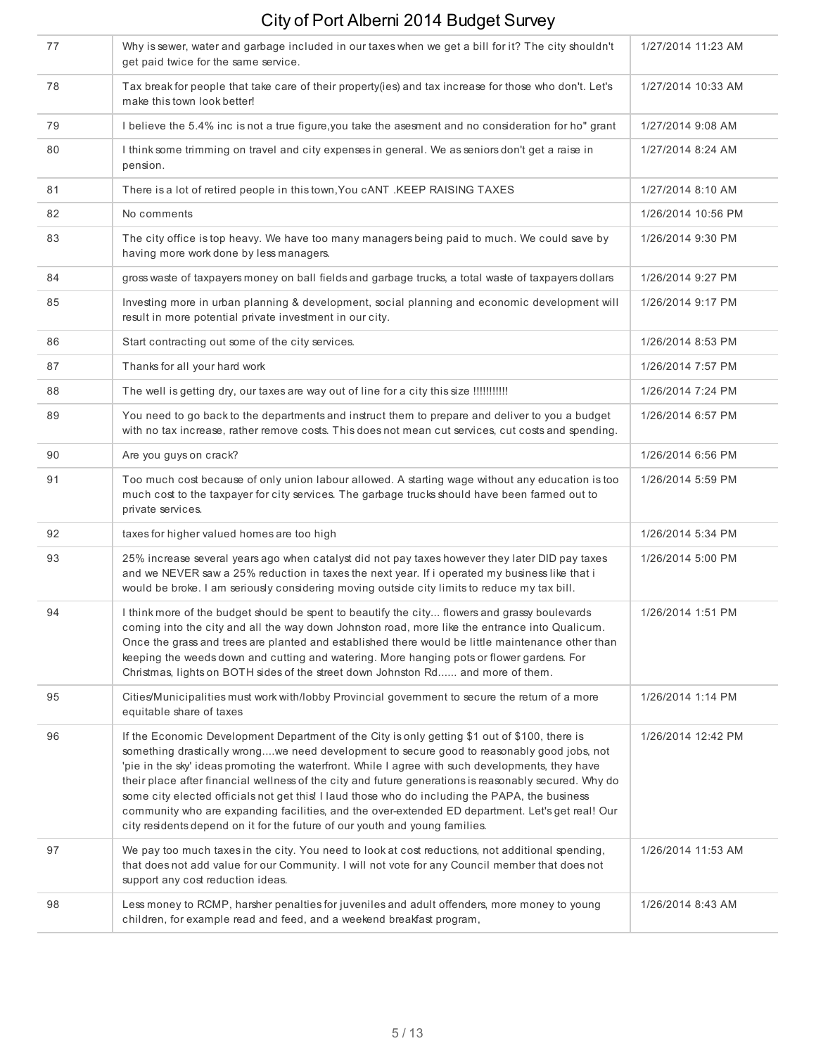| 77 | Why is sewer, water and garbage included in our taxes when we get a bill for it? The city shouldn't<br>get paid twice for the same service.                                                                                                                                                                                                                                                                                                                                                                                                                                                                                                                                                   | 1/27/2014 11:23 AM |
|----|-----------------------------------------------------------------------------------------------------------------------------------------------------------------------------------------------------------------------------------------------------------------------------------------------------------------------------------------------------------------------------------------------------------------------------------------------------------------------------------------------------------------------------------------------------------------------------------------------------------------------------------------------------------------------------------------------|--------------------|
| 78 | Tax break for people that take care of their property(ies) and tax increase for those who don't. Let's<br>make this town look better!                                                                                                                                                                                                                                                                                                                                                                                                                                                                                                                                                         | 1/27/2014 10:33 AM |
| 79 | I believe the 5.4% inc is not a true figure, you take the asesment and no consideration for ho" grant                                                                                                                                                                                                                                                                                                                                                                                                                                                                                                                                                                                         | 1/27/2014 9:08 AM  |
| 80 | I think some trimming on travel and city expenses in general. We as seniors don't get a raise in<br>pension.                                                                                                                                                                                                                                                                                                                                                                                                                                                                                                                                                                                  | 1/27/2014 8:24 AM  |
| 81 | There is a lot of retired people in this town, You cANT .KEEP RAISING TAXES                                                                                                                                                                                                                                                                                                                                                                                                                                                                                                                                                                                                                   | 1/27/2014 8:10 AM  |
| 82 | No comments                                                                                                                                                                                                                                                                                                                                                                                                                                                                                                                                                                                                                                                                                   | 1/26/2014 10:56 PM |
| 83 | The city office is top heavy. We have too many managers being paid to much. We could save by<br>having more work done by less managers.                                                                                                                                                                                                                                                                                                                                                                                                                                                                                                                                                       | 1/26/2014 9:30 PM  |
| 84 | gross waste of taxpayers money on ball fields and garbage trucks, a total waste of taxpayers dollars                                                                                                                                                                                                                                                                                                                                                                                                                                                                                                                                                                                          | 1/26/2014 9:27 PM  |
| 85 | Investing more in urban planning & development, social planning and economic development will<br>result in more potential private investment in our city.                                                                                                                                                                                                                                                                                                                                                                                                                                                                                                                                     | 1/26/2014 9:17 PM  |
| 86 | Start contracting out some of the city services.                                                                                                                                                                                                                                                                                                                                                                                                                                                                                                                                                                                                                                              | 1/26/2014 8:53 PM  |
| 87 | Thanks for all your hard work                                                                                                                                                                                                                                                                                                                                                                                                                                                                                                                                                                                                                                                                 | 1/26/2014 7:57 PM  |
| 88 | The well is getting dry, our taxes are way out of line for a city this size !!!!!!!!!!!                                                                                                                                                                                                                                                                                                                                                                                                                                                                                                                                                                                                       | 1/26/2014 7:24 PM  |
| 89 | You need to go back to the departments and instruct them to prepare and deliver to you a budget<br>with no tax increase, rather remove costs. This does not mean cut services, cut costs and spending.                                                                                                                                                                                                                                                                                                                                                                                                                                                                                        | 1/26/2014 6:57 PM  |
| 90 | Are you guys on crack?                                                                                                                                                                                                                                                                                                                                                                                                                                                                                                                                                                                                                                                                        | 1/26/2014 6:56 PM  |
| 91 | Too much cost because of only union labour allowed. A starting wage without any education is too<br>much cost to the taxpayer for city services. The garbage trucks should have been farmed out to<br>private services.                                                                                                                                                                                                                                                                                                                                                                                                                                                                       | 1/26/2014 5:59 PM  |
| 92 | taxes for higher valued homes are too high                                                                                                                                                                                                                                                                                                                                                                                                                                                                                                                                                                                                                                                    | 1/26/2014 5:34 PM  |
| 93 | 25% increase several years ago when catalyst did not pay taxes however they later DID pay taxes<br>and we NEVER saw a 25% reduction in taxes the next year. If i operated my business like that i<br>would be broke. I am seriously considering moving outside city limits to reduce my tax bill.                                                                                                                                                                                                                                                                                                                                                                                             | 1/26/2014 5:00 PM  |
| 94 | I think more of the budget should be spent to beautify the city flowers and grassy boulevards<br>coming into the city and all the way down Johnston road, more like the entrance into Qualicum.<br>Once the grass and trees are planted and established there would be little maintenance other than<br>keeping the weeds down and cutting and watering. More hanging pots or flower gardens. For<br>Christmas, lights on BOTH sides of the street down Johnston Rd and more of them.                                                                                                                                                                                                         | 1/26/2014 1:51 PM  |
| 95 | Cities/Municipalities must work with/lobby Provincial government to secure the return of a more<br>equitable share of taxes                                                                                                                                                                                                                                                                                                                                                                                                                                                                                                                                                                   | 1/26/2014 1:14 PM  |
| 96 | If the Economic Development Department of the City is only getting \$1 out of \$100, there is<br>something drastically wrongwe need development to secure good to reasonably good jobs, not<br>'pie in the sky' ideas promoting the waterfront. While I agree with such developments, they have<br>their place after financial wellness of the city and future generations is reasonably secured. Why do<br>some city elected officials not get this! I laud those who do including the PAPA, the business<br>community who are expanding facilities, and the over-extended ED department. Let's get real! Our<br>city residents depend on it for the future of our youth and young families. | 1/26/2014 12:42 PM |
| 97 | We pay too much taxes in the city. You need to look at cost reductions, not additional spending,<br>that does not add value for our Community. I will not vote for any Council member that does not<br>support any cost reduction ideas.                                                                                                                                                                                                                                                                                                                                                                                                                                                      | 1/26/2014 11:53 AM |
| 98 | Less money to RCMP, harsher penalties for juveniles and adult offenders, more money to young<br>children, for example read and feed, and a weekend breakfast program,                                                                                                                                                                                                                                                                                                                                                                                                                                                                                                                         | 1/26/2014 8:43 AM  |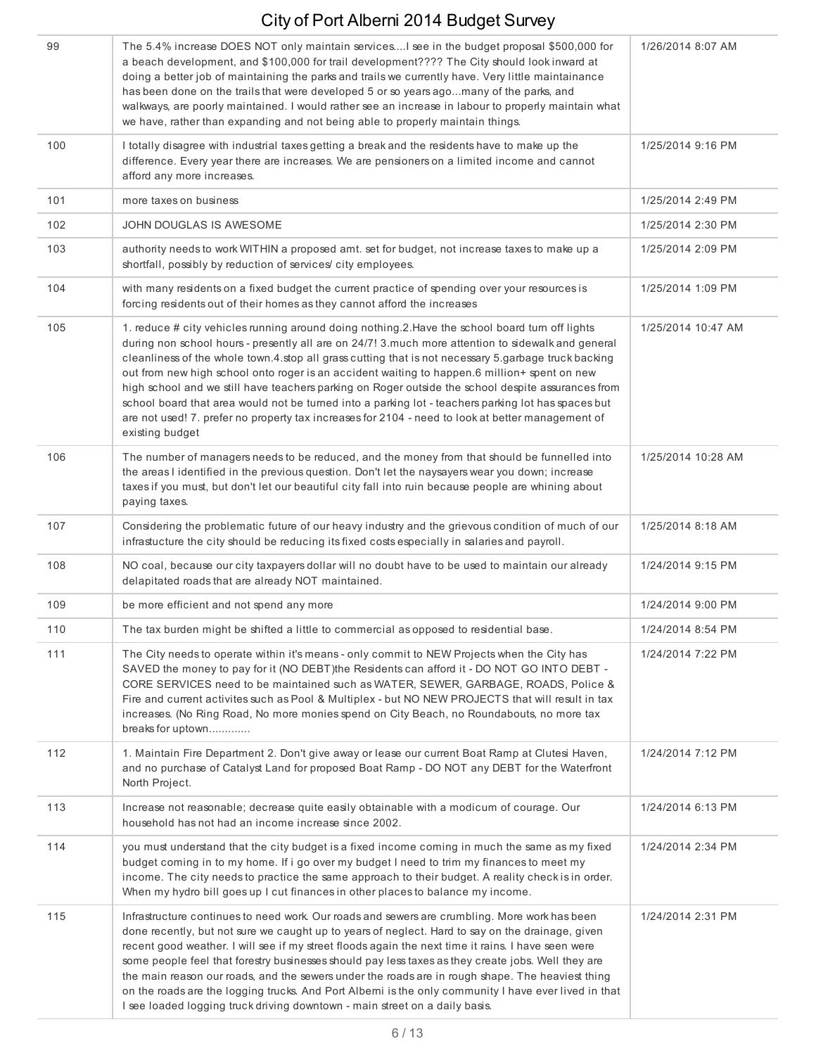| 99  | The 5.4% increase DOES NOT only maintain services lsee in the budget proposal \$500,000 for<br>a beach development, and \$100,000 for trail development???? The City should look inward at<br>doing a better job of maintaining the parks and trails we currently have. Very little maintainance<br>has been done on the trails that were developed 5 or so years agomany of the parks, and<br>walkways, are poorly maintained. I would rather see an increase in labour to properly maintain what<br>we have, rather than expanding and not being able to properly maintain things.                                                                                                                                                               | 1/26/2014 8:07 AM  |
|-----|----------------------------------------------------------------------------------------------------------------------------------------------------------------------------------------------------------------------------------------------------------------------------------------------------------------------------------------------------------------------------------------------------------------------------------------------------------------------------------------------------------------------------------------------------------------------------------------------------------------------------------------------------------------------------------------------------------------------------------------------------|--------------------|
| 100 | I totally disagree with industrial taxes getting a break and the residents have to make up the<br>difference. Every year there are increases. We are pensioners on a limited income and cannot<br>afford any more increases.                                                                                                                                                                                                                                                                                                                                                                                                                                                                                                                       | 1/25/2014 9:16 PM  |
| 101 | more taxes on business                                                                                                                                                                                                                                                                                                                                                                                                                                                                                                                                                                                                                                                                                                                             | 1/25/2014 2:49 PM  |
| 102 | JOHN DOUGLAS IS AWESOME                                                                                                                                                                                                                                                                                                                                                                                                                                                                                                                                                                                                                                                                                                                            | 1/25/2014 2:30 PM  |
| 103 | authority needs to work WITHIN a proposed amt. set for budget, not increase taxes to make up a<br>shortfall, possibly by reduction of services/ city employees.                                                                                                                                                                                                                                                                                                                                                                                                                                                                                                                                                                                    | 1/25/2014 2:09 PM  |
| 104 | with many residents on a fixed budget the current practice of spending over your resources is<br>forcing residents out of their homes as they cannot afford the increases                                                                                                                                                                                                                                                                                                                                                                                                                                                                                                                                                                          | 1/25/2014 1:09 PM  |
| 105 | 1. reduce # city vehicles running around doing nothing.2. Have the school board turn off lights<br>during non school hours - presently all are on 24/7! 3 much more attention to sidewalk and general<br>cleanliness of the whole town.4.stop all grass cutting that is not necessary 5.garbage truck backing<br>out from new high school onto roger is an accident waiting to happen.6 million+ spent on new<br>high school and we still have teachers parking on Roger outside the school despite assurances from<br>school board that area would not be turned into a parking lot - teachers parking lot has spaces but<br>are not used! 7. prefer no property tax increases for 2104 - need to look at better management of<br>existing budget | 1/25/2014 10:47 AM |
| 106 | The number of managers needs to be reduced, and the money from that should be funnelled into<br>the areas I identified in the previous question. Don't let the naysayers wear you down; increase<br>taxes if you must, but don't let our beautiful city fall into ruin because people are whining about<br>paying taxes.                                                                                                                                                                                                                                                                                                                                                                                                                           | 1/25/2014 10:28 AM |
| 107 | Considering the problematic future of our heavy industry and the grievous condition of much of our<br>infrastucture the city should be reducing its fixed costs especially in salaries and payroll.                                                                                                                                                                                                                                                                                                                                                                                                                                                                                                                                                | 1/25/2014 8:18 AM  |
| 108 | NO coal, because our city taxpayers dollar will no doubt have to be used to maintain our already<br>delapitated roads that are already NOT maintained.                                                                                                                                                                                                                                                                                                                                                                                                                                                                                                                                                                                             | 1/24/2014 9:15 PM  |
| 109 | be more efficient and not spend any more                                                                                                                                                                                                                                                                                                                                                                                                                                                                                                                                                                                                                                                                                                           | 1/24/2014 9:00 PM  |
| 110 | The tax burden might be shifted a little to commercial as opposed to residential base.                                                                                                                                                                                                                                                                                                                                                                                                                                                                                                                                                                                                                                                             | 1/24/2014 8:54 PM  |
| 111 | The City needs to operate within it's means - only commit to NEW Projects when the City has<br>SAVED the money to pay for it (NO DEBT) the Residents can afford it - DO NOT GO INTO DEBT -<br>CORE SERVICES need to be maintained such as WATER, SEWER, GARBAGE, ROADS, Police &<br>Fire and current activites such as Pool & Multiplex - but NO NEW PROJECTS that will result in tax<br>increases. (No Ring Road, No more monies spend on City Beach, no Roundabouts, no more tax<br>breaks for uptown                                                                                                                                                                                                                                            | 1/24/2014 7:22 PM  |
| 112 | 1. Maintain Fire Department 2. Don't give away or lease our current Boat Ramp at Clutesi Haven,<br>and no purchase of Catalyst Land for proposed Boat Ramp - DO NOT any DEBT for the Waterfront<br>North Project.                                                                                                                                                                                                                                                                                                                                                                                                                                                                                                                                  | 1/24/2014 7:12 PM  |
| 113 | Increase not reasonable; decrease quite easily obtainable with a modicum of courage. Our<br>household has not had an income increase since 2002.                                                                                                                                                                                                                                                                                                                                                                                                                                                                                                                                                                                                   | 1/24/2014 6:13 PM  |
| 114 | you must understand that the city budget is a fixed income coming in much the same as my fixed<br>budget coming in to my home. If i go over my budget I need to trim my finances to meet my<br>income. The city needs to practice the same approach to their budget. A reality check is in order.<br>When my hydro bill goes up I cut finances in other places to balance my income.                                                                                                                                                                                                                                                                                                                                                               | 1/24/2014 2:34 PM  |
| 115 | Infrastructure continues to need work. Our roads and sewers are crumbling. More work has been<br>done recently, but not sure we caught up to years of neglect. Hard to say on the drainage, given<br>recent good weather. I will see if my street floods again the next time it rains. I have seen were<br>some people feel that forestry businesses should pay less taxes as they create jobs. Well they are<br>the main reason our roads, and the sewers under the roads are in rough shape. The heaviest thing<br>on the roads are the logging trucks. And Port Alberni is the only community I have ever lived in that<br>I see loaded logging truck driving downtown - main street on a daily basis.                                          | 1/24/2014 2:31 PM  |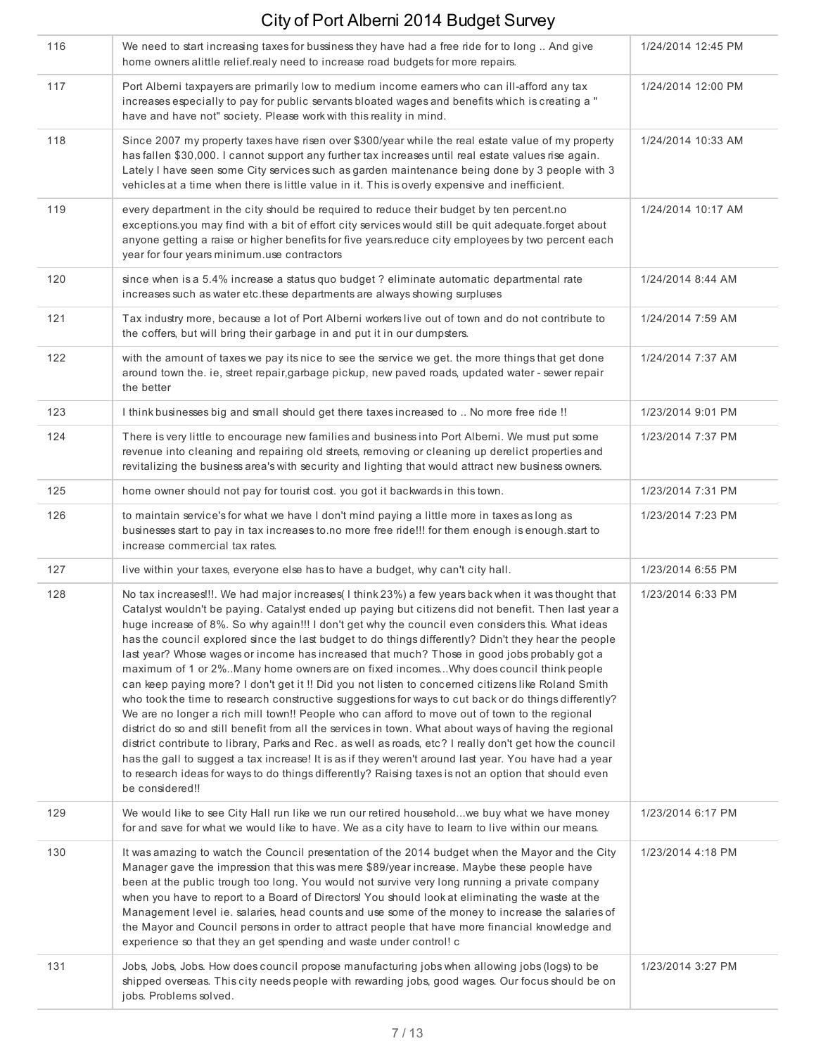| 116 | We need to start increasing taxes for bussiness they have had a free ride for to long  And give<br>home owners alittle relief.realy need to increase road budgets for more repairs.                                                                                                                                                                                                                                                                                                                                                                                                                                                                                                                                                                                                                                                                                                                                                                                                                                                                                                                                                                                                                                                                                                                                                                                                         | 1/24/2014 12:45 PM |
|-----|---------------------------------------------------------------------------------------------------------------------------------------------------------------------------------------------------------------------------------------------------------------------------------------------------------------------------------------------------------------------------------------------------------------------------------------------------------------------------------------------------------------------------------------------------------------------------------------------------------------------------------------------------------------------------------------------------------------------------------------------------------------------------------------------------------------------------------------------------------------------------------------------------------------------------------------------------------------------------------------------------------------------------------------------------------------------------------------------------------------------------------------------------------------------------------------------------------------------------------------------------------------------------------------------------------------------------------------------------------------------------------------------|--------------------|
| 117 | Port Alberni taxpayers are primarily low to medium income earners who can ill-afford any tax<br>increases especially to pay for public servants bloated wages and benefits which is creating a "<br>have and have not" society. Please work with this reality in mind.                                                                                                                                                                                                                                                                                                                                                                                                                                                                                                                                                                                                                                                                                                                                                                                                                                                                                                                                                                                                                                                                                                                      | 1/24/2014 12:00 PM |
| 118 | Since 2007 my property taxes have risen over \$300/year while the real estate value of my property<br>has fallen \$30,000. I cannot support any further tax increases until real estate values rise again.<br>Lately I have seen some City services such as garden maintenance being done by 3 people with 3<br>vehicles at a time when there is little value in it. This is overly expensive and inefficient.                                                                                                                                                                                                                                                                                                                                                                                                                                                                                                                                                                                                                                                                                                                                                                                                                                                                                                                                                                              | 1/24/2014 10:33 AM |
| 119 | every department in the city should be required to reduce their budget by ten percent.no<br>exceptions you may find with a bit of effort city services would still be quit adequate forget about<br>anyone getting a raise or higher benefits for five years.reduce city employees by two percent each<br>year for four years minimum.use contractors                                                                                                                                                                                                                                                                                                                                                                                                                                                                                                                                                                                                                                                                                                                                                                                                                                                                                                                                                                                                                                       | 1/24/2014 10:17 AM |
| 120 | since when is a 5.4% increase a status quo budget ? eliminate automatic departmental rate<br>increases such as water etc.these departments are always showing surpluses                                                                                                                                                                                                                                                                                                                                                                                                                                                                                                                                                                                                                                                                                                                                                                                                                                                                                                                                                                                                                                                                                                                                                                                                                     | 1/24/2014 8:44 AM  |
| 121 | Tax industry more, because a lot of Port Alberni workers live out of town and do not contribute to<br>the coffers, but will bring their garbage in and put it in our dumpsters.                                                                                                                                                                                                                                                                                                                                                                                                                                                                                                                                                                                                                                                                                                                                                                                                                                                                                                                                                                                                                                                                                                                                                                                                             | 1/24/2014 7:59 AM  |
| 122 | with the amount of taxes we pay its nice to see the service we get. the more things that get done<br>around town the. ie, street repair, garbage pickup, new paved roads, updated water - sewer repair<br>the better                                                                                                                                                                                                                                                                                                                                                                                                                                                                                                                                                                                                                                                                                                                                                                                                                                                                                                                                                                                                                                                                                                                                                                        | 1/24/2014 7:37 AM  |
| 123 | I think businesses big and small should get there taxes increased to  No more free ride !!                                                                                                                                                                                                                                                                                                                                                                                                                                                                                                                                                                                                                                                                                                                                                                                                                                                                                                                                                                                                                                                                                                                                                                                                                                                                                                  | 1/23/2014 9:01 PM  |
| 124 | There is very little to encourage new families and business into Port Alberni. We must put some<br>revenue into cleaning and repairing old streets, removing or cleaning up derelict properties and<br>revitalizing the business area's with security and lighting that would attract new business owners.                                                                                                                                                                                                                                                                                                                                                                                                                                                                                                                                                                                                                                                                                                                                                                                                                                                                                                                                                                                                                                                                                  | 1/23/2014 7:37 PM  |
| 125 | home owner should not pay for tourist cost. you got it backwards in this town.                                                                                                                                                                                                                                                                                                                                                                                                                                                                                                                                                                                                                                                                                                                                                                                                                                                                                                                                                                                                                                                                                                                                                                                                                                                                                                              | 1/23/2014 7:31 PM  |
| 126 | to maintain service's for what we have I don't mind paying a little more in taxes as long as<br>businesses start to pay in tax increases to no more free ride!!! for them enough is enough start to<br>increase commercial tax rates.                                                                                                                                                                                                                                                                                                                                                                                                                                                                                                                                                                                                                                                                                                                                                                                                                                                                                                                                                                                                                                                                                                                                                       | 1/23/2014 7:23 PM  |
| 127 | live within your taxes, everyone else has to have a budget, why can't city hall.                                                                                                                                                                                                                                                                                                                                                                                                                                                                                                                                                                                                                                                                                                                                                                                                                                                                                                                                                                                                                                                                                                                                                                                                                                                                                                            | 1/23/2014 6:55 PM  |
| 128 | No tax increases!!!. We had major increases(I think 23%) a few years back when it was thought that<br>Catalyst wouldn't be paying. Catalyst ended up paying but citizens did not benefit. Then last year a<br>huge increase of 8%. So why again!!! I don't get why the council even considers this. What ideas<br>has the council explored since the last budget to do things differently? Didn't they hear the people<br>last year? Whose wages or income has increased that much? Those in good jobs probably got a<br>maximum of 1 or 2%. Many home owners are on fixed incomes Why does council think people<br>can keep paying more? I don't get it !! Did you not listen to concerned citizens like Roland Smith<br>who took the time to research constructive suggestions for ways to cut back or do things differently?<br>We are no longer a rich mill town!! People who can afford to move out of town to the regional<br>district do so and still benefit from all the services in town. What about ways of having the regional<br>district contribute to library, Parks and Rec. as well as roads, etc? I really don't get how the council<br>has the gall to suggest a tax increase! It is as if they weren't around last year. You have had a year<br>to research ideas for ways to do things differently? Raising taxes is not an option that should even<br>be considered!! | 1/23/2014 6:33 PM  |
| 129 | We would like to see City Hall run like we run our retired householdwe buy what we have money<br>for and save for what we would like to have. We as a city have to learn to live within our means.                                                                                                                                                                                                                                                                                                                                                                                                                                                                                                                                                                                                                                                                                                                                                                                                                                                                                                                                                                                                                                                                                                                                                                                          | 1/23/2014 6:17 PM  |
| 130 | It was amazing to watch the Council presentation of the 2014 budget when the Mayor and the City<br>Manager gave the impression that this was mere \$89/year increase. Maybe these people have<br>been at the public trough too long. You would not survive very long running a private company<br>when you have to report to a Board of Directors! You should look at eliminating the waste at the<br>Management level ie. salaries, head counts and use some of the money to increase the salaries of<br>the Mayor and Council persons in order to attract people that have more financial knowledge and<br>experience so that they an get spending and waste under control! c                                                                                                                                                                                                                                                                                                                                                                                                                                                                                                                                                                                                                                                                                                             | 1/23/2014 4:18 PM  |
| 131 | Jobs, Jobs, Jobs. How does council propose manufacturing jobs when allowing jobs (logs) to be<br>shipped overseas. This city needs people with rewarding jobs, good wages. Our focus should be on<br>jobs. Problems solved.                                                                                                                                                                                                                                                                                                                                                                                                                                                                                                                                                                                                                                                                                                                                                                                                                                                                                                                                                                                                                                                                                                                                                                 | 1/23/2014 3:27 PM  |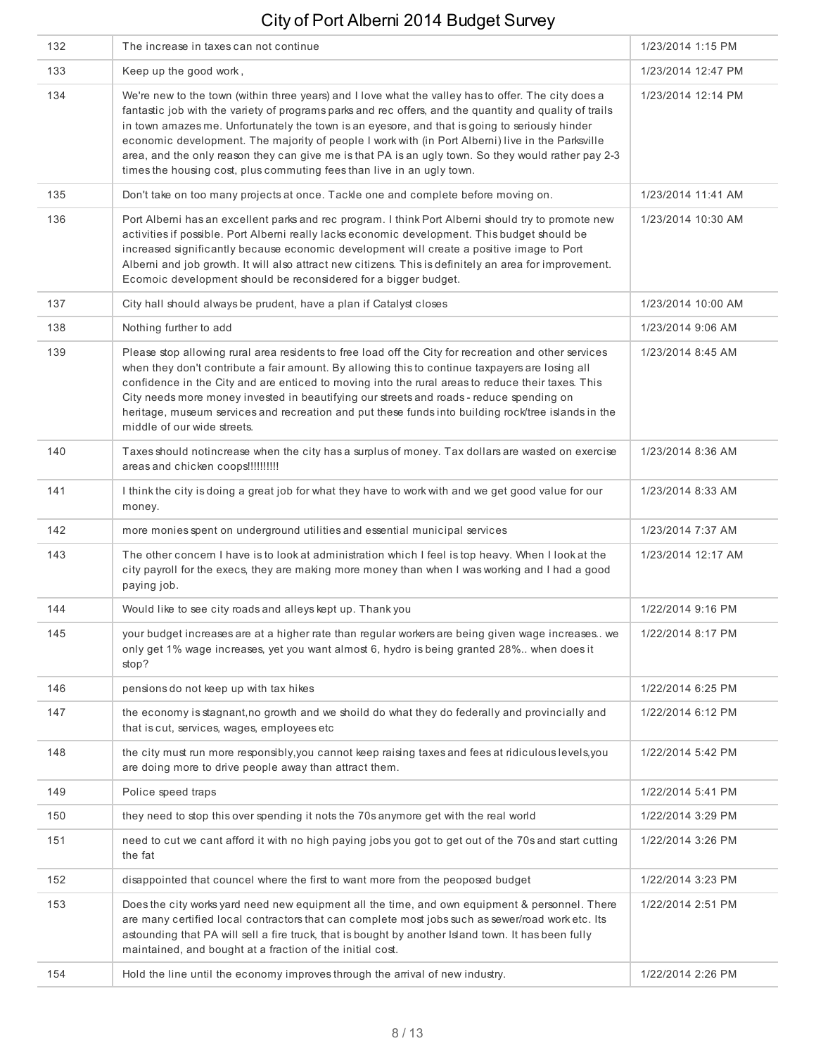| 132 | The increase in taxes can not continue                                                                                                                                                                                                                                                                                                                                                                                                                                                                                                                                                                 | 1/23/2014 1:15 PM  |
|-----|--------------------------------------------------------------------------------------------------------------------------------------------------------------------------------------------------------------------------------------------------------------------------------------------------------------------------------------------------------------------------------------------------------------------------------------------------------------------------------------------------------------------------------------------------------------------------------------------------------|--------------------|
| 133 | Keep up the good work,                                                                                                                                                                                                                                                                                                                                                                                                                                                                                                                                                                                 | 1/23/2014 12:47 PM |
| 134 | We're new to the town (within three years) and I love what the valley has to offer. The city does a<br>fantastic job with the variety of programs parks and rec offers, and the quantity and quality of trails<br>in town amazes me. Unfortunately the town is an eyesore, and that is going to seriously hinder<br>economic development. The majority of people I work with (in Port Alberni) live in the Parksville<br>area, and the only reason they can give me is that PA is an ugly town. So they would rather pay 2-3<br>times the housing cost, plus commuting fees than live in an ugly town. | 1/23/2014 12:14 PM |
| 135 | Don't take on too many projects at once. Tackle one and complete before moving on.                                                                                                                                                                                                                                                                                                                                                                                                                                                                                                                     | 1/23/2014 11:41 AM |
| 136 | Port Alberni has an excellent parks and rec program. I think Port Alberni should try to promote new<br>activities if possible. Port Alberni really lacks economic development. This budget should be<br>increased significantly because economic development will create a positive image to Port<br>Alberni and job growth. It will also attract new citizens. This is definitely an area for improvement.<br>Ecomoic development should be reconsidered for a bigger budget.                                                                                                                         | 1/23/2014 10:30 AM |
| 137 | City hall should always be prudent, have a plan if Catalyst closes                                                                                                                                                                                                                                                                                                                                                                                                                                                                                                                                     | 1/23/2014 10:00 AM |
| 138 | Nothing further to add                                                                                                                                                                                                                                                                                                                                                                                                                                                                                                                                                                                 | 1/23/2014 9:06 AM  |
| 139 | Please stop allowing rural area residents to free load off the City for recreation and other services<br>when they don't contribute a fair amount. By allowing this to continue taxpayers are losing all<br>confidence in the City and are enticed to moving into the rural areas to reduce their taxes. This<br>City needs more money invested in beautifying our streets and roads - reduce spending on<br>heritage, museum services and recreation and put these funds into building rock/tree islands in the<br>middle of our wide streets.                                                        | 1/23/2014 8:45 AM  |
| 140 | Taxes should notincrease when the city has a surplus of money. Tax dollars are wasted on exercise<br>areas and chicken coops !!!!!!!!!!                                                                                                                                                                                                                                                                                                                                                                                                                                                                | 1/23/2014 8:36 AM  |
| 141 | I think the city is doing a great job for what they have to work with and we get good value for our<br>money.                                                                                                                                                                                                                                                                                                                                                                                                                                                                                          | 1/23/2014 8:33 AM  |
| 142 | more monies spent on underground utilities and essential municipal services                                                                                                                                                                                                                                                                                                                                                                                                                                                                                                                            | 1/23/2014 7:37 AM  |
| 143 | The other concern I have is to look at administration which I feel is top heavy. When I look at the<br>city payroll for the execs, they are making more money than when I was working and I had a good<br>paying job.                                                                                                                                                                                                                                                                                                                                                                                  | 1/23/2014 12:17 AM |
| 144 | Would like to see city roads and alleys kept up. Thank you                                                                                                                                                                                                                                                                                                                                                                                                                                                                                                                                             | 1/22/2014 9:16 PM  |
| 145 | your budget increases are at a higher rate than regular workers are being given wage increases. we<br>only get 1% wage increases, yet you want almost 6, hydro is being granted 28% when does it<br>stop?                                                                                                                                                                                                                                                                                                                                                                                              | 1/22/2014 8:17 PM  |
| 146 | pensions do not keep up with tax hikes                                                                                                                                                                                                                                                                                                                                                                                                                                                                                                                                                                 | 1/22/2014 6:25 PM  |
| 147 | the economy is stagnant, no growth and we shoild do what they do federally and provincially and<br>that is cut, services, wages, employees etc                                                                                                                                                                                                                                                                                                                                                                                                                                                         | 1/22/2014 6:12 PM  |
| 148 | the city must run more responsibly, you cannot keep raising taxes and fees at ridiculous levels, you<br>are doing more to drive people away than attract them.                                                                                                                                                                                                                                                                                                                                                                                                                                         | 1/22/2014 5:42 PM  |
| 149 | Police speed traps                                                                                                                                                                                                                                                                                                                                                                                                                                                                                                                                                                                     | 1/22/2014 5:41 PM  |
| 150 | they need to stop this over spending it nots the 70s anymore get with the real world                                                                                                                                                                                                                                                                                                                                                                                                                                                                                                                   | 1/22/2014 3:29 PM  |
| 151 | need to cut we cant afford it with no high paying jobs you got to get out of the 70s and start cutting<br>the fat                                                                                                                                                                                                                                                                                                                                                                                                                                                                                      | 1/22/2014 3:26 PM  |
| 152 | disappointed that councel where the first to want more from the peoposed budget                                                                                                                                                                                                                                                                                                                                                                                                                                                                                                                        | 1/22/2014 3:23 PM  |
| 153 | Does the city works yard need new equipment all the time, and own equipment & personnel. There<br>are many certified local contractors that can complete most jobs such as sewer/road work etc. Its<br>astounding that PA will sell a fire truck, that is bought by another Island town. It has been fully<br>maintained, and bought at a fraction of the initial cost.                                                                                                                                                                                                                                | 1/22/2014 2:51 PM  |
| 154 | Hold the line until the economy improves through the arrival of new industry.                                                                                                                                                                                                                                                                                                                                                                                                                                                                                                                          | 1/22/2014 2:26 PM  |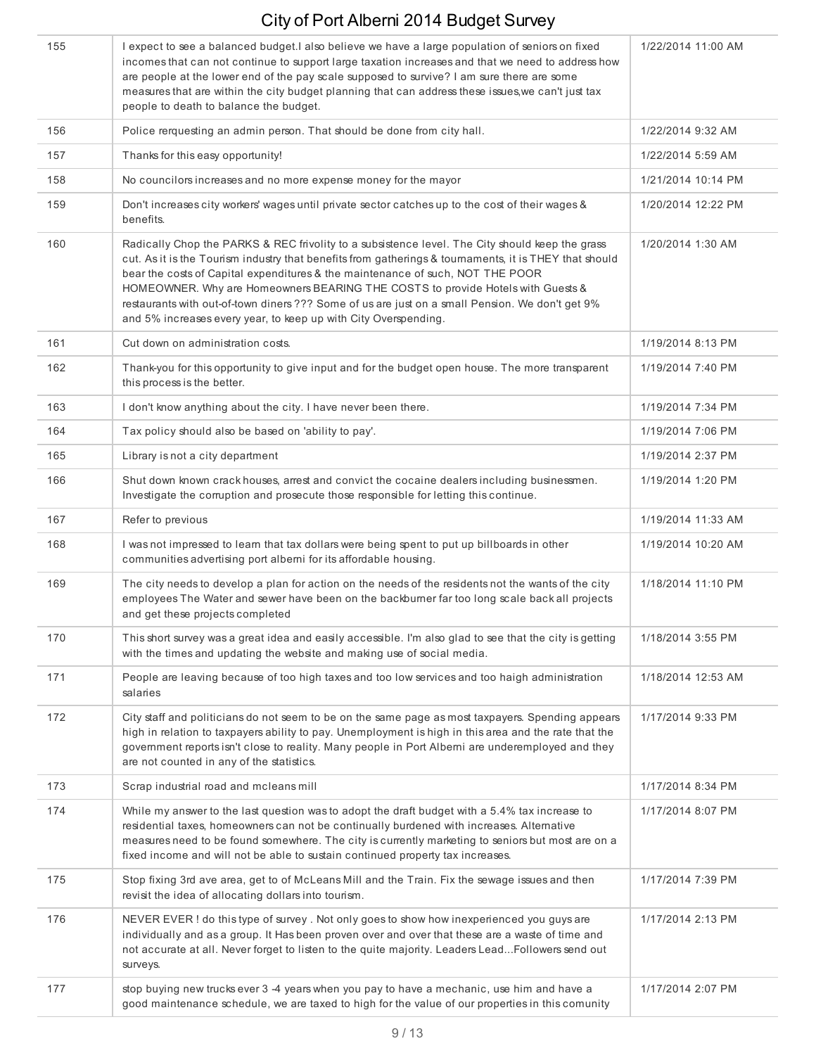| 155 | I expect to see a balanced budget. I also believe we have a large population of seniors on fixed<br>incomes that can not continue to support large taxation increases and that we need to address how<br>are people at the lower end of the pay scale supposed to survive? I am sure there are some<br>measures that are within the city budget planning that can address these issues, we can't just tax<br>people to death to balance the budget.                                                                                                  | 1/22/2014 11:00 AM |
|-----|------------------------------------------------------------------------------------------------------------------------------------------------------------------------------------------------------------------------------------------------------------------------------------------------------------------------------------------------------------------------------------------------------------------------------------------------------------------------------------------------------------------------------------------------------|--------------------|
| 156 | Police rerquesting an admin person. That should be done from city hall.                                                                                                                                                                                                                                                                                                                                                                                                                                                                              | 1/22/2014 9:32 AM  |
| 157 | Thanks for this easy opportunity!                                                                                                                                                                                                                                                                                                                                                                                                                                                                                                                    | 1/22/2014 5:59 AM  |
| 158 | No councilors increases and no more expense money for the mayor                                                                                                                                                                                                                                                                                                                                                                                                                                                                                      | 1/21/2014 10:14 PM |
| 159 | Don't increases city workers' wages until private sector catches up to the cost of their wages &<br>benefits.                                                                                                                                                                                                                                                                                                                                                                                                                                        | 1/20/2014 12:22 PM |
| 160 | Radically Chop the PARKS & REC frivolity to a subsistence level. The City should keep the grass<br>cut. As it is the Tourism industry that benefits from gatherings & tournaments, it is THEY that should<br>bear the costs of Capital expenditures & the maintenance of such, NOT THE POOR<br>HOMEOWNER. Why are Homeowners BEARING THE COSTS to provide Hotels with Guests &<br>restaurants with out-of-town diners ??? Some of us are just on a small Pension. We don't get 9%<br>and 5% increases every year, to keep up with City Overspending. | 1/20/2014 1:30 AM  |
| 161 | Cut down on administration costs.                                                                                                                                                                                                                                                                                                                                                                                                                                                                                                                    | 1/19/2014 8:13 PM  |
| 162 | Thank-you for this opportunity to give input and for the budget open house. The more transparent<br>this process is the better.                                                                                                                                                                                                                                                                                                                                                                                                                      | 1/19/2014 7:40 PM  |
| 163 | I don't know anything about the city. I have never been there.                                                                                                                                                                                                                                                                                                                                                                                                                                                                                       | 1/19/2014 7:34 PM  |
| 164 | Tax policy should also be based on 'ability to pay'.                                                                                                                                                                                                                                                                                                                                                                                                                                                                                                 | 1/19/2014 7:06 PM  |
| 165 | Library is not a city department                                                                                                                                                                                                                                                                                                                                                                                                                                                                                                                     | 1/19/2014 2:37 PM  |
| 166 | Shut down known crack houses, arrest and convict the cocaine dealers including businessmen.<br>Investigate the corruption and prosecute those responsible for letting this continue.                                                                                                                                                                                                                                                                                                                                                                 | 1/19/2014 1:20 PM  |
| 167 | Refer to previous                                                                                                                                                                                                                                                                                                                                                                                                                                                                                                                                    | 1/19/2014 11:33 AM |
| 168 | I was not impressed to learn that tax dollars were being spent to put up billboards in other<br>communities advertising port alberni for its affordable housing.                                                                                                                                                                                                                                                                                                                                                                                     | 1/19/2014 10:20 AM |
| 169 | The city needs to develop a plan for action on the needs of the residents not the wants of the city<br>employees The Water and sewer have been on the backburner far too long scale back all projects<br>and get these projects completed                                                                                                                                                                                                                                                                                                            | 1/18/2014 11:10 PM |
| 170 | This short survey was a great idea and easily accessible. I'm also glad to see that the city is getting<br>with the times and updating the website and making use of social media.                                                                                                                                                                                                                                                                                                                                                                   | 1/18/2014 3:55 PM  |
| 171 | People are leaving because of too high taxes and too low services and too haigh administration<br>salaries                                                                                                                                                                                                                                                                                                                                                                                                                                           | 1/18/2014 12:53 AM |
| 172 | City staff and politicians do not seem to be on the same page as most taxpayers. Spending appears<br>high in relation to taxpayers ability to pay. Unemployment is high in this area and the rate that the<br>government reports isn't close to reality. Many people in Port Alberni are underemployed and they<br>are not counted in any of the statistics.                                                                                                                                                                                         | 1/17/2014 9:33 PM  |
| 173 | Scrap industrial road and mcleans mill                                                                                                                                                                                                                                                                                                                                                                                                                                                                                                               | 1/17/2014 8:34 PM  |
| 174 | While my answer to the last question was to adopt the draft budget with a 5.4% tax increase to<br>residential taxes, homeowners can not be continually burdened with increases. Alternative<br>measures need to be found somewhere. The city is currently marketing to seniors but most are on a<br>fixed income and will not be able to sustain continued property tax increases.                                                                                                                                                                   | 1/17/2014 8:07 PM  |
| 175 | Stop fixing 3rd ave area, get to of McLeans Mill and the Train. Fix the sewage issues and then<br>revisit the idea of allocating dollars into tourism.                                                                                                                                                                                                                                                                                                                                                                                               | 1/17/2014 7:39 PM  |
| 176 | NEVER EVER ! do this type of survey . Not only goes to show how inexperienced you guys are<br>individually and as a group. It Has been proven over and over that these are a waste of time and<br>not accurate at all. Never forget to listen to the quite majority. Leaders LeadFollowers send out<br>surveys.                                                                                                                                                                                                                                      | 1/17/2014 2:13 PM  |
| 177 | stop buying new trucks ever 3 -4 years when you pay to have a mechanic, use him and have a<br>good maintenance schedule, we are taxed to high for the value of our properties in this comunity                                                                                                                                                                                                                                                                                                                                                       | 1/17/2014 2:07 PM  |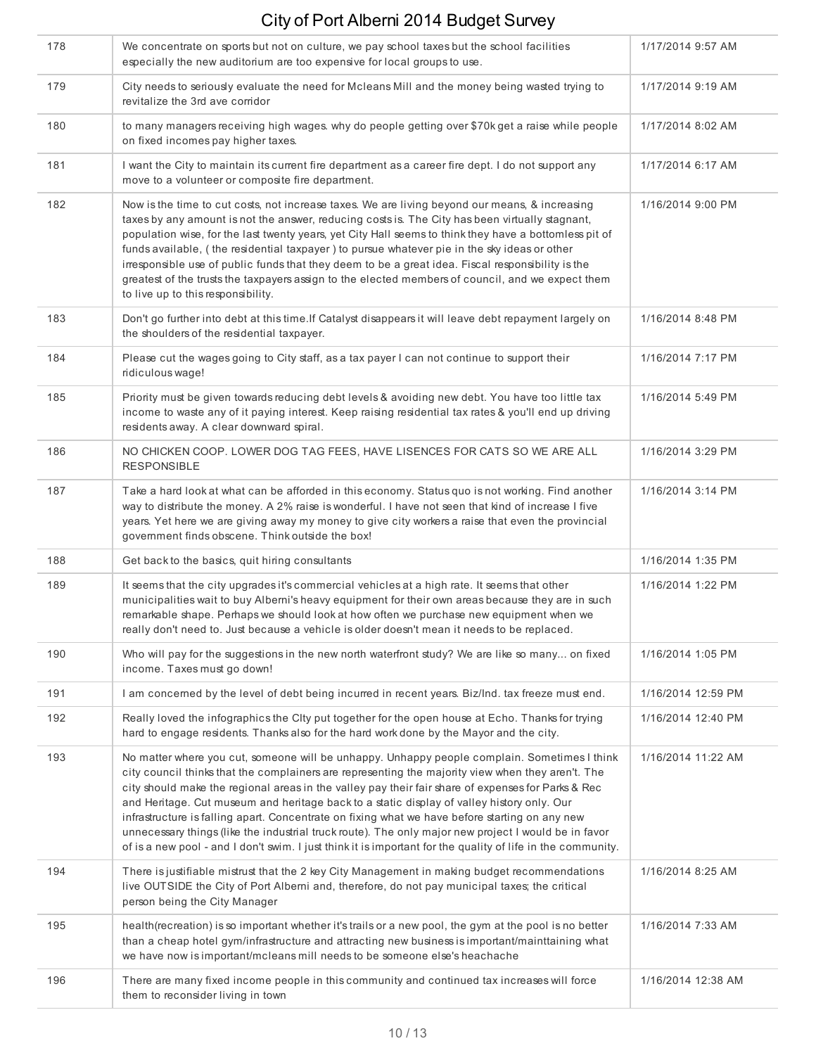| 178 | We concentrate on sports but not on culture, we pay school taxes but the school facilities<br>especially the new auditorium are too expensive for local groups to use.                                                                                                                                                                                                                                                                                                                                                                                                                                                                                                                                                         | 1/17/2014 9:57 AM  |
|-----|--------------------------------------------------------------------------------------------------------------------------------------------------------------------------------------------------------------------------------------------------------------------------------------------------------------------------------------------------------------------------------------------------------------------------------------------------------------------------------------------------------------------------------------------------------------------------------------------------------------------------------------------------------------------------------------------------------------------------------|--------------------|
| 179 | City needs to seriously evaluate the need for Mcleans Mill and the money being wasted trying to<br>revitalize the 3rd ave corridor                                                                                                                                                                                                                                                                                                                                                                                                                                                                                                                                                                                             | 1/17/2014 9:19 AM  |
| 180 | to many managers receiving high wages. why do people getting over \$70k get a raise while people<br>on fixed incomes pay higher taxes.                                                                                                                                                                                                                                                                                                                                                                                                                                                                                                                                                                                         | 1/17/2014 8:02 AM  |
| 181 | I want the City to maintain its current fire department as a career fire dept. I do not support any<br>move to a volunteer or composite fire department.                                                                                                                                                                                                                                                                                                                                                                                                                                                                                                                                                                       | 1/17/2014 6:17 AM  |
| 182 | Now is the time to cut costs, not increase taxes. We are living beyond our means, & increasing<br>taxes by any amount is not the answer, reducing costs is. The City has been virtually stagnant,<br>population wise, for the last twenty years, yet City Hall seems to think they have a bottomless pit of<br>funds available, (the residential taxpayer) to pursue whatever pie in the sky ideas or other<br>irresponsible use of public funds that they deem to be a great idea. Fiscal responsibility is the<br>greatest of the trusts the taxpayers assign to the elected members of council, and we expect them<br>to live up to this responsibility.                                                                    | 1/16/2014 9:00 PM  |
| 183 | Don't go further into debt at this time. If Catalyst disappears it will leave debt repayment largely on<br>the shoulders of the residential taxpayer.                                                                                                                                                                                                                                                                                                                                                                                                                                                                                                                                                                          | 1/16/2014 8:48 PM  |
| 184 | Please cut the wages going to City staff, as a tax payer I can not continue to support their<br>ridiculous wage!                                                                                                                                                                                                                                                                                                                                                                                                                                                                                                                                                                                                               | 1/16/2014 7:17 PM  |
| 185 | Priority must be given towards reducing debt levels & avoiding new debt. You have too little tax<br>income to waste any of it paying interest. Keep raising residential tax rates & you'll end up driving<br>residents away. A clear downward spiral.                                                                                                                                                                                                                                                                                                                                                                                                                                                                          | 1/16/2014 5:49 PM  |
| 186 | NO CHICKEN COOP. LOWER DOG TAG FEES, HAVE LISENCES FOR CATS SO WE ARE ALL<br><b>RESPONSIBLE</b>                                                                                                                                                                                                                                                                                                                                                                                                                                                                                                                                                                                                                                | 1/16/2014 3:29 PM  |
| 187 | Take a hard look at what can be afforded in this economy. Status quo is not working. Find another<br>way to distribute the money. A 2% raise is wonderful. I have not seen that kind of increase I five<br>years. Yet here we are giving away my money to give city workers a raise that even the provincial<br>government finds obscene. Think outside the box!                                                                                                                                                                                                                                                                                                                                                               | 1/16/2014 3:14 PM  |
| 188 | Get back to the basics, quit hiring consultants                                                                                                                                                                                                                                                                                                                                                                                                                                                                                                                                                                                                                                                                                | 1/16/2014 1:35 PM  |
| 189 | It seems that the city upgrades it's commercial vehicles at a high rate. It seems that other<br>municipalities wait to buy Albemi's heavy equipment for their own areas because they are in such<br>remarkable shape. Perhaps we should look at how often we purchase new equipment when we<br>really don't need to. Just because a vehicle is older doesn't mean it needs to be replaced.                                                                                                                                                                                                                                                                                                                                     | 1/16/2014 1:22 PM  |
| 190 | Who will pay for the suggestions in the new north waterfront study? We are like so many on fixed<br>income. Taxes must go down!                                                                                                                                                                                                                                                                                                                                                                                                                                                                                                                                                                                                | 1/16/2014 1:05 PM  |
| 191 | I am concerned by the level of debt being incurred in recent years. Biz/Ind. tax freeze must end.                                                                                                                                                                                                                                                                                                                                                                                                                                                                                                                                                                                                                              | 1/16/2014 12:59 PM |
| 192 | Really loved the infographics the Clty put together for the open house at Echo. Thanks for trying<br>hard to engage residents. Thanks also for the hard work done by the Mayor and the city.                                                                                                                                                                                                                                                                                                                                                                                                                                                                                                                                   | 1/16/2014 12:40 PM |
| 193 | No matter where you cut, someone will be unhappy. Unhappy people complain. Sometimes I think<br>city council thinks that the complainers are representing the majority view when they aren't. The<br>city should make the regional areas in the valley pay their fair share of expenses for Parks & Rec<br>and Heritage. Cut museum and heritage back to a static display of valley history only. Our<br>infrastructure is falling apart. Concentrate on fixing what we have before starting on any new<br>unnecessary things (like the industrial truck route). The only major new project I would be in favor<br>of is a new pool - and I don't swim. I just think it is important for the quality of life in the community. | 1/16/2014 11:22 AM |
| 194 | There is justifiable mistrust that the 2 key City Management in making budget recommendations<br>live OUTSIDE the City of Port Alberni and, therefore, do not pay municipal taxes; the critical<br>person being the City Manager                                                                                                                                                                                                                                                                                                                                                                                                                                                                                               | 1/16/2014 8:25 AM  |
| 195 | health (recreation) is so important whether it's trails or a new pool, the gym at the pool is no better<br>than a cheap hotel gym/infrastructure and attracting new business is important/mainttaining what<br>we have now is important/mcleans mill needs to be someone else's heachache                                                                                                                                                                                                                                                                                                                                                                                                                                      | 1/16/2014 7:33 AM  |
| 196 | There are many fixed income people in this community and continued tax increases will force<br>them to reconsider living in town                                                                                                                                                                                                                                                                                                                                                                                                                                                                                                                                                                                               | 1/16/2014 12:38 AM |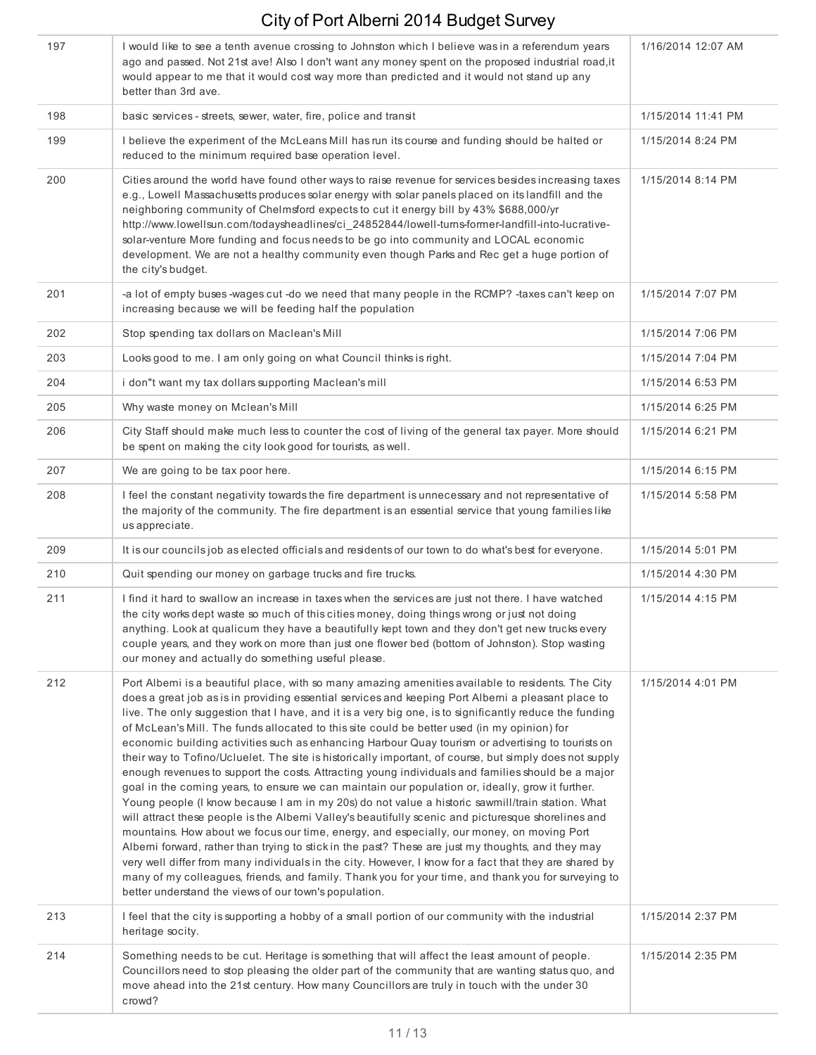| 197 | I would like to see a tenth avenue crossing to Johnston which I believe was in a referendum years<br>ago and passed. Not 21st ave! Also I don't want any money spent on the proposed industrial road, it<br>would appear to me that it would cost way more than predicted and it would not stand up any<br>better than 3rd ave.                                                                                                                                                                                                                                                                                                                                                                                                                                                                                                                                                                                                                                                                                                                                                                                                                                                                                                                                                                                                                                                                                                                                                                                                      | 1/16/2014 12:07 AM |
|-----|--------------------------------------------------------------------------------------------------------------------------------------------------------------------------------------------------------------------------------------------------------------------------------------------------------------------------------------------------------------------------------------------------------------------------------------------------------------------------------------------------------------------------------------------------------------------------------------------------------------------------------------------------------------------------------------------------------------------------------------------------------------------------------------------------------------------------------------------------------------------------------------------------------------------------------------------------------------------------------------------------------------------------------------------------------------------------------------------------------------------------------------------------------------------------------------------------------------------------------------------------------------------------------------------------------------------------------------------------------------------------------------------------------------------------------------------------------------------------------------------------------------------------------------|--------------------|
| 198 | basic services - streets, sewer, water, fire, police and transit                                                                                                                                                                                                                                                                                                                                                                                                                                                                                                                                                                                                                                                                                                                                                                                                                                                                                                                                                                                                                                                                                                                                                                                                                                                                                                                                                                                                                                                                     | 1/15/2014 11:41 PM |
| 199 | I believe the experiment of the McLeans Mill has run its course and funding should be halted or<br>reduced to the minimum required base operation level.                                                                                                                                                                                                                                                                                                                                                                                                                                                                                                                                                                                                                                                                                                                                                                                                                                                                                                                                                                                                                                                                                                                                                                                                                                                                                                                                                                             | 1/15/2014 8:24 PM  |
| 200 | Cities around the world have found other ways to raise revenue for services besides increasing taxes<br>e.g., Lowell Massachusetts produces solar energy with solar panels placed on its landfill and the<br>neighboring community of Chelmsford expects to cut it energy bill by 43% \$688,000/yr<br>http://www.lowellsun.com/todaysheadlines/ci 24852844/lowell-turns-former-landfill-into-lucrative-<br>solar-venture More funding and focus needs to be go into community and LOCAL economic<br>development. We are not a healthy community even though Parks and Rec get a huge portion of<br>the city's budget.                                                                                                                                                                                                                                                                                                                                                                                                                                                                                                                                                                                                                                                                                                                                                                                                                                                                                                                | 1/15/2014 8:14 PM  |
| 201 | -a lot of empty buses -wages cut -do we need that many people in the RCMP? -taxes can't keep on<br>increasing because we will be feeding half the population                                                                                                                                                                                                                                                                                                                                                                                                                                                                                                                                                                                                                                                                                                                                                                                                                                                                                                                                                                                                                                                                                                                                                                                                                                                                                                                                                                         | 1/15/2014 7:07 PM  |
| 202 | Stop spending tax dollars on Maclean's Mill                                                                                                                                                                                                                                                                                                                                                                                                                                                                                                                                                                                                                                                                                                                                                                                                                                                                                                                                                                                                                                                                                                                                                                                                                                                                                                                                                                                                                                                                                          | 1/15/2014 7:06 PM  |
| 203 | Looks good to me. I am only going on what Council thinks is right.                                                                                                                                                                                                                                                                                                                                                                                                                                                                                                                                                                                                                                                                                                                                                                                                                                                                                                                                                                                                                                                                                                                                                                                                                                                                                                                                                                                                                                                                   | 1/15/2014 7:04 PM  |
| 204 | i don"t want my tax dollars supporting Maclean's mill                                                                                                                                                                                                                                                                                                                                                                                                                                                                                                                                                                                                                                                                                                                                                                                                                                                                                                                                                                                                                                                                                                                                                                                                                                                                                                                                                                                                                                                                                | 1/15/2014 6:53 PM  |
| 205 | Why waste money on Mclean's Mill                                                                                                                                                                                                                                                                                                                                                                                                                                                                                                                                                                                                                                                                                                                                                                                                                                                                                                                                                                                                                                                                                                                                                                                                                                                                                                                                                                                                                                                                                                     | 1/15/2014 6:25 PM  |
| 206 | City Staff should make much less to counter the cost of living of the general tax payer. More should<br>be spent on making the city look good for tourists, as well.                                                                                                                                                                                                                                                                                                                                                                                                                                                                                                                                                                                                                                                                                                                                                                                                                                                                                                                                                                                                                                                                                                                                                                                                                                                                                                                                                                 | 1/15/2014 6:21 PM  |
| 207 | We are going to be tax poor here.                                                                                                                                                                                                                                                                                                                                                                                                                                                                                                                                                                                                                                                                                                                                                                                                                                                                                                                                                                                                                                                                                                                                                                                                                                                                                                                                                                                                                                                                                                    | 1/15/2014 6:15 PM  |
| 208 | I feel the constant negativity towards the fire department is unnecessary and not representative of<br>the majority of the community. The fire department is an essential service that young families like<br>us appreciate.                                                                                                                                                                                                                                                                                                                                                                                                                                                                                                                                                                                                                                                                                                                                                                                                                                                                                                                                                                                                                                                                                                                                                                                                                                                                                                         | 1/15/2014 5:58 PM  |
| 209 | It is our councils job as elected officials and residents of our town to do what's best for everyone.                                                                                                                                                                                                                                                                                                                                                                                                                                                                                                                                                                                                                                                                                                                                                                                                                                                                                                                                                                                                                                                                                                                                                                                                                                                                                                                                                                                                                                | 1/15/2014 5:01 PM  |
| 210 | Quit spending our money on garbage trucks and fire trucks.                                                                                                                                                                                                                                                                                                                                                                                                                                                                                                                                                                                                                                                                                                                                                                                                                                                                                                                                                                                                                                                                                                                                                                                                                                                                                                                                                                                                                                                                           | 1/15/2014 4:30 PM  |
| 211 | I find it hard to swallow an increase in taxes when the services are just not there. I have watched<br>the city works dept waste so much of this cities money, doing things wrong or just not doing<br>anything. Look at qualicum they have a beautifully kept town and they don't get new trucks every<br>couple years, and they work on more than just one flower bed (bottom of Johnston). Stop wasting<br>our money and actually do something useful please.                                                                                                                                                                                                                                                                                                                                                                                                                                                                                                                                                                                                                                                                                                                                                                                                                                                                                                                                                                                                                                                                     | 1/15/2014 4:15 PM  |
| 212 | Port Alberni is a beautiful place, with so many amazing amenities available to residents. The City<br>does a great job as is in providing essential services and keeping Port Alberni a pleasant place to<br>live. The only suggestion that I have, and it is a very big one, is to significantly reduce the funding<br>of McLean's Mill. The funds allocated to this site could be better used (in my opinion) for<br>economic building activities such as enhancing Harbour Quay tourism or advertising to tourists on<br>their way to Tofino/Ucluelet. The site is historically important, of course, but simply does not supply<br>enough revenues to support the costs. Attracting young individuals and families should be a major<br>goal in the coming years, to ensure we can maintain our population or, ideally, grow it further.<br>Young people (I know because I am in my 20s) do not value a historic sawmill/train station. What<br>will attract these people is the Alberni Valley's beautifully scenic and picturesque shorelines and<br>mountains. How about we focus our time, energy, and especially, our money, on moving Port<br>Alberni forward, rather than trying to stick in the past? These are just my thoughts, and they may<br>very well differ from many individuals in the city. However, I know for a fact that they are shared by<br>many of my colleagues, friends, and family. Thank you for your time, and thank you for surveying to<br>better understand the views of our town's population. | 1/15/2014 4:01 PM  |
| 213 | I feel that the city is supporting a hobby of a small portion of our community with the industrial<br>heritage socity.                                                                                                                                                                                                                                                                                                                                                                                                                                                                                                                                                                                                                                                                                                                                                                                                                                                                                                                                                                                                                                                                                                                                                                                                                                                                                                                                                                                                               | 1/15/2014 2:37 PM  |
| 214 | Something needs to be cut. Heritage is something that will affect the least amount of people.<br>Councillors need to stop pleasing the older part of the community that are wanting status quo, and<br>move ahead into the 21st century. How many Councillors are truly in touch with the under 30<br>crowd?                                                                                                                                                                                                                                                                                                                                                                                                                                                                                                                                                                                                                                                                                                                                                                                                                                                                                                                                                                                                                                                                                                                                                                                                                         | 1/15/2014 2:35 PM  |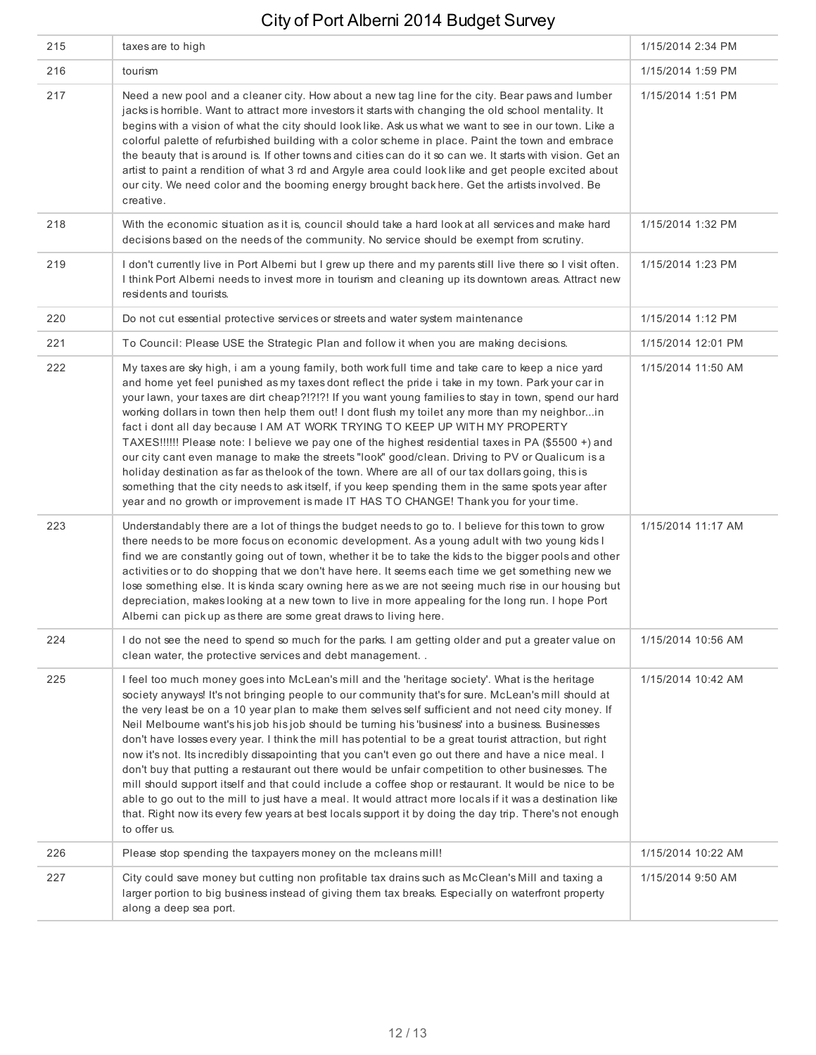| 215 | taxes are to high                                                                                                                                                                                                                                                                                                                                                                                                                                                                                                                                                                                                                                                                                                                                                                                                                                                                                                                                                                                                                                                                            | 1/15/2014 2:34 PM  |
|-----|----------------------------------------------------------------------------------------------------------------------------------------------------------------------------------------------------------------------------------------------------------------------------------------------------------------------------------------------------------------------------------------------------------------------------------------------------------------------------------------------------------------------------------------------------------------------------------------------------------------------------------------------------------------------------------------------------------------------------------------------------------------------------------------------------------------------------------------------------------------------------------------------------------------------------------------------------------------------------------------------------------------------------------------------------------------------------------------------|--------------------|
| 216 | tourism                                                                                                                                                                                                                                                                                                                                                                                                                                                                                                                                                                                                                                                                                                                                                                                                                                                                                                                                                                                                                                                                                      | 1/15/2014 1:59 PM  |
| 217 | Need a new pool and a cleaner city. How about a new tag line for the city. Bear paws and lumber<br>jacks is horrible. Want to attract more investors it starts with changing the old school mentality. It<br>begins with a vision of what the city should look like. Ask us what we want to see in our town. Like a<br>colorful palette of refurbished building with a color scheme in place. Paint the town and embrace<br>the beauty that is around is. If other towns and cities can do it so can we. It starts with vision. Get an<br>artist to paint a rendition of what 3 rd and Argyle area could look like and get people excited about<br>our city. We need color and the booming energy brought back here. Get the artists involved. Be<br>creative.                                                                                                                                                                                                                                                                                                                               | 1/15/2014 1:51 PM  |
| 218 | With the economic situation as it is, council should take a hard look at all services and make hard<br>decisions based on the needs of the community. No service should be exempt from scrutiny.                                                                                                                                                                                                                                                                                                                                                                                                                                                                                                                                                                                                                                                                                                                                                                                                                                                                                             | 1/15/2014 1:32 PM  |
| 219 | I don't currently live in Port Alberni but I grew up there and my parents still live there so I visit often.<br>I think Port Alberni needs to invest more in tourism and cleaning up its downtown areas. Attract new<br>residents and tourists.                                                                                                                                                                                                                                                                                                                                                                                                                                                                                                                                                                                                                                                                                                                                                                                                                                              | 1/15/2014 1:23 PM  |
| 220 | Do not cut essential protective services or streets and water system maintenance                                                                                                                                                                                                                                                                                                                                                                                                                                                                                                                                                                                                                                                                                                                                                                                                                                                                                                                                                                                                             | 1/15/2014 1:12 PM  |
| 221 | To Council: Please USE the Strategic Plan and follow it when you are making decisions.                                                                                                                                                                                                                                                                                                                                                                                                                                                                                                                                                                                                                                                                                                                                                                                                                                                                                                                                                                                                       | 1/15/2014 12:01 PM |
| 222 | My taxes are sky high, i am a young family, both work full time and take care to keep a nice yard<br>and home yet feel punished as my taxes dont reflect the pride i take in my town. Park your car in<br>your lawn, your taxes are dirt cheap?!?!?! If you want young families to stay in town, spend our hard<br>working dollars in town then help them out! I dont flush my toilet any more than my neighborin<br>fact i dont all day because I AM AT WORK TRYING TO KEEP UP WITH MY PROPERTY<br>TAXES!!!!!! Please note: I believe we pay one of the highest residential taxes in PA (\$5500 +) and<br>our city cant even manage to make the streets "look" good/clean. Driving to PV or Qualicum is a<br>holiday destination as far as thelook of the town. Where are all of our tax dollars going, this is<br>something that the city needs to ask itself, if you keep spending them in the same spots year after<br>year and no growth or improvement is made IT HAS TO CHANGE! Thank you for your time.                                                                              | 1/15/2014 11:50 AM |
| 223 | Understandably there are a lot of things the budget needs to go to. I believe for this town to grow<br>there needs to be more focus on economic development. As a young adult with two young kids I<br>find we are constantly going out of town, whether it be to take the kids to the bigger pools and other<br>activities or to do shopping that we don't have here. It seems each time we get something new we<br>lose something else. It is kinda scary owning here as we are not seeing much rise in our housing but<br>depreciation, makes looking at a new town to live in more appealing for the long run. I hope Port<br>Alberni can pick up as there are some great draws to living here.                                                                                                                                                                                                                                                                                                                                                                                          | 1/15/2014 11:17 AM |
| 224 | I do not see the need to spend so much for the parks. I am getting older and put a greater value on<br>clean water, the protective services and debt management                                                                                                                                                                                                                                                                                                                                                                                                                                                                                                                                                                                                                                                                                                                                                                                                                                                                                                                              | 1/15/2014 10:56 AM |
| 225 | I feel too much money goes into McLean's mill and the 'heritage society'. What is the heritage<br>society anyways! It's not bringing people to our community that's for sure. McLean's mill should at<br>the very least be on a 10 year plan to make them selves self sufficient and not need city money. If<br>Neil Melbourne want's his job his job should be turning his 'business' into a business. Businesses<br>don't have losses every year. I think the mill has potential to be a great tourist attraction, but right<br>now it's not. Its incredibly dissapointing that you can't even go out there and have a nice meal. I<br>don't buy that putting a restaurant out there would be unfair competition to other businesses. The<br>mill should support itself and that could include a coffee shop or restaurant. It would be nice to be<br>able to go out to the mill to just have a meal. It would attract more locals if it was a destination like<br>that. Right now its every few years at best locals support it by doing the day trip. There's not enough<br>to offer us. | 1/15/2014 10:42 AM |
| 226 | Please stop spending the taxpayers money on the mcleans mill!                                                                                                                                                                                                                                                                                                                                                                                                                                                                                                                                                                                                                                                                                                                                                                                                                                                                                                                                                                                                                                | 1/15/2014 10:22 AM |
| 227 | City could save money but cutting non profitable tax drains such as McClean's Mill and taxing a<br>larger portion to big business instead of giving them tax breaks. Especially on waterfront property<br>along a deep sea port.                                                                                                                                                                                                                                                                                                                                                                                                                                                                                                                                                                                                                                                                                                                                                                                                                                                             | 1/15/2014 9:50 AM  |